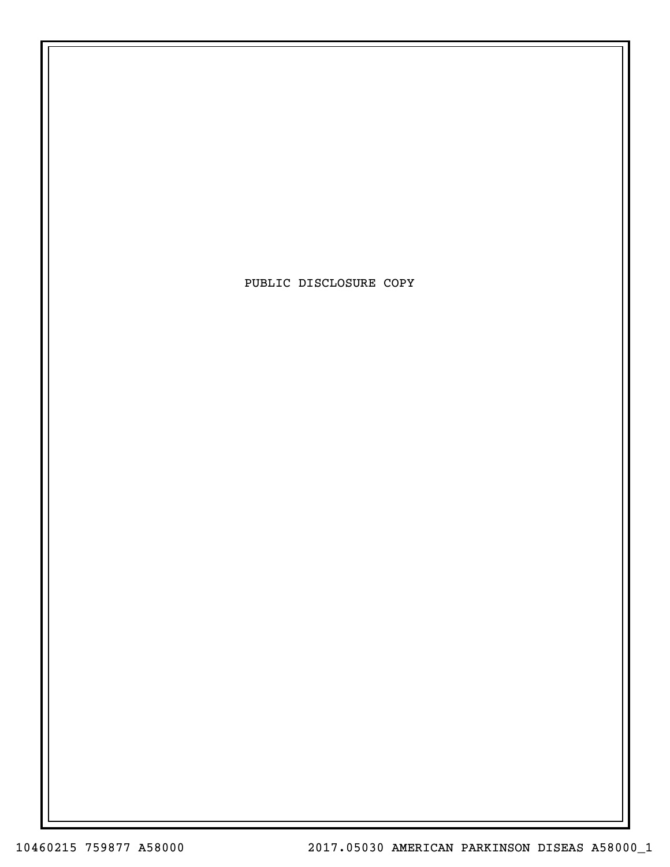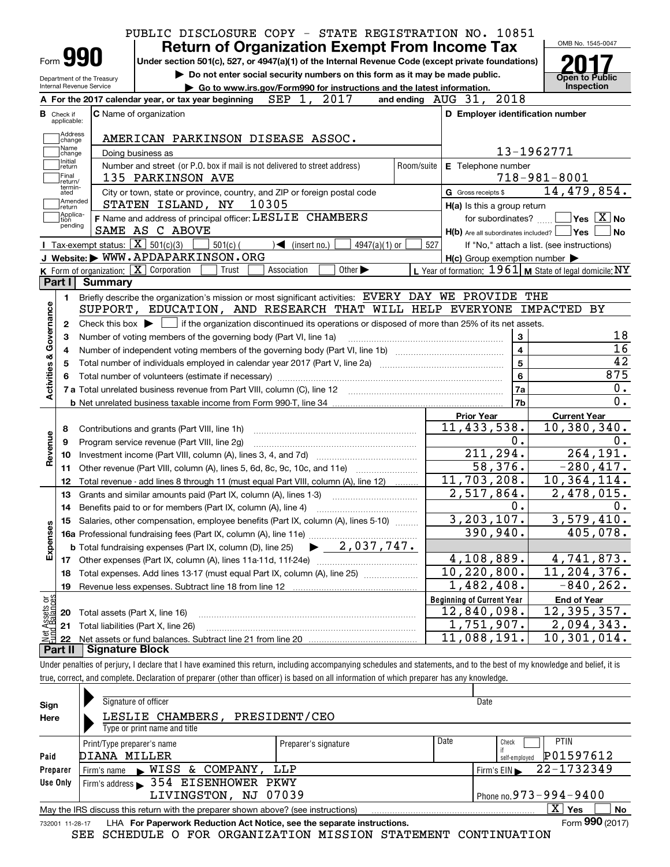|                                                                                              |                            |                   |                                                                             |            |                                   | <b>Return of Organization Exempt From Income Tax</b>                                                                                        |            |                                                           |                                           |                                            | OMB No. 1545-0047                                                                                                                                                                                                                       |
|----------------------------------------------------------------------------------------------|----------------------------|-------------------|-----------------------------------------------------------------------------|------------|-----------------------------------|---------------------------------------------------------------------------------------------------------------------------------------------|------------|-----------------------------------------------------------|-------------------------------------------|--------------------------------------------|-----------------------------------------------------------------------------------------------------------------------------------------------------------------------------------------------------------------------------------------|
|                                                                                              |                            |                   |                                                                             |            |                                   |                                                                                                                                             |            |                                                           |                                           |                                            |                                                                                                                                                                                                                                         |
|                                                                                              | Form 990                   |                   |                                                                             |            |                                   | Under section 501(c), 527, or 4947(a)(1) of the Internal Revenue Code (except private foundations)                                          |            |                                                           |                                           |                                            |                                                                                                                                                                                                                                         |
|                                                                                              | Department of the Treasury |                   |                                                                             |            |                                   | Do not enter social security numbers on this form as it may be made public.                                                                 |            |                                                           |                                           |                                            | <b>Open to Public</b>                                                                                                                                                                                                                   |
|                                                                                              | Internal Revenue Service   |                   |                                                                             |            |                                   | Go to www.irs.gov/Form990 for instructions and the latest information.                                                                      |            |                                                           |                                           |                                            | Inspection                                                                                                                                                                                                                              |
|                                                                                              |                            |                   | A For the 2017 calendar year, or tax year beginning                         |            | SEP 1, 2017                       |                                                                                                                                             |            | and ending AUG 31, 2018                                   |                                           |                                            |                                                                                                                                                                                                                                         |
| <b>B</b> Check if                                                                            | applicable:                |                   | C Name of organization                                                      |            |                                   |                                                                                                                                             |            | D Employer identification number                          |                                           |                                            |                                                                                                                                                                                                                                         |
|                                                                                              | Address                    |                   |                                                                             |            |                                   |                                                                                                                                             |            |                                                           |                                           |                                            |                                                                                                                                                                                                                                         |
|                                                                                              | change<br>Name             |                   | AMERICAN PARKINSON DISEASE ASSOC.                                           |            |                                   |                                                                                                                                             |            |                                                           |                                           |                                            |                                                                                                                                                                                                                                         |
|                                                                                              | change<br>Initial          | Doing business as |                                                                             |            |                                   |                                                                                                                                             |            |                                                           | 13-1962771                                |                                            |                                                                                                                                                                                                                                         |
|                                                                                              | return<br>Final            |                   | Number and street (or P.O. box if mail is not delivered to street address)  |            |                                   |                                                                                                                                             | Room/suite | E Telephone number                                        |                                           |                                            |                                                                                                                                                                                                                                         |
|                                                                                              | return/<br>termin-         |                   | 135 PARKINSON AVE                                                           |            |                                   |                                                                                                                                             |            |                                                           |                                           | $718 - 981 - 8001$                         |                                                                                                                                                                                                                                         |
|                                                                                              | ated<br>Amended            |                   | City or town, state or province, country, and ZIP or foreign postal code    |            |                                   |                                                                                                                                             |            | G Gross receipts \$                                       |                                           | 14,479,854.                                |                                                                                                                                                                                                                                         |
|                                                                                              | return<br>Applica-         |                   | STATEN ISLAND, NY                                                           |            | 10305                             |                                                                                                                                             |            | H(a) Is this a group return                               |                                           |                                            | $\sqrt{}$ Yes $\sqrt{X}$ No                                                                                                                                                                                                             |
| tion                                                                                         | pending                    |                   | F Name and address of principal officer: LESLIE CHAMBERS<br>SAME AS C ABOVE |            |                                   |                                                                                                                                             |            |                                                           | for subordinates?                         |                                            |                                                                                                                                                                                                                                         |
|                                                                                              |                            |                   | <b>I</b> Tax-exempt status: $\overline{X}$ 501(c)(3)                        | $501(c)$ ( | $\sqrt{\frac{1}{1}}$ (insert no.) | $4947(a)(1)$ or                                                                                                                             | 527        | $H(b)$ Are all subordinates included? $\Box$ Yes          |                                           | If "No," attach a list. (see instructions) | ∣No                                                                                                                                                                                                                                     |
|                                                                                              |                            |                   | J Website: WWW.APDAPARKINSON.ORG                                            |            |                                   |                                                                                                                                             |            | $H(c)$ Group exemption number $\blacktriangleright$       |                                           |                                            |                                                                                                                                                                                                                                         |
|                                                                                              |                            |                   | K Form of organization: X Corporation                                       | Trust      | Association                       | Other $\blacktriangleright$                                                                                                                 |            | L Year of formation: $1961$ M State of legal domicile: NY |                                           |                                            |                                                                                                                                                                                                                                         |
|                                                                                              |                            | Part I Summary    |                                                                             |            |                                   |                                                                                                                                             |            |                                                           |                                           |                                            |                                                                                                                                                                                                                                         |
|                                                                                              | 1.                         |                   |                                                                             |            |                                   | Briefly describe the organization's mission or most significant activities: EVERY DAY WE PROVIDE THE                                        |            |                                                           |                                           |                                            |                                                                                                                                                                                                                                         |
|                                                                                              |                            |                   |                                                                             |            |                                   |                                                                                                                                             |            |                                                           |                                           |                                            |                                                                                                                                                                                                                                         |
|                                                                                              |                            |                   |                                                                             |            |                                   |                                                                                                                                             |            |                                                           |                                           |                                            |                                                                                                                                                                                                                                         |
|                                                                                              |                            |                   |                                                                             |            |                                   | SUPPORT, EDUCATION, AND RESEARCH THAT WILL HELP EVERYONE IMPACTED BY                                                                        |            |                                                           |                                           |                                            |                                                                                                                                                                                                                                         |
|                                                                                              | 2                          |                   |                                                                             |            |                                   | Check this box $\blacktriangleright$ $\Box$ if the organization discontinued its operations or disposed of more than 25% of its net assets. |            |                                                           |                                           |                                            |                                                                                                                                                                                                                                         |
| 4                                                                                            | З                          |                   | Number of voting members of the governing body (Part VI, line 1a)           |            |                                   |                                                                                                                                             |            |                                                           | 3                                         |                                            |                                                                                                                                                                                                                                         |
|                                                                                              |                            |                   |                                                                             |            |                                   |                                                                                                                                             |            |                                                           | $\overline{\mathbf{4}}$<br>$\overline{5}$ |                                            |                                                                                                                                                                                                                                         |
|                                                                                              |                            |                   |                                                                             |            |                                   |                                                                                                                                             |            |                                                           | $6\phantom{a}$                            |                                            |                                                                                                                                                                                                                                         |
|                                                                                              |                            |                   |                                                                             |            |                                   |                                                                                                                                             |            |                                                           | 7a                                        |                                            |                                                                                                                                                                                                                                         |
|                                                                                              |                            |                   |                                                                             |            |                                   |                                                                                                                                             |            |                                                           | 7 <sub>b</sub>                            |                                            |                                                                                                                                                                                                                                         |
|                                                                                              |                            |                   |                                                                             |            |                                   |                                                                                                                                             |            | <b>Prior Year</b>                                         |                                           | <b>Current Year</b>                        |                                                                                                                                                                                                                                         |
| 8                                                                                            |                            |                   | Contributions and grants (Part VIII, line 1h)                               |            |                                   |                                                                                                                                             |            | 11, 433, 538.                                             |                                           |                                            |                                                                                                                                                                                                                                         |
| 9                                                                                            |                            |                   | Program service revenue (Part VIII, line 2g)                                |            |                                   |                                                                                                                                             |            |                                                           | 0.                                        |                                            |                                                                                                                                                                                                                                         |
| 10                                                                                           |                            |                   |                                                                             |            |                                   |                                                                                                                                             |            |                                                           | 211, 294.                                 |                                            |                                                                                                                                                                                                                                         |
| 11                                                                                           |                            |                   |                                                                             |            |                                   | Other revenue (Part VIII, column (A), lines 5, 6d, 8c, 9c, 10c, and 11e)                                                                    |            |                                                           | 58,376.                                   |                                            |                                                                                                                                                                                                                                         |
| 12                                                                                           |                            |                   |                                                                             |            |                                   | Total revenue - add lines 8 through 11 (must equal Part VIII, column (A), line 12)                                                          |            | 11,703,208.                                               |                                           | 10, 364, 114.                              |                                                                                                                                                                                                                                         |
| 13                                                                                           |                            |                   | Grants and similar amounts paid (Part IX, column (A), lines 1-3)            |            |                                   |                                                                                                                                             |            | 2,517,864.                                                |                                           |                                            |                                                                                                                                                                                                                                         |
|                                                                                              |                            |                   | 14 Benefits paid to or for members (Part IX, column (A), line 4)            |            |                                   |                                                                                                                                             |            |                                                           | 0.                                        |                                            |                                                                                                                                                                                                                                         |
|                                                                                              |                            |                   |                                                                             |            |                                   | 15 Salaries, other compensation, employee benefits (Part IX, column (A), lines 5-10)                                                        |            | 3, 203, 107.                                              |                                           |                                            |                                                                                                                                                                                                                                         |
|                                                                                              |                            |                   |                                                                             |            |                                   |                                                                                                                                             |            |                                                           | 390,940.                                  |                                            |                                                                                                                                                                                                                                         |
|                                                                                              |                            |                   |                                                                             |            |                                   |                                                                                                                                             |            |                                                           |                                           |                                            |                                                                                                                                                                                                                                         |
|                                                                                              |                            |                   |                                                                             |            |                                   |                                                                                                                                             |            | 4,108,889.                                                |                                           |                                            |                                                                                                                                                                                                                                         |
| 18                                                                                           |                            |                   |                                                                             |            |                                   | Total expenses. Add lines 13-17 (must equal Part IX, column (A), line 25) [                                                                 |            | $\overline{10}$ , 220, 800.                               |                                           |                                            |                                                                                                                                                                                                                                         |
| 19                                                                                           |                            |                   | Revenue less expenses. Subtract line 18 from line 12                        |            |                                   |                                                                                                                                             |            | 1,482,408.                                                |                                           |                                            |                                                                                                                                                                                                                                         |
|                                                                                              |                            |                   |                                                                             |            |                                   |                                                                                                                                             |            | <b>Beginning of Current Year</b>                          |                                           | <b>End of Year</b>                         |                                                                                                                                                                                                                                         |
| 20                                                                                           |                            |                   | Total assets (Part X, line 16)                                              |            |                                   |                                                                                                                                             |            | 12,840,098.                                               |                                           |                                            | 18<br>$\overline{16}$<br>$\overline{42}$<br>875<br>0.<br>0.<br>10,380,340.<br>0.<br>264, 191.<br>$-280, 417.$<br>2,478,015.<br>0.<br>3,579,410.<br>405,078.<br>4,741,873.<br>$\overline{11}$ , 204, 376.<br>$-840, 262.$<br>12,395,357. |
| Activities & Governance<br>Revenue<br>Expenses<br>Net Assets or<br>Eund Balances<br>21<br>22 |                            |                   | Total liabilities (Part X, line 26)                                         |            |                                   |                                                                                                                                             |            | 1,751,907.<br>11,088,191.                                 |                                           | 10,301,014.                                | 2,094,343.                                                                                                                                                                                                                              |

true, correct, and complete. Declaration of preparer (other than officer) is based on all information of which preparer has any knowledge.

| Sign            | Signature of officer                                                              |                      |      | Date                             |
|-----------------|-----------------------------------------------------------------------------------|----------------------|------|----------------------------------|
| Here            | LESLIE CHAMBERS.<br>Type or print name and title                                  | PRESIDENT/CEO        |      |                                  |
|                 |                                                                                   |                      |      |                                  |
|                 | Print/Type preparer's name                                                        | Preparer's signature | Date | <b>PTIN</b><br>Check             |
| Paid            | DIANA MILLER                                                                      |                      |      | P01597612<br>self-emploved       |
| Preparer        | NISS & COMPANY,<br>Firm's name                                                    | LLP                  |      | 22-1732349<br>Firm's $EIN$       |
| Use Only        | Firm's address > 354 EISENHOWER PKWY                                              |                      |      |                                  |
|                 | LIVINGSTON, NJ 07039                                                              |                      |      | Phone no. $973 - 994 - 9400$     |
|                 | May the IRS discuss this return with the preparer shown above? (see instructions) |                      |      | $\mathbf{X}$<br>Yes<br><b>No</b> |
| 732001 11-28-17 | LHA For Paperwork Reduction Act Notice, see the separate instructions.            |                      |      | Form 990 (2017)                  |

SEE SCHEDULE O FOR ORGANIZATION MISSION STATEMENT CONTINUATION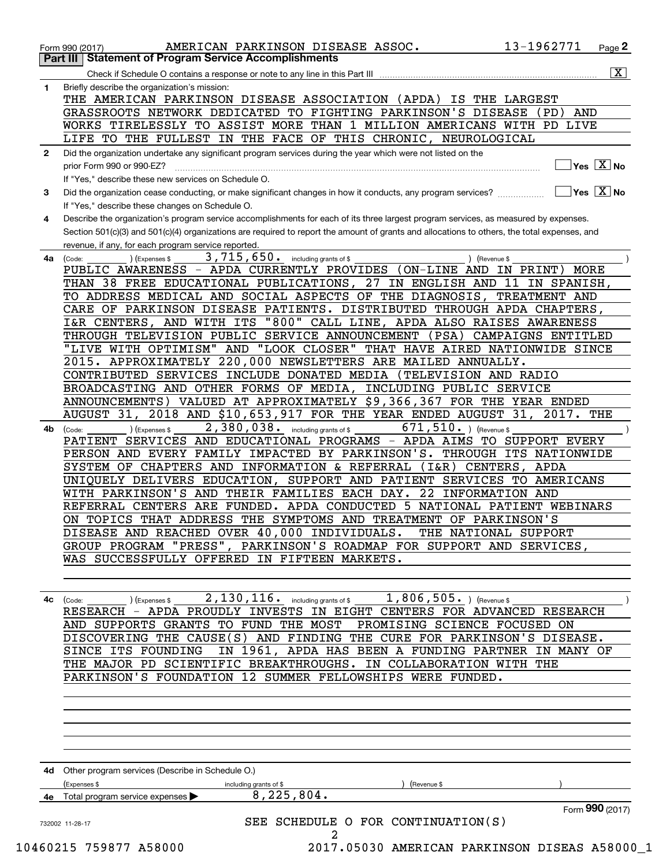|    | $\overline{\mathbf{x}}$                                                                                                                                |
|----|--------------------------------------------------------------------------------------------------------------------------------------------------------|
| 1  | Briefly describe the organization's mission:                                                                                                           |
|    | THE AMERICAN PARKINSON DISEASE ASSOCIATION (APDA)<br>IS THE LARGEST                                                                                    |
|    | GRASSROOTS NETWORK DEDICATED TO FIGHTING PARKINSON'S DISEASE<br>(PD)<br>AND                                                                            |
|    | WORKS TIRELESSLY TO ASSIST MORE THAN 1 MILLION AMERICANS WITH PD LIVE                                                                                  |
|    | LIFE TO THE FULLEST IN THE FACE OF THIS CHRONIC, NEUROLOGICAL                                                                                          |
| 2  | Did the organization undertake any significant program services during the year which were not listed on the                                           |
|    | $Yes \quad X$ No<br>prior Form 990 or 990-EZ?                                                                                                          |
|    | If "Yes," describe these new services on Schedule O.                                                                                                   |
| 3  | $\sqrt{}$ Yes $\sqrt{}$ X $\sqrt{}$ No<br>Did the organization cease conducting, or make significant changes in how it conducts, any program services? |
|    | If "Yes," describe these changes on Schedule O.                                                                                                        |
| 4  | Describe the organization's program service accomplishments for each of its three largest program services, as measured by expenses.                   |
|    | Section 501(c)(3) and 501(c)(4) organizations are required to report the amount of grants and allocations to others, the total expenses, and           |
|    | revenue, if any, for each program service reported.                                                                                                    |
| 4a | 3, 715, 650. including grants of \$<br>) (Revenue \$<br>(Expenses \$<br>(Code:                                                                         |
|    | PUBLIC AWARENESS - APDA CURRENTLY PROVIDES (ON-LINE AND IN PRINT) MORE                                                                                 |
|    | THAN 38 FREE EDUCATIONAL PUBLICATIONS, 27 IN ENGLISH AND 11 IN SPANISH,                                                                                |
|    | TO ADDRESS MEDICAL AND SOCIAL ASPECTS OF THE DIAGNOSIS,<br>TREATMENT AND                                                                               |
|    | CARE OF PARKINSON DISEASE PATIENTS. DISTRIBUTED THROUGH APDA CHAPTERS,                                                                                 |
|    | I&R CENTERS, AND WITH ITS "800" CALL LINE, APDA ALSO RAISES AWARENESS                                                                                  |
|    | THROUGH TELEVISION PUBLIC SERVICE ANNOUNCEMENT<br>(PSA)<br>CAMPAIGNS ENTITLED                                                                          |
|    | "LIVE WITH OPTIMISM" AND "LOOK CLOSER" THAT HAVE AIRED NATIONWIDE SINCE                                                                                |
|    | 2015. APPROXIMATELY 220,000 NEWSLETTERS ARE MAILED ANNUALLY.                                                                                           |
|    | CONTRIBUTED SERVICES INCLUDE DONATED MEDIA<br>(TELEVISION AND RADIO                                                                                    |
|    | BROADCASTING AND OTHER FORMS OF MEDIA, INCLUDING PUBLIC SERVICE                                                                                        |
|    | ANNOUNCEMENTS) VALUED AT APPROXIMATELY \$9,366,367 FOR THE YEAR ENDED                                                                                  |
|    | 2018 AND \$10,653,917 FOR THE YEAR ENDED AUGUST 31,<br>2017. THE<br>AUGUST 31,                                                                         |
| 4b | 2,380,038. including grants of \$<br>671,510. ) (Revenue \$<br>) (Expenses \$<br>(Code:                                                                |
|    | PATIENT SERVICES AND EDUCATIONAL PROGRAMS - APDA AIMS TO SUPPORT EVERY                                                                                 |
|    | PERSON AND EVERY FAMILY IMPACTED BY PARKINSON'S.<br>THROUGH ITS NATIONWIDE                                                                             |
|    | SYSTEM OF CHAPTERS AND INFORMATION & REFERRAL<br>$(1\&R)$ CENTERS,<br>APDA                                                                             |
|    | UNIQUELY DELIVERS EDUCATION, SUPPORT AND PATIENT SERVICES TO AMERICANS                                                                                 |
|    | 22<br>WITH PARKINSON'S AND THEIR FAMILIES EACH DAY.<br>INFORMATION AND                                                                                 |
|    | REFERRAL CENTERS ARE FUNDED. APDA CONDUCTED 5<br>NATIONAL PATIENT WEBINARS                                                                             |
|    | ON TOPICS THAT ADDRESS THE SYMPTOMS AND TREATMENT OF PARKINSON'S                                                                                       |
|    | DISEASE AND REACHED OVER 40,000 INDIVIDUALS.<br>THE NATIONAL SUPPORT                                                                                   |
|    | GROUP PROGRAM "PRESS", PARKINSON'S ROADMAP FOR SUPPORT AND SERVICES,                                                                                   |
|    | WAS SUCCESSFULLY OFFERED IN FIFTEEN MARKETS.                                                                                                           |
|    |                                                                                                                                                        |
|    |                                                                                                                                                        |
| 4c | 2, 130, 116. including grants of \$1, 806, 505. (Revenue \$<br>) (Expenses \$<br>(Code:                                                                |
|    | RESEARCH - APDA PROUDLY INVESTS IN EIGHT CENTERS FOR ADVANCED RESEARCH                                                                                 |
|    | AND SUPPORTS GRANTS TO FUND THE MOST PROMISING SCIENCE FOCUSED ON                                                                                      |
|    | DISCOVERING THE CAUSE(S) AND FINDING THE CURE FOR PARKINSON'S DISEASE.                                                                                 |
|    | IN 1961, APDA HAS BEEN A FUNDING PARTNER IN MANY OF<br>SINCE ITS FOUNDING                                                                              |
|    | THE MAJOR PD SCIENTIFIC BREAKTHROUGHS. IN COLLABORATION WITH THE                                                                                       |
|    | PARKINSON'S FOUNDATION 12 SUMMER FELLOWSHIPS WERE FUNDED.                                                                                              |
|    |                                                                                                                                                        |
|    |                                                                                                                                                        |
|    |                                                                                                                                                        |
|    |                                                                                                                                                        |
|    |                                                                                                                                                        |
|    |                                                                                                                                                        |
|    | 4d Other program services (Describe in Schedule O.)                                                                                                    |
|    | (Expenses \$<br>Revenue \$<br>including grants of \$                                                                                                   |
|    | 8, 225, 804.<br>4e Total program service expenses                                                                                                      |
|    | Form 990 (2017)                                                                                                                                        |
|    | SEE SCHEDULE O FOR CONTINUATION(S)<br>732002 11-28-17                                                                                                  |
|    |                                                                                                                                                        |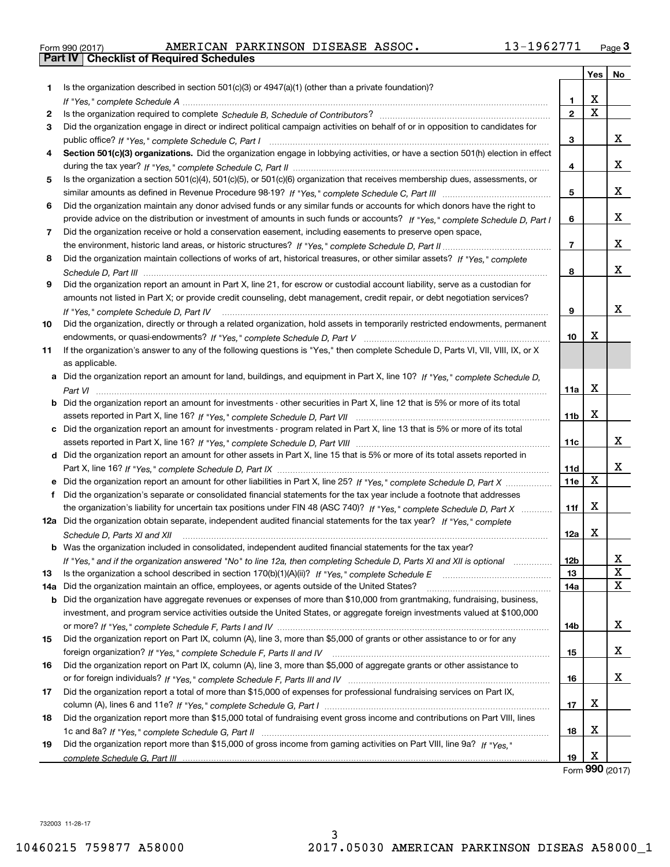| Form 990 (2017) |  |  |
|-----------------|--|--|

|     |                                                                                                                                      |              | <b>Yes</b> | No     |
|-----|--------------------------------------------------------------------------------------------------------------------------------------|--------------|------------|--------|
| 1.  | Is the organization described in section $501(c)(3)$ or $4947(a)(1)$ (other than a private foundation)?                              |              |            |        |
|     |                                                                                                                                      | 1            | X          |        |
| 2   |                                                                                                                                      | $\mathbf{2}$ | X          |        |
| 3   | Did the organization engage in direct or indirect political campaign activities on behalf of or in opposition to candidates for      |              |            |        |
|     |                                                                                                                                      | 3            |            | x      |
| 4   | Section 501(c)(3) organizations. Did the organization engage in lobbying activities, or have a section 501(h) election in effect     |              |            |        |
|     |                                                                                                                                      | 4            |            | X.     |
| 5   | Is the organization a section 501(c)(4), 501(c)(5), or 501(c)(6) organization that receives membership dues, assessments, or         |              |            |        |
|     |                                                                                                                                      | 5            |            | X.     |
| 6   | Did the organization maintain any donor advised funds or any similar funds or accounts for which donors have the right to            |              |            |        |
|     | provide advice on the distribution or investment of amounts in such funds or accounts? If "Yes," complete Schedule D, Part I         | 6            |            | x      |
| 7   | Did the organization receive or hold a conservation easement, including easements to preserve open space,                            |              |            |        |
|     |                                                                                                                                      | 7            |            | x      |
| 8   | Did the organization maintain collections of works of art, historical treasures, or other similar assets? If "Yes," complete         |              |            |        |
|     |                                                                                                                                      | 8            |            | X.     |
| 9   | Did the organization report an amount in Part X, line 21, for escrow or custodial account liability, serve as a custodian for        |              |            |        |
|     |                                                                                                                                      |              |            |        |
|     | amounts not listed in Part X; or provide credit counseling, debt management, credit repair, or debt negotiation services?            | 9            |            | x      |
|     | If "Yes," complete Schedule D, Part IV                                                                                               |              |            |        |
| 10  | Did the organization, directly or through a related organization, hold assets in temporarily restricted endowments, permanent        |              | X          |        |
|     |                                                                                                                                      | 10           |            |        |
| 11  | If the organization's answer to any of the following questions is "Yes," then complete Schedule D, Parts VI, VII, VIII, IX, or X     |              |            |        |
|     | as applicable.                                                                                                                       |              |            |        |
|     | a Did the organization report an amount for land, buildings, and equipment in Part X, line 10? If "Yes," complete Schedule D,        |              | X          |        |
|     |                                                                                                                                      | 11a          |            |        |
|     | <b>b</b> Did the organization report an amount for investments - other securities in Part X, line 12 that is 5% or more of its total |              | х          |        |
|     |                                                                                                                                      | 11b          |            |        |
|     | c Did the organization report an amount for investments - program related in Part X, line 13 that is 5% or more of its total         |              |            | x      |
|     |                                                                                                                                      | 11c          |            |        |
|     | d Did the organization report an amount for other assets in Part X, line 15 that is 5% or more of its total assets reported in       |              |            | x      |
|     |                                                                                                                                      | 11d          |            |        |
|     |                                                                                                                                      | 11e          | х          |        |
| f   | Did the organization's separate or consolidated financial statements for the tax year include a footnote that addresses              |              |            |        |
|     | the organization's liability for uncertain tax positions under FIN 48 (ASC 740)? If "Yes," complete Schedule D, Part X               | 11f          | х          |        |
|     | 12a Did the organization obtain separate, independent audited financial statements for the tax year? If "Yes," complete              |              |            |        |
|     | Schedule D, Parts XI and XII                                                                                                         | 12a          | х          |        |
|     | <b>b</b> Was the organization included in consolidated, independent audited financial statements for the tax year?                   |              |            |        |
|     | If "Yes," and if the organization answered "No" to line 12a, then completing Schedule D, Parts XI and XII is optional                | 12b          |            | x      |
| 13  |                                                                                                                                      | 13           |            | x<br>X |
| 14a | Did the organization maintain an office, employees, or agents outside of the United States?                                          | 14a          |            |        |
|     | <b>b</b> Did the organization have aggregate revenues or expenses of more than \$10,000 from grantmaking, fundraising, business,     |              |            |        |
|     | investment, and program service activities outside the United States, or aggregate foreign investments valued at \$100,000           |              |            |        |
|     |                                                                                                                                      | 14b          |            | x      |
| 15  | Did the organization report on Part IX, column (A), line 3, more than \$5,000 of grants or other assistance to or for any            |              |            |        |
|     |                                                                                                                                      | 15           |            | x      |
| 16  | Did the organization report on Part IX, column (A), line 3, more than \$5,000 of aggregate grants or other assistance to             |              |            |        |
|     |                                                                                                                                      | 16           |            | x      |
| 17  | Did the organization report a total of more than \$15,000 of expenses for professional fundraising services on Part IX,              |              |            |        |
|     |                                                                                                                                      | 17           | x          |        |
| 18  | Did the organization report more than \$15,000 total of fundraising event gross income and contributions on Part VIII, lines         |              |            |        |
|     |                                                                                                                                      | 18           | x          |        |
| 19  | Did the organization report more than \$15,000 of gross income from gaming activities on Part VIII, line 9a? If "Yes."               |              |            |        |
|     |                                                                                                                                      | 19           | х          |        |

Form (2017) **990**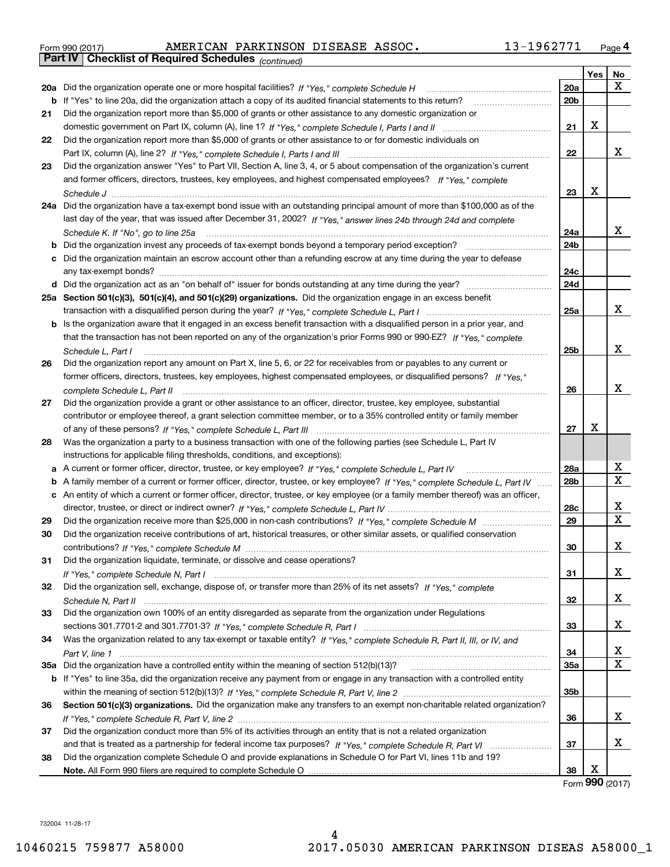| Form 990 (2017) |                                                              | AMERICAN PARKINSON DISEASE ASSOC. |  | 13-1962771 | Page 4 |
|-----------------|--------------------------------------------------------------|-----------------------------------|--|------------|--------|
|                 | <b>Part IV   Checklist of Required Schedules</b> (continued) |                                   |  |            |        |

|    | Pall IV  <br>Criecklist of Required Scriedules (continued)                                                                        |                 |     |    |
|----|-----------------------------------------------------------------------------------------------------------------------------------|-----------------|-----|----|
|    |                                                                                                                                   |                 | Yes | No |
|    | 20a Did the organization operate one or more hospital facilities? If "Yes," complete Schedule H                                   | 20a             |     | x  |
|    | <b>b</b> If "Yes" to line 20a, did the organization attach a copy of its audited financial statements to this return?             | 20 <sub>b</sub> |     |    |
| 21 | Did the organization report more than \$5,000 of grants or other assistance to any domestic organization or                       |                 |     |    |
|    |                                                                                                                                   | 21              | X   |    |
| 22 | Did the organization report more than \$5,000 of grants or other assistance to or for domestic individuals on                     |                 |     |    |
|    |                                                                                                                                   | 22              |     | x  |
| 23 | Did the organization answer "Yes" to Part VII, Section A, line 3, 4, or 5 about compensation of the organization's current        |                 |     |    |
|    | and former officers, directors, trustees, key employees, and highest compensated employees? If "Yes," complete                    |                 |     |    |
|    |                                                                                                                                   | 23              | X   |    |
|    | 24a Did the organization have a tax-exempt bond issue with an outstanding principal amount of more than \$100,000 as of the       |                 |     |    |
|    |                                                                                                                                   |                 |     |    |
|    | last day of the year, that was issued after December 31, 2002? If "Yes," answer lines 24b through 24d and complete                |                 |     | x  |
|    | Schedule K. If "No", go to line 25a                                                                                               | 24a             |     |    |
|    | <b>b</b> Did the organization invest any proceeds of tax-exempt bonds beyond a temporary period exception?                        | 24 <sub>b</sub> |     |    |
|    | c Did the organization maintain an escrow account other than a refunding escrow at any time during the year to defease            |                 |     |    |
|    |                                                                                                                                   | 24c             |     |    |
|    | d Did the organization act as an "on behalf of" issuer for bonds outstanding at any time during the year?                         | 24d             |     |    |
|    | 25a Section 501(c)(3), 501(c)(4), and 501(c)(29) organizations. Did the organization engage in an excess benefit                  |                 |     |    |
|    |                                                                                                                                   | 25a             |     | x  |
|    | b Is the organization aware that it engaged in an excess benefit transaction with a disqualified person in a prior year, and      |                 |     |    |
|    | that the transaction has not been reported on any of the organization's prior Forms 990 or 990-EZ? If "Yes," complete             |                 |     |    |
|    | Schedule L. Part I                                                                                                                | 25b             |     | х  |
| 26 | Did the organization report any amount on Part X, line 5, 6, or 22 for receivables from or payables to any current or             |                 |     |    |
|    | former officers, directors, trustees, key employees, highest compensated employees, or disqualified persons? If "Yes."            |                 |     |    |
|    | complete Schedule L, Part II                                                                                                      | 26              |     | х  |
| 27 | Did the organization provide a grant or other assistance to an officer, director, trustee, key employee, substantial              |                 |     |    |
|    | contributor or employee thereof, a grant selection committee member, or to a 35% controlled entity or family member               |                 |     |    |
|    |                                                                                                                                   | 27              | X   |    |
| 28 | Was the organization a party to a business transaction with one of the following parties (see Schedule L, Part IV                 |                 |     |    |
|    | instructions for applicable filing thresholds, conditions, and exceptions):                                                       |                 |     |    |
|    | a A current or former officer, director, trustee, or key employee? If "Yes," complete Schedule L, Part IV                         | 28a             |     | х  |
|    | b A family member of a current or former officer, director, trustee, or key employee? If "Yes," complete Schedule L, Part IV      | 28 <sub>b</sub> |     | х  |
|    | c An entity of which a current or former officer, director, trustee, or key employee (or a family member thereof) was an officer, |                 |     |    |
|    |                                                                                                                                   | 28c             |     | х  |
|    |                                                                                                                                   | 29              |     | X  |
| 29 |                                                                                                                                   |                 |     |    |
| 30 | Did the organization receive contributions of art, historical treasures, or other similar assets, or qualified conservation       |                 |     | х  |
|    |                                                                                                                                   | 30              |     |    |
| 31 | Did the organization liquidate, terminate, or dissolve and cease operations?                                                      |                 |     |    |
|    |                                                                                                                                   | 31              |     | x  |
| 32 | Did the organization sell, exchange, dispose of, or transfer more than 25% of its net assets? If "Yes," complete                  |                 |     |    |
|    |                                                                                                                                   | 32              |     | x  |
| 33 | Did the organization own 100% of an entity disregarded as separate from the organization under Regulations                        |                 |     |    |
|    |                                                                                                                                   | 33              |     | x  |
| 34 | Was the organization related to any tax-exempt or taxable entity? If "Yes," complete Schedule R, Part II, III, or IV, and         |                 |     |    |
|    |                                                                                                                                   | 34              |     | х  |
|    |                                                                                                                                   | 35a             |     | х  |
|    | b If "Yes" to line 35a, did the organization receive any payment from or engage in any transaction with a controlled entity       |                 |     |    |
|    |                                                                                                                                   | 35b             |     |    |
| 36 | Section 501(c)(3) organizations. Did the organization make any transfers to an exempt non-charitable related organization?        |                 |     |    |
|    |                                                                                                                                   | 36              |     | x  |
| 37 | Did the organization conduct more than 5% of its activities through an entity that is not a related organization                  |                 |     |    |
|    |                                                                                                                                   | 37              |     | x  |
| 38 | Did the organization complete Schedule O and provide explanations in Schedule O for Part VI, lines 11b and 19?                    |                 |     |    |
|    |                                                                                                                                   | 38              | х   |    |

Form (2017) **990**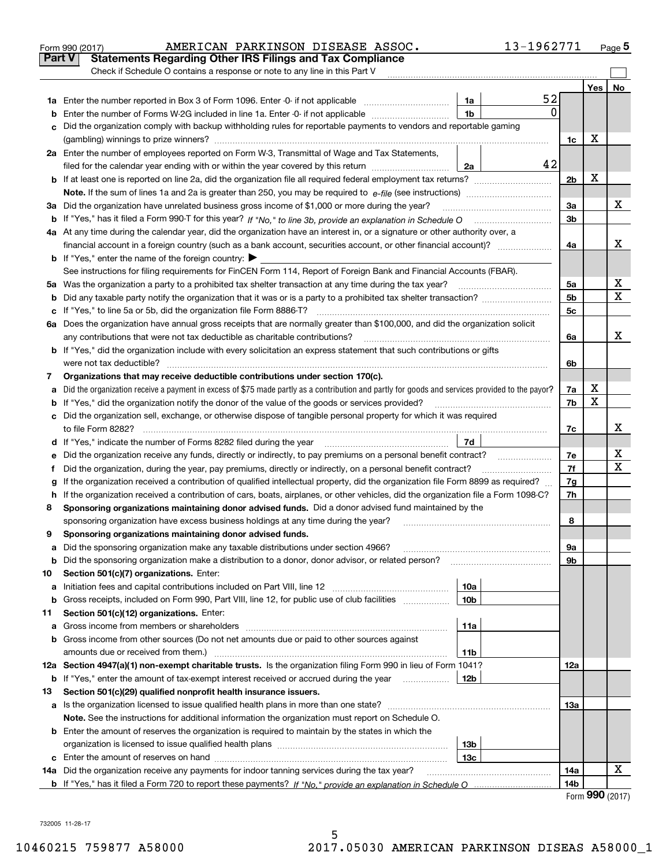|        | 13-1962771<br>AMERICAN PARKINSON DISEASE ASSOC.<br>Form 990 (2017)                                                                                                                                                                           |                |        | Page 5 |
|--------|----------------------------------------------------------------------------------------------------------------------------------------------------------------------------------------------------------------------------------------------|----------------|--------|--------|
| Part V | <b>Statements Regarding Other IRS Filings and Tax Compliance</b>                                                                                                                                                                             |                |        |        |
|        | Check if Schedule O contains a response or note to any line in this Part V                                                                                                                                                                   |                |        |        |
|        |                                                                                                                                                                                                                                              |                | Yes    | No     |
|        | 52<br>1a                                                                                                                                                                                                                                     |                |        |        |
| b      | 0<br>1 <sub>b</sub><br>Enter the number of Forms W-2G included in line 1a. Enter -0- if not applicable                                                                                                                                       |                |        |        |
| c      | Did the organization comply with backup withholding rules for reportable payments to vendors and reportable gaming                                                                                                                           |                |        |        |
|        |                                                                                                                                                                                                                                              | 1c             | х      |        |
|        | 2a Enter the number of employees reported on Form W-3, Transmittal of Wage and Tax Statements,                                                                                                                                               |                |        |        |
|        | 42<br>filed for the calendar year ending with or within the year covered by this return<br>2a                                                                                                                                                |                |        |        |
|        |                                                                                                                                                                                                                                              | 2 <sub>b</sub> | х      |        |
|        |                                                                                                                                                                                                                                              |                |        |        |
|        | 3a Did the organization have unrelated business gross income of \$1,000 or more during the year?                                                                                                                                             | За             |        | х      |
|        |                                                                                                                                                                                                                                              | 3b             |        |        |
|        | 4a At any time during the calendar year, did the organization have an interest in, or a signature or other authority over, a                                                                                                                 |                |        |        |
|        | financial account in a foreign country (such as a bank account, securities account, or other financial account)?                                                                                                                             | 4a             |        | x      |
|        | <b>b</b> If "Yes," enter the name of the foreign country: $\blacktriangleright$                                                                                                                                                              |                |        |        |
|        | See instructions for filing requirements for FinCEN Form 114, Report of Foreign Bank and Financial Accounts (FBAR).                                                                                                                          |                |        |        |
|        |                                                                                                                                                                                                                                              | 5a             |        | х      |
| b      |                                                                                                                                                                                                                                              | 5 <sub>b</sub> |        | х      |
| c      |                                                                                                                                                                                                                                              | 5c             |        |        |
|        | 6a Does the organization have annual gross receipts that are normally greater than \$100,000, and did the organization solicit                                                                                                               |                |        |        |
|        |                                                                                                                                                                                                                                              | 6a             |        | x      |
|        | <b>b</b> If "Yes," did the organization include with every solicitation an express statement that such contributions or gifts                                                                                                                |                |        |        |
|        |                                                                                                                                                                                                                                              | 6b             |        |        |
| 7      | Organizations that may receive deductible contributions under section 170(c).                                                                                                                                                                |                |        |        |
| a      | Did the organization receive a payment in excess of \$75 made partly as a contribution and partly for goods and services provided to the payor?                                                                                              | 7a             | х<br>X |        |
|        | <b>b</b> If "Yes," did the organization notify the donor of the value of the goods or services provided?                                                                                                                                     | 7b             |        |        |
|        | c Did the organization sell, exchange, or otherwise dispose of tangible personal property for which it was required                                                                                                                          |                |        | х      |
|        |                                                                                                                                                                                                                                              | 7c             |        |        |
|        | 7d<br>d If "Yes," indicate the number of Forms 8282 filed during the year [11,111] The Section of Holder and The Year                                                                                                                        |                |        | х      |
| е      |                                                                                                                                                                                                                                              | 7e             |        | х      |
| f      | Did the organization, during the year, pay premiums, directly or indirectly, on a personal benefit contract?                                                                                                                                 | 7f             |        |        |
| g      | If the organization received a contribution of qualified intellectual property, did the organization file Form 8899 as required?                                                                                                             | 7g<br>7h       |        |        |
| 8      | h If the organization received a contribution of cars, boats, airplanes, or other vehicles, did the organization file a Form 1098-C?<br>Sponsoring organizations maintaining donor advised funds. Did a donor advised fund maintained by the |                |        |        |
|        |                                                                                                                                                                                                                                              | 8              |        |        |
|        | sponsoring organization have excess business holdings at any time during the year?<br>Sponsoring organizations maintaining donor advised funds.                                                                                              |                |        |        |
| a      | Did the sponsoring organization make any taxable distributions under section 4966?                                                                                                                                                           | 9а             |        |        |
| b      | Did the sponsoring organization make a distribution to a donor, donor advisor, or related person?                                                                                                                                            | 9b             |        |        |
| 10     | Section 501(c)(7) organizations. Enter:                                                                                                                                                                                                      |                |        |        |
| а      | 10a<br>Initiation fees and capital contributions included on Part VIII, line 12 <i>manuarrouus</i> manuations of the lates                                                                                                                   |                |        |        |
| b      | 10 <sub>b</sub><br>Gross receipts, included on Form 990, Part VIII, line 12, for public use of club facilities manument                                                                                                                      |                |        |        |
| 11     | Section 501(c)(12) organizations. Enter:                                                                                                                                                                                                     |                |        |        |
| a      | 11a                                                                                                                                                                                                                                          |                |        |        |
|        | b Gross income from other sources (Do not net amounts due or paid to other sources against                                                                                                                                                   |                |        |        |
|        | amounts due or received from them.)<br>11b                                                                                                                                                                                                   |                |        |        |
|        | 12a Section 4947(a)(1) non-exempt charitable trusts. Is the organization filing Form 990 in lieu of Form 1041?                                                                                                                               | 12a            |        |        |
|        | <b>b</b> If "Yes," enter the amount of tax-exempt interest received or accrued during the year <i>manument</i> of<br>12b                                                                                                                     |                |        |        |
| 13     | Section 501(c)(29) qualified nonprofit health insurance issuers.                                                                                                                                                                             |                |        |        |
| a      | Is the organization licensed to issue qualified health plans in more than one state?                                                                                                                                                         | 13а            |        |        |
|        | Note. See the instructions for additional information the organization must report on Schedule O.                                                                                                                                            |                |        |        |
|        | <b>b</b> Enter the amount of reserves the organization is required to maintain by the states in which the                                                                                                                                    |                |        |        |
|        | 13 <sub>b</sub>                                                                                                                                                                                                                              |                |        |        |
|        | 13c                                                                                                                                                                                                                                          |                |        |        |
|        | 14a Did the organization receive any payments for indoor tanning services during the tax year?                                                                                                                                               | 14a            |        | х      |
|        |                                                                                                                                                                                                                                              | 14b            |        |        |
|        |                                                                                                                                                                                                                                              |                | nnn    |        |

| Form 990 (2017) |  |  |
|-----------------|--|--|
|-----------------|--|--|

|     | ו ז ו טצנ      |  |
|-----|----------------|--|
| · V | Statemente Ren |  |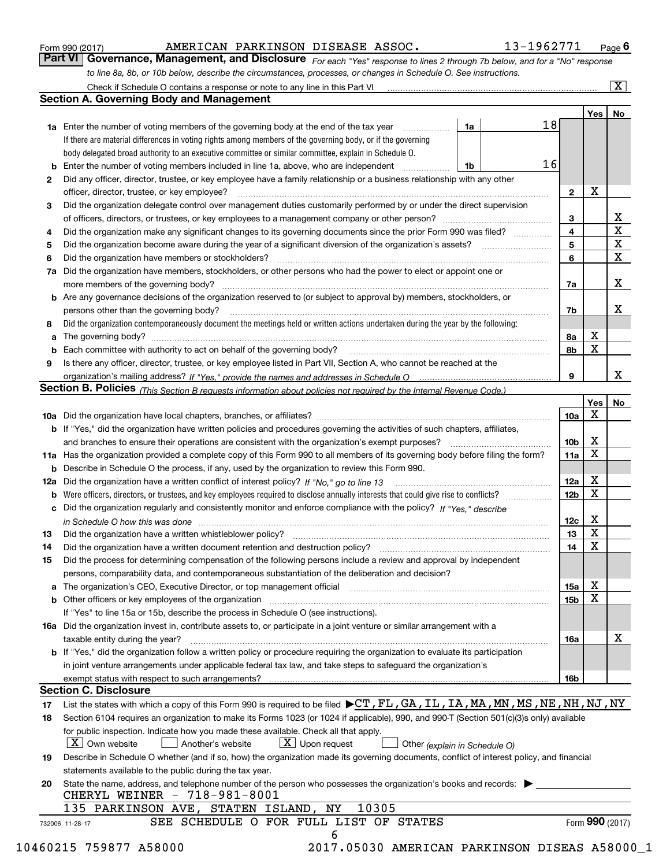|  | Form 990 (2017) |
|--|-----------------|
|  |                 |

# AMERICAN PARKINSON DISEASE ASSOC. 13-1962771

*For each "Yes" response to lines 2 through 7b below, and for a "No" response to line 8a, 8b, or 10b below, describe the circumstances, processes, or changes in Schedule O. See instructions.* Form 990 (2017) **AMERICAN PARKINSON DISEASE ASSOC.** 13-1962771 <sub>Page</sub> 6<br>**Part VI Governance, Management, and Disclosure** *For each "Yes" response to lines 2 through 7b below, and for a "No" response* 

|    |                                                                                                                                                                                                                                |                               |                 | Yes   No        |                         |
|----|--------------------------------------------------------------------------------------------------------------------------------------------------------------------------------------------------------------------------------|-------------------------------|-----------------|-----------------|-------------------------|
|    | <b>1a</b> Enter the number of voting members of the governing body at the end of the tax year <i>manumum</i>                                                                                                                   | 1a                            | 18              |                 |                         |
|    | If there are material differences in voting rights among members of the governing body, or if the governing                                                                                                                    |                               |                 |                 |                         |
|    | body delegated broad authority to an executive committee or similar committee, explain in Schedule O.                                                                                                                          |                               |                 |                 |                         |
|    | <b>b</b> Enter the number of voting members included in line 1a, above, who are independent <i>manument</i> in                                                                                                                 | 1b                            | 16              |                 |                         |
| 2  | Did any officer, director, trustee, or key employee have a family relationship or a business relationship with any other                                                                                                       |                               |                 |                 |                         |
|    | officer, director, trustee, or key employee?                                                                                                                                                                                   |                               | $\mathbf{2}$    | X               |                         |
| З  | Did the organization delegate control over management duties customarily performed by or under the direct supervision                                                                                                          |                               |                 |                 |                         |
|    |                                                                                                                                                                                                                                |                               | 3               |                 | $\overline{\mathbf{X}}$ |
| 4  | Did the organization make any significant changes to its governing documents since the prior Form 990 was filed?                                                                                                               |                               | $\overline{4}$  |                 | $\overline{\texttt{x}}$ |
| 5  |                                                                                                                                                                                                                                |                               | 5               |                 | $\overline{\mathbf{x}}$ |
| 6  |                                                                                                                                                                                                                                |                               | 6               |                 | $\overline{\mathbf{x}}$ |
|    | 7a Did the organization have members, stockholders, or other persons who had the power to elect or appoint one or                                                                                                              |                               |                 |                 |                         |
|    |                                                                                                                                                                                                                                |                               | 7a              |                 | х                       |
|    | <b>b</b> Are any governance decisions of the organization reserved to (or subject to approval by) members, stockholders, or                                                                                                    |                               |                 |                 |                         |
|    | persons other than the governing body?                                                                                                                                                                                         |                               | 7b              |                 | х                       |
| 8  | Did the organization contemporaneously document the meetings held or written actions undertaken during the year by the following:                                                                                              |                               |                 |                 |                         |
|    |                                                                                                                                                                                                                                |                               | 8а              | $\mathbf X$     |                         |
|    |                                                                                                                                                                                                                                |                               | 8b              | $\mathbf X$     |                         |
| 9  | Is there any officer, director, trustee, or key employee listed in Part VII, Section A, who cannot be reached at the                                                                                                           |                               |                 |                 |                         |
|    |                                                                                                                                                                                                                                |                               | 9               |                 | x                       |
|    | Section B. Policies (This Section B requests information about policies not required by the Internal Revenue Code.)                                                                                                            |                               |                 |                 |                         |
|    |                                                                                                                                                                                                                                |                               |                 | Yes             | No                      |
|    |                                                                                                                                                                                                                                |                               | 10a             | X               |                         |
|    | b If "Yes," did the organization have written policies and procedures governing the activities of such chapters, affiliates,                                                                                                   |                               |                 |                 |                         |
|    |                                                                                                                                                                                                                                |                               | 10 <sub>b</sub> | х               |                         |
|    | 11a Has the organization provided a complete copy of this Form 990 to all members of its governing body before filing the form?                                                                                                |                               | 11a             | $\mathbf X$     |                         |
|    | <b>b</b> Describe in Schedule O the process, if any, used by the organization to review this Form 990.                                                                                                                         |                               |                 |                 |                         |
|    |                                                                                                                                                                                                                                |                               | 12a             | х               |                         |
|    |                                                                                                                                                                                                                                |                               | 12 <sub>b</sub> | $\mathbf X$     |                         |
|    | c Did the organization regularly and consistently monitor and enforce compliance with the policy? If "Yes," describe                                                                                                           |                               |                 |                 |                         |
|    |                                                                                                                                                                                                                                |                               | 12c             | Х               |                         |
|    | in Schedule O how this was done with the control of the control of the control of the control of the control o                                                                                                                 |                               | 13              | X               |                         |
| 13 |                                                                                                                                                                                                                                |                               |                 | $\mathbf X$     |                         |
| 14 | Did the organization have a written document retention and destruction policy?<br>The organization have a written document retention and destruction policy?                                                                   |                               | 14              |                 |                         |
| 15 | Did the process for determining compensation of the following persons include a review and approval by independent                                                                                                             |                               |                 |                 |                         |
|    | persons, comparability data, and contemporaneous substantiation of the deliberation and decision?                                                                                                                              |                               |                 | х               |                         |
|    | a The organization's CEO, Executive Director, or top management official [11] [12] The organization's CEO, Executive Director, or top management official [12] [12] [12] [12] The organization's CEO, Executive Director, or t |                               | 15a             | X               |                         |
|    | b Other officers or key employees of the organization manufactured content to the organization manufactured by Other officers or key employees of the organization manufactured by the state of the organization manufactured  |                               | 15b             |                 |                         |
|    | If "Yes" to line 15a or 15b, describe the process in Schedule O (see instructions).                                                                                                                                            |                               |                 |                 |                         |
|    | 16a Did the organization invest in, contribute assets to, or participate in a joint venture or similar arrangement with a                                                                                                      |                               |                 |                 |                         |
|    | taxable entity during the year?                                                                                                                                                                                                |                               | 16a             |                 | X                       |
|    | <b>b</b> If "Yes," did the organization follow a written policy or procedure requiring the organization to evaluate its participation                                                                                          |                               |                 |                 |                         |
|    | in joint venture arrangements under applicable federal tax law, and take steps to safeguard the organization's                                                                                                                 |                               |                 |                 |                         |
|    |                                                                                                                                                                                                                                |                               | 16b             |                 |                         |
|    | <b>Section C. Disclosure</b>                                                                                                                                                                                                   |                               |                 |                 |                         |
| 17 | List the states with which a copy of this Form 990 is required to be filed $\blacktriangleright$ CT, FL, GA, IL, IA, MA, MN, MS, NE, NH, NJ, NY                                                                                |                               |                 |                 |                         |
| 18 | Section 6104 requires an organization to make its Forms 1023 (or 1024 if applicable), 990, and 990-T (Section 501(c)(3)s only) available                                                                                       |                               |                 |                 |                         |
|    | for public inspection. Indicate how you made these available. Check all that apply.                                                                                                                                            |                               |                 |                 |                         |
|    | X Own website<br>$\lfloor x \rfloor$ Upon request<br>Another's website                                                                                                                                                         | Other (explain in Schedule O) |                 |                 |                         |
| 19 | Describe in Schedule O whether (and if so, how) the organization made its governing documents, conflict of interest policy, and financial                                                                                      |                               |                 |                 |                         |
|    | statements available to the public during the tax year.                                                                                                                                                                        |                               |                 |                 |                         |
| 20 | State the name, address, and telephone number of the person who possesses the organization's books and records:                                                                                                                |                               |                 |                 |                         |
|    | CHERYL WEINER - 718-981-8001                                                                                                                                                                                                   |                               |                 |                 |                         |
|    | 10305<br>135 PARKINSON AVE, STATEN ISLAND, NY                                                                                                                                                                                  |                               |                 |                 |                         |
|    | SEE SCHEDULE O FOR FULL LIST OF STATES<br>732006 11-28-17                                                                                                                                                                      |                               |                 | Form 990 (2017) |                         |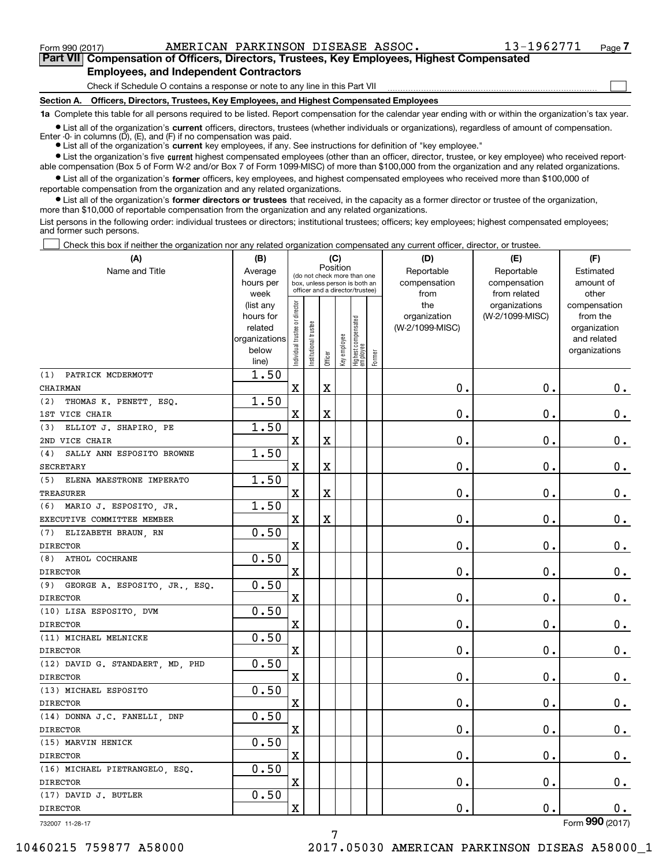$\mathcal{L}^{\text{max}}$ 

**7Part VII Compensation of Officers, Directors, Trustees, Key Employees, Highest Compensated Employees, and Independent Contractors**

Check if Schedule O contains a response or note to any line in this Part VII

**Section A. Officers, Directors, Trustees, Key Employees, and Highest Compensated Employees**

**1a**  Complete this table for all persons required to be listed. Report compensation for the calendar year ending with or within the organization's tax year.

**•** List all of the organization's current officers, directors, trustees (whether individuals or organizations), regardless of amount of compensation. Enter -0- in columns  $(D)$ ,  $(E)$ , and  $(F)$  if no compensation was paid.

● List all of the organization's **current** key employees, if any. See instructions for definition of "key employee."

**•** List the organization's five current highest compensated employees (other than an officer, director, trustee, or key employee) who received reportable compensation (Box 5 of Form W-2 and/or Box 7 of Form 1099-MISC) of more than \$100,000 from the organization and any related organizations.

 $\bullet$  List all of the organization's **former** officers, key employees, and highest compensated employees who received more than \$100,000 of reportable compensation from the organization and any related organizations.

**•** List all of the organization's former directors or trustees that received, in the capacity as a former director or trustee of the organization, more than \$10,000 of reportable compensation from the organization and any related organizations.

List persons in the following order: individual trustees or directors; institutional trustees; officers; key employees; highest compensated employees; and former such persons.

Check this box if neither the organization nor any related organization compensated any current officer, director, or trustee.  $\mathcal{L}^{\text{max}}$ 

| (A)                               | (B)                    |                               |                      |                         | (C)          |                                                                  |        | (D)                             | (E)                              | (F)                      |
|-----------------------------------|------------------------|-------------------------------|----------------------|-------------------------|--------------|------------------------------------------------------------------|--------|---------------------------------|----------------------------------|--------------------------|
| Name and Title                    | Average                |                               |                      | Position                |              | (do not check more than one                                      |        | Reportable                      | Reportable                       | Estimated                |
|                                   | hours per              |                               |                      |                         |              | box, unless person is both an<br>officer and a director/trustee) |        | compensation                    | compensation                     | amount of                |
|                                   | week                   |                               |                      |                         |              |                                                                  |        | from                            | from related                     | other                    |
|                                   | (list any<br>hours for |                               |                      |                         |              |                                                                  |        | the                             | organizations<br>(W-2/1099-MISC) | compensation<br>from the |
|                                   | related                |                               |                      |                         |              |                                                                  |        | organization<br>(W-2/1099-MISC) |                                  | organization             |
|                                   | organizations          |                               |                      |                         |              |                                                                  |        |                                 |                                  | and related              |
|                                   | below                  | ndividual trustee or director | nstitutional trustee |                         | Key employee |                                                                  |        |                                 |                                  | organizations            |
|                                   | line)                  |                               |                      | Officer                 |              | Highest compensated<br> employee                                 | Former |                                 |                                  |                          |
| PATRICK MCDERMOTT<br>(1)          | 1.50                   |                               |                      |                         |              |                                                                  |        |                                 |                                  |                          |
| <b>CHAIRMAN</b>                   |                        | $\mathbf X$                   |                      | $\overline{\textbf{X}}$ |              |                                                                  |        | 0.                              | $\mathbf 0$ .                    | 0.                       |
| THOMAS K. PENETT, ESQ.<br>(2)     | 1.50                   |                               |                      |                         |              |                                                                  |        |                                 |                                  |                          |
| 1ST VICE CHAIR                    |                        | Χ                             |                      | $\overline{\mathbf{X}}$ |              |                                                                  |        | 0.                              | $\mathbf 0$ .                    | 0.                       |
| ELLIOT J. SHAPIRO, PE<br>(3)      | 1.50                   |                               |                      |                         |              |                                                                  |        |                                 |                                  |                          |
| 2ND VICE CHAIR                    |                        | $\mathbf X$                   |                      | $\rm X$                 |              |                                                                  |        | 0.                              | $\mathbf 0$ .                    | 0.                       |
| SALLY ANN ESPOSITO BROWNE<br>(4)  | 1.50                   |                               |                      |                         |              |                                                                  |        |                                 |                                  |                          |
| <b>SECRETARY</b>                  |                        | Χ                             |                      | X                       |              |                                                                  |        | 0.                              | $\mathbf 0$ .                    | 0.                       |
| ELENA MAESTRONE IMPERATO<br>(5)   | 1.50                   |                               |                      |                         |              |                                                                  |        |                                 |                                  |                          |
| TREASURER                         |                        | $\mathbf X$                   |                      | $\overline{\textbf{X}}$ |              |                                                                  |        | 0.                              | $\mathbf 0$ .                    | $\mathbf 0$ .            |
| $(6)$ MARIO J. ESPOSITO, JR.      | 1.50                   |                               |                      |                         |              |                                                                  |        |                                 |                                  |                          |
| EXECUTIVE COMMITTEE MEMBER        |                        | X                             |                      | $\overline{\textbf{X}}$ |              |                                                                  |        | 0.                              | $\mathbf 0$ .                    | $\mathbf 0$ .            |
| (7) ELIZABETH BRAUN, RN           | 0.50                   |                               |                      |                         |              |                                                                  |        |                                 |                                  |                          |
| <b>DIRECTOR</b>                   |                        | $\mathbf X$                   |                      |                         |              |                                                                  |        | $\mathbf 0$ .                   | 0.                               | $\mathbf 0$ .            |
| (8) ATHOL COCHRANE                | 0.50                   |                               |                      |                         |              |                                                                  |        |                                 |                                  |                          |
| <b>DIRECTOR</b>                   |                        | X                             |                      |                         |              |                                                                  |        | 0.                              | $\mathbf 0$ .                    | $0_{.}$                  |
| (9) GEORGE A. ESPOSITO, JR., ESQ. | 0.50                   |                               |                      |                         |              |                                                                  |        |                                 |                                  |                          |
| <b>DIRECTOR</b>                   |                        | $\mathbf X$                   |                      |                         |              |                                                                  |        | 0.                              | $\mathbf 0$ .                    | $\mathbf 0$ .            |
| (10) LISA ESPOSITO, DVM           | 0.50                   |                               |                      |                         |              |                                                                  |        |                                 |                                  |                          |
| <b>DIRECTOR</b>                   |                        | $\mathbf X$                   |                      |                         |              |                                                                  |        | 0.                              | $\mathbf 0$ .                    | 0.                       |
| (11) MICHAEL MELNICKE             | 0.50                   |                               |                      |                         |              |                                                                  |        |                                 |                                  |                          |
| <b>DIRECTOR</b>                   |                        | $\mathbf X$                   |                      |                         |              |                                                                  |        | 0.                              | $\mathbf 0$ .                    | 0.                       |
| (12) DAVID G. STANDAERT, MD, PHD  | 0.50                   |                               |                      |                         |              |                                                                  |        |                                 |                                  |                          |
| <b>DIRECTOR</b>                   |                        | X                             |                      |                         |              |                                                                  |        | 0.                              | $\mathbf 0$ .                    | $0_{.}$                  |
| (13) MICHAEL ESPOSITO             | 0.50                   |                               |                      |                         |              |                                                                  |        |                                 |                                  |                          |
| <b>DIRECTOR</b>                   |                        | $\mathbf X$                   |                      |                         |              |                                                                  |        | 0.                              | $\mathbf 0$ .                    | 0.                       |
| (14) DONNA J.C. FANELLI, DNP      | 0.50                   |                               |                      |                         |              |                                                                  |        |                                 |                                  |                          |
| <b>DIRECTOR</b>                   |                        | $\mathbf X$                   |                      |                         |              |                                                                  |        | 0.                              | 0.                               | $\mathbf 0$ .            |
| (15) MARVIN HENICK                | 0.50                   |                               |                      |                         |              |                                                                  |        |                                 |                                  |                          |
| <b>DIRECTOR</b>                   |                        | X                             |                      |                         |              |                                                                  |        | 0.                              | 0.                               | $\mathbf 0$ .            |
| (16) MICHAEL PIETRANGELO, ESQ.    | 0.50                   |                               |                      |                         |              |                                                                  |        |                                 |                                  |                          |
| <b>DIRECTOR</b>                   |                        | $\mathbf X$                   |                      |                         |              |                                                                  |        | 0.                              | 0.                               | 0.                       |
| (17) DAVID J. BUTLER              | 0.50                   |                               |                      |                         |              |                                                                  |        |                                 |                                  |                          |
| <b>DIRECTOR</b>                   |                        | $\mathbf X$                   |                      |                         |              |                                                                  |        | 0.                              | $\mathbf 0$ .                    | $0_{.}$                  |

732007 11-28-17

10460215 759877 A58000 2017.05030 AMERICAN PARKINSON DISEAS A58000\_1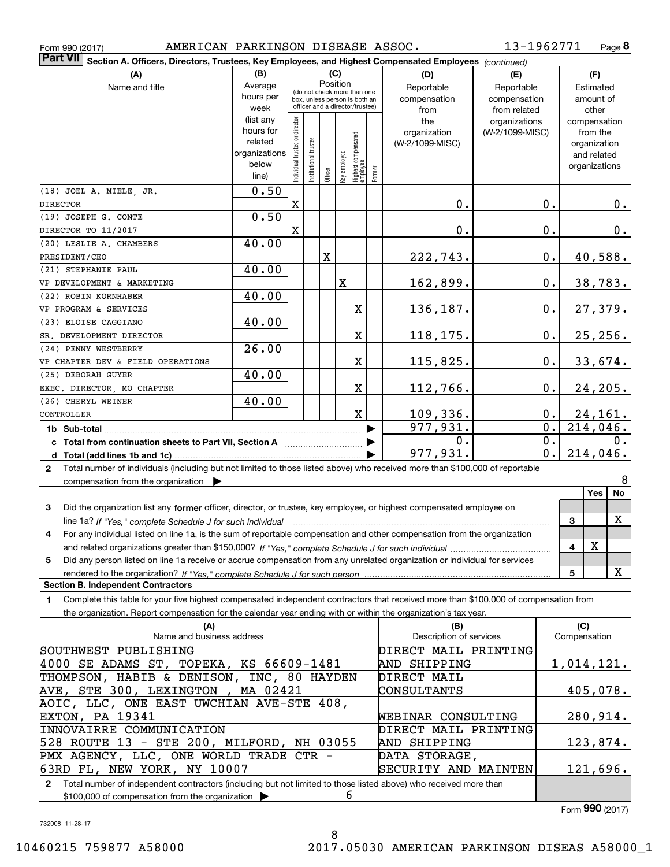|  | Form 990 (2017) |
|--|-----------------|
|  |                 |

Form 990 (2017) Page AMERICAN PARKINSON DISEASE ASSOC.

**8** 13-1962771

| <b>Part VII</b><br>Section A. Officers, Directors, Trustees, Key Employees, and Highest Compensated Employees (continued)                               |                      |                               |                      |         |              |                                                              |        |                                |                 |                  |                             |
|---------------------------------------------------------------------------------------------------------------------------------------------------------|----------------------|-------------------------------|----------------------|---------|--------------|--------------------------------------------------------------|--------|--------------------------------|-----------------|------------------|-----------------------------|
| (A)                                                                                                                                                     | (B)                  |                               |                      |         | (C)          |                                                              |        | (D)                            | (E)             |                  | (F)                         |
| Name and title                                                                                                                                          | Average              |                               |                      |         | Position     |                                                              |        | Reportable                     | Reportable      |                  | Estimated                   |
|                                                                                                                                                         | hours per            |                               |                      |         |              | (do not check more than one<br>box, unless person is both an |        | compensation                   | compensation    |                  | amount of                   |
|                                                                                                                                                         | week                 |                               |                      |         |              | officer and a director/trustee)                              |        | from                           | from related    |                  | other                       |
|                                                                                                                                                         | (list any            |                               |                      |         |              |                                                              |        | the                            | organizations   |                  | compensation                |
|                                                                                                                                                         | hours for<br>related |                               |                      |         |              |                                                              |        | organization                   | (W-2/1099-MISC) |                  | from the                    |
|                                                                                                                                                         | organizations        |                               |                      |         |              |                                                              |        | (W-2/1099-MISC)                |                 |                  | organization<br>and related |
|                                                                                                                                                         | below                |                               |                      |         |              |                                                              |        |                                |                 |                  | organizations               |
|                                                                                                                                                         | line)                | ndividual trustee or director | nstitutional trustee | Officer | Key employee | Highest compensated<br>  employee                            | Former |                                |                 |                  |                             |
| (18) JOEL A. MIELE, JR.                                                                                                                                 | 0.50                 |                               |                      |         |              |                                                              |        |                                |                 |                  |                             |
| <b>DIRECTOR</b>                                                                                                                                         |                      | X                             |                      |         |              |                                                              |        | 0.                             |                 | 0.               | $0_{.}$                     |
| (19) JOSEPH G. CONTE                                                                                                                                    | 0.50                 |                               |                      |         |              |                                                              |        |                                |                 |                  |                             |
| DIRECTOR TO 11/2017                                                                                                                                     |                      | X                             |                      |         |              |                                                              |        | 0.                             |                 | $0$ .            | 0.                          |
| (20) LESLIE A. CHAMBERS                                                                                                                                 | 40.00                |                               |                      |         |              |                                                              |        |                                |                 |                  |                             |
| PRESIDENT/CEO                                                                                                                                           |                      |                               |                      | X       |              |                                                              |        | 222,743.                       |                 | $0$ .            | 40,588.                     |
| (21) STEPHANIE PAUL                                                                                                                                     | 40.00                |                               |                      |         |              |                                                              |        |                                |                 |                  |                             |
| VP DEVELOPMENT & MARKETING                                                                                                                              |                      |                               |                      |         | $\mathbf X$  |                                                              |        | 162,899.                       |                 | 0.               | 38, 783.                    |
| (22) ROBIN KORNHABER                                                                                                                                    | 40.00                |                               |                      |         |              |                                                              |        |                                |                 |                  |                             |
| VP PROGRAM & SERVICES                                                                                                                                   |                      |                               |                      |         |              | X                                                            |        | 136,187.                       |                 | $0$ .            | 27,379.                     |
| (23) ELOISE CAGGIANO                                                                                                                                    | 40.00                |                               |                      |         |              |                                                              |        |                                |                 |                  |                             |
| SR. DEVELOPMENT DIRECTOR                                                                                                                                |                      |                               |                      |         |              | X                                                            |        | 118,175.                       |                 | 0.               | 25, 256.                    |
| (24) PENNY WESTBERRY                                                                                                                                    | 26.00                |                               |                      |         |              |                                                              |        |                                |                 |                  |                             |
| VP CHAPTER DEV & FIELD OPERATIONS                                                                                                                       |                      |                               |                      |         |              | X                                                            |        | 115,825.                       |                 | 0.               | 33,674.                     |
| (25) DEBORAH GUYER                                                                                                                                      | 40.00                |                               |                      |         |              |                                                              |        |                                |                 |                  |                             |
| EXEC. DIRECTOR, MO CHAPTER                                                                                                                              |                      |                               |                      |         |              | X                                                            |        | 112,766.                       |                 | 0.               | 24,205.                     |
| (26) CHERYL WEINER                                                                                                                                      | 40.00                |                               |                      |         |              |                                                              |        |                                |                 |                  |                             |
| CONTROLLER                                                                                                                                              |                      |                               |                      |         |              | X                                                            |        | <u>109,336.</u>                |                 | 0.               | <u>24,161.</u>              |
|                                                                                                                                                         |                      |                               |                      |         |              |                                                              |        | 977,931.                       |                 | $\overline{0}$ . | $\overline{214,046}$ .      |
| 1b Sub-total                                                                                                                                            |                      |                               |                      |         |              |                                                              |        | 0.                             |                 | $\overline{0}$ . | 0.                          |
|                                                                                                                                                         |                      |                               |                      |         |              |                                                              |        | 977,931.                       |                 | $\overline{0}$ . | 214,046.                    |
|                                                                                                                                                         |                      |                               |                      |         |              |                                                              |        |                                |                 |                  |                             |
| Total number of individuals (including but not limited to those listed above) who received more than \$100,000 of reportable<br>2                       |                      |                               |                      |         |              |                                                              |        |                                |                 |                  | 8                           |
| compensation from the organization $\blacktriangleright$                                                                                                |                      |                               |                      |         |              |                                                              |        |                                |                 |                  | No<br><b>Yes</b>            |
|                                                                                                                                                         |                      |                               |                      |         |              |                                                              |        |                                |                 |                  |                             |
| Did the organization list any former officer, director, or trustee, key employee, or highest compensated employee on<br>3                               |                      |                               |                      |         |              |                                                              |        |                                |                 |                  | х                           |
| line 1a? If "Yes," complete Schedule J for such individual material content content to the content of the content of the Schedule J for such individual |                      |                               |                      |         |              |                                                              |        |                                |                 |                  | 3                           |
| For any individual listed on line 1a, is the sum of reportable compensation and other compensation from the organization<br>4                           |                      |                               |                      |         |              |                                                              |        |                                |                 |                  | X                           |
|                                                                                                                                                         |                      |                               |                      |         |              |                                                              |        |                                |                 |                  | 4                           |
| Did any person listed on line 1a receive or accrue compensation from any unrelated organization or individual for services<br>5                         |                      |                               |                      |         |              |                                                              |        |                                |                 |                  | X                           |
| <b>Section B. Independent Contractors</b>                                                                                                               |                      |                               |                      |         |              |                                                              |        |                                |                 |                  | 5                           |
|                                                                                                                                                         |                      |                               |                      |         |              |                                                              |        |                                |                 |                  |                             |
| Complete this table for your five highest compensated independent contractors that received more than \$100,000 of compensation from<br>1               |                      |                               |                      |         |              |                                                              |        |                                |                 |                  |                             |
| the organization. Report compensation for the calendar year ending with or within the organization's tax year.                                          |                      |                               |                      |         |              |                                                              |        |                                |                 |                  |                             |
| (A)<br>Name and business address                                                                                                                        |                      |                               |                      |         |              |                                                              |        | (B)<br>Description of services |                 |                  | (C)<br>Compensation         |
| SOUTHWEST PUBLISHING                                                                                                                                    |                      |                               |                      |         |              |                                                              |        | DIRECT MAIL PRINTING           |                 |                  |                             |
|                                                                                                                                                         |                      |                               |                      |         |              |                                                              |        |                                |                 |                  |                             |
| 4000 SE ADAMS ST, TOPEKA, KS 66609-1481<br>THOMPSON, HABIB & DENISON, INC, 80 HAYDEN                                                                    |                      |                               |                      |         |              |                                                              |        | AND SHIPPING                   |                 |                  | 1,014,121.                  |
|                                                                                                                                                         |                      |                               |                      |         |              |                                                              |        | DIRECT MAIL                    |                 |                  |                             |
| AVE, STE 300, LEXINGTON, MA 02421                                                                                                                       |                      |                               |                      |         |              |                                                              |        | CONSULTANTS                    |                 |                  | 405,078.                    |
| AOIC, LLC, ONE EAST UWCHIAN AVE-STE 408,                                                                                                                |                      |                               |                      |         |              |                                                              |        |                                |                 |                  |                             |
| EXTON, PA 19341                                                                                                                                         |                      |                               |                      |         |              |                                                              |        | WEBINAR CONSULTING             |                 |                  | 280,914.                    |
| INNOVAIRRE COMMUNICATION                                                                                                                                |                      |                               |                      |         |              |                                                              |        | DIRECT MAIL PRINTING           |                 |                  |                             |
| 528 ROUTE 13 - STE 200, MILFORD, NH 03055                                                                                                               |                      |                               |                      |         |              |                                                              |        | AND SHIPPING                   |                 |                  | 123,874.                    |
| PMX AGENCY, LLC, ONE WORLD TRADE CTR -<br>63RD FL, NEW YORK, NY 10007                                                                                   |                      |                               |                      |         |              |                                                              |        | DATA STORAGE,                  |                 |                  |                             |
|                                                                                                                                                         |                      |                               |                      |         |              |                                                              |        | SECURITY AND MAINTEN           |                 |                  | 121,696.                    |

**2**Total number of independent contractors (including but not limited to those listed above) who received more than \$100,000 of compensation from the organization  $\blacktriangleright$ 6

Form (2017) **990**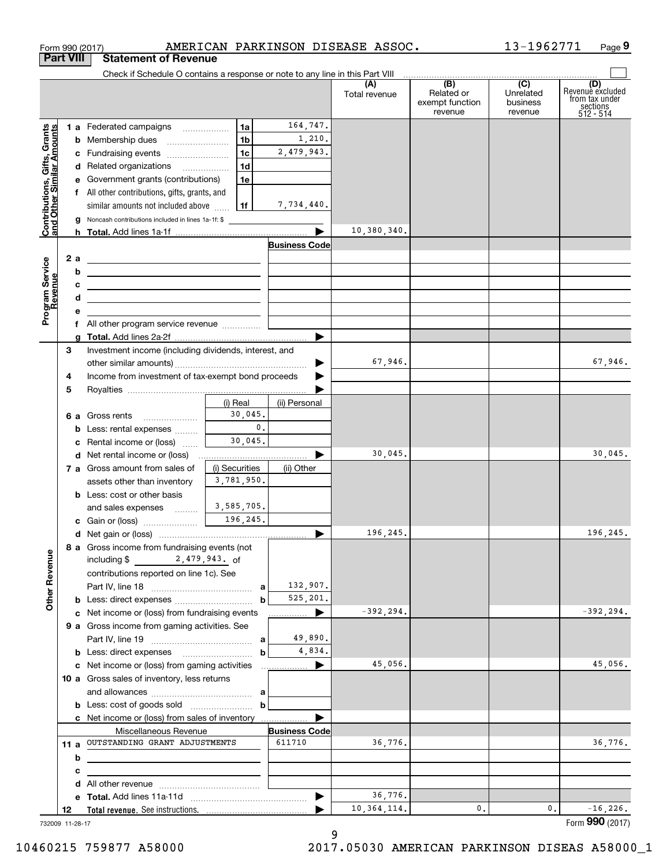|                                                           |                  | Form 990 (2017)                                                                                                                                                                                                                                                                           |                |                       | AMERICAN PARKINSON DISEASE ASSOC. |                                                 | 13-1962771                              | Page 9                                                             |
|-----------------------------------------------------------|------------------|-------------------------------------------------------------------------------------------------------------------------------------------------------------------------------------------------------------------------------------------------------------------------------------------|----------------|-----------------------|-----------------------------------|-------------------------------------------------|-----------------------------------------|--------------------------------------------------------------------|
|                                                           | <b>Part VIII</b> | <b>Statement of Revenue</b>                                                                                                                                                                                                                                                               |                |                       |                                   |                                                 |                                         |                                                                    |
|                                                           |                  | Check if Schedule O contains a response or note to any line in this Part VIII                                                                                                                                                                                                             |                |                       | (A)<br>Total revenue              | (B)<br>Related or<br>exempt function<br>revenue | (C)<br>Unrelated<br>business<br>revenue | (D)<br>Revenue excluded<br>from tax under<br>sections<br>512 - 514 |
|                                                           |                  | 1 a Federated campaigns                                                                                                                                                                                                                                                                   | 1a             | 164,747.              |                                   |                                                 |                                         |                                                                    |
| Contributions, Gifts, Grants<br>and Other Similar Amounts |                  |                                                                                                                                                                                                                                                                                           | 1 <sub>b</sub> | 1,210.                |                                   |                                                 |                                         |                                                                    |
|                                                           |                  | c Fundraising events                                                                                                                                                                                                                                                                      | 1 <sub>c</sub> | 2,479,943.            |                                   |                                                 |                                         |                                                                    |
|                                                           |                  | d Related organizations                                                                                                                                                                                                                                                                   | 1d             |                       |                                   |                                                 |                                         |                                                                    |
|                                                           |                  | e Government grants (contributions)                                                                                                                                                                                                                                                       | 1e             |                       |                                   |                                                 |                                         |                                                                    |
|                                                           |                  | f All other contributions, gifts, grants, and                                                                                                                                                                                                                                             |                |                       |                                   |                                                 |                                         |                                                                    |
|                                                           |                  | similar amounts not included above $\ldots$   1f                                                                                                                                                                                                                                          |                | 7,734,440.            |                                   |                                                 |                                         |                                                                    |
|                                                           |                  | <b>g</b> Noncash contributions included in lines 1a-1f: \$                                                                                                                                                                                                                                |                |                       | 10,380,340.                       |                                                 |                                         |                                                                    |
|                                                           |                  |                                                                                                                                                                                                                                                                                           |                | <b>Business Code</b>  |                                   |                                                 |                                         |                                                                    |
|                                                           |                  |                                                                                                                                                                                                                                                                                           |                |                       |                                   |                                                 |                                         |                                                                    |
|                                                           |                  | b<br><u> 1989 - Johann Stein, mars an deutscher Stein († 1958)</u>                                                                                                                                                                                                                        |                |                       |                                   |                                                 |                                         |                                                                    |
|                                                           |                  | c<br><u> 1989 - Johann Stein, mars an deutscher Stein († 1958)</u>                                                                                                                                                                                                                        |                |                       |                                   |                                                 |                                         |                                                                    |
|                                                           |                  | d<br>the control of the control of the control of the control of the control of the control of                                                                                                                                                                                            |                |                       |                                   |                                                 |                                         |                                                                    |
| Program Service<br>Revenue                                |                  | е                                                                                                                                                                                                                                                                                         |                |                       |                                   |                                                 |                                         |                                                                    |
|                                                           |                  |                                                                                                                                                                                                                                                                                           |                |                       |                                   |                                                 |                                         |                                                                    |
|                                                           |                  |                                                                                                                                                                                                                                                                                           |                |                       |                                   |                                                 |                                         |                                                                    |
|                                                           | з                | Investment income (including dividends, interest, and                                                                                                                                                                                                                                     |                |                       | 67,946.                           |                                                 |                                         | 67,946.                                                            |
|                                                           | 4                | Income from investment of tax-exempt bond proceeds                                                                                                                                                                                                                                        |                | ▶                     |                                   |                                                 |                                         |                                                                    |
|                                                           | 5                |                                                                                                                                                                                                                                                                                           |                |                       |                                   |                                                 |                                         |                                                                    |
|                                                           |                  |                                                                                                                                                                                                                                                                                           | (i) Real       | (ii) Personal         |                                   |                                                 |                                         |                                                                    |
|                                                           |                  | <b>6 a</b> Gross rents                                                                                                                                                                                                                                                                    | 30,045.        |                       |                                   |                                                 |                                         |                                                                    |
|                                                           |                  | <b>b</b> Less: rental expenses                                                                                                                                                                                                                                                            | 0.             |                       |                                   |                                                 |                                         |                                                                    |
|                                                           |                  | <b>c</b> Rental income or (loss)                                                                                                                                                                                                                                                          | 30,045.        |                       |                                   |                                                 |                                         |                                                                    |
|                                                           |                  | <b>d</b> Net rental income or (loss)                                                                                                                                                                                                                                                      |                |                       | 30,045.                           |                                                 |                                         | 30,045.                                                            |
|                                                           |                  | 7 a Gross amount from sales of                                                                                                                                                                                                                                                            | (i) Securities | (ii) Other            |                                   |                                                 |                                         |                                                                    |
|                                                           |                  | assets other than inventory                                                                                                                                                                                                                                                               | 3,781,950.     |                       |                                   |                                                 |                                         |                                                                    |
|                                                           |                  | <b>b</b> Less: cost or other basis                                                                                                                                                                                                                                                        | 3,585,705.     |                       |                                   |                                                 |                                         |                                                                    |
|                                                           |                  | and sales expenses                                                                                                                                                                                                                                                                        | 196,245.       |                       |                                   |                                                 |                                         |                                                                    |
|                                                           |                  |                                                                                                                                                                                                                                                                                           |                |                       | 196,245.                          |                                                 |                                         | 196,245.                                                           |
|                                                           |                  | 8 a Gross income from fundraising events (not                                                                                                                                                                                                                                             |                |                       |                                   |                                                 |                                         |                                                                    |
| <b>Other Revenue</b>                                      |                  | including $$ 2,479,943.$ of                                                                                                                                                                                                                                                               |                |                       |                                   |                                                 |                                         |                                                                    |
|                                                           |                  | contributions reported on line 1c). See                                                                                                                                                                                                                                                   |                |                       |                                   |                                                 |                                         |                                                                    |
|                                                           |                  |                                                                                                                                                                                                                                                                                           |                | 132,907.              |                                   |                                                 |                                         |                                                                    |
|                                                           |                  | <b>b</b> Less: direct expenses <i>manually contained</i>                                                                                                                                                                                                                                  | b              | 525,201.              |                                   |                                                 |                                         |                                                                    |
|                                                           |                  | c Net income or (loss) from fundraising events                                                                                                                                                                                                                                            |                | ▶                     | $-392, 294.$                      |                                                 |                                         | $-392, 294.$                                                       |
|                                                           |                  | 9 a Gross income from gaming activities. See                                                                                                                                                                                                                                              |                |                       |                                   |                                                 |                                         |                                                                    |
|                                                           |                  |                                                                                                                                                                                                                                                                                           |                | 49,890.<br>4,834.     |                                   |                                                 |                                         |                                                                    |
|                                                           |                  | <b>b</b> Less: direct expenses <i>managered</i> in the set of the set of the set of the set of the set of the set of the set of the set of the set of the set of the set of the set of the set of the set of the set of the set of the s<br>c Net income or (loss) from gaming activities | $\mathbf b$    | $\blacktriangleright$ | 45,056.                           |                                                 |                                         | 45,056.                                                            |
|                                                           |                  | 10 a Gross sales of inventory, less returns                                                                                                                                                                                                                                               |                |                       |                                   |                                                 |                                         |                                                                    |
|                                                           |                  |                                                                                                                                                                                                                                                                                           |                |                       |                                   |                                                 |                                         |                                                                    |
|                                                           |                  |                                                                                                                                                                                                                                                                                           |                |                       |                                   |                                                 |                                         |                                                                    |
|                                                           |                  | c Net income or (loss) from sales of inventory                                                                                                                                                                                                                                            |                |                       |                                   |                                                 |                                         |                                                                    |
|                                                           |                  | Miscellaneous Revenue                                                                                                                                                                                                                                                                     |                | <b>Business Code</b>  |                                   |                                                 |                                         |                                                                    |
|                                                           | 11 a             | OUTSTANDING GRANT ADJUSTMENTS                                                                                                                                                                                                                                                             |                | 611710                | 36,776.                           |                                                 |                                         | 36,776.                                                            |
|                                                           |                  | b<br><u> 1989 - Johann Harry Harry Harry Harry Harry Harry Harry Harry Harry Harry Harry Harry Harry Harry Harry Harry</u>                                                                                                                                                                |                |                       |                                   |                                                 |                                         |                                                                    |
|                                                           |                  | с                                                                                                                                                                                                                                                                                         |                |                       |                                   |                                                 |                                         |                                                                    |
|                                                           |                  |                                                                                                                                                                                                                                                                                           |                |                       | 36,776.                           |                                                 |                                         |                                                                    |
|                                                           | 12               |                                                                                                                                                                                                                                                                                           |                | ▶                     | 10, 364, 114.                     | 0.                                              | 0.                                      | $-16,226.$                                                         |
|                                                           | 732009 11-28-17  |                                                                                                                                                                                                                                                                                           |                |                       |                                   |                                                 |                                         | Form 990 (2017)                                                    |
|                                                           |                  |                                                                                                                                                                                                                                                                                           |                |                       |                                   |                                                 |                                         |                                                                    |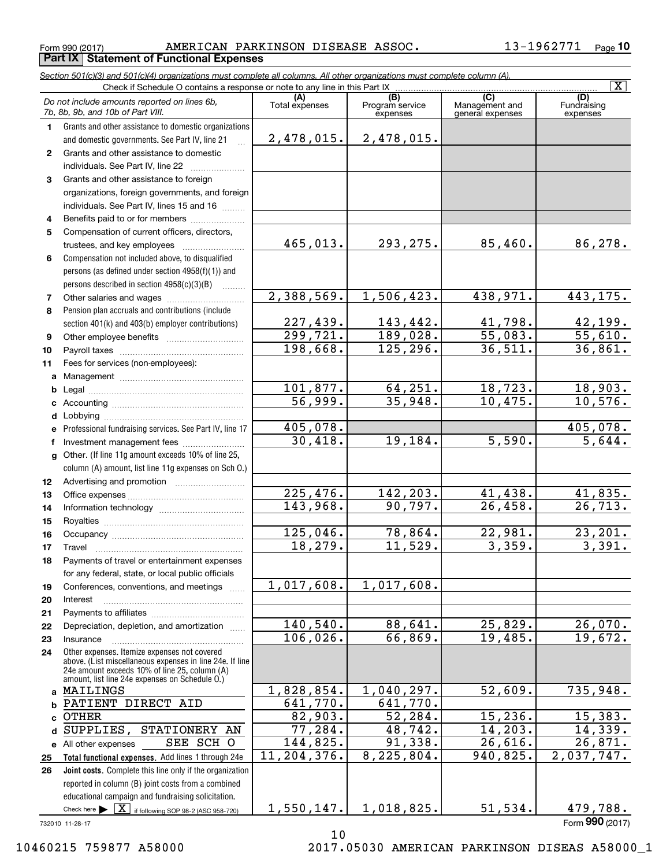Form 990 (2017) Page AMERICAN PARKINSON DISEASE ASSOC. 13-1962771 **Part IX Statement of Functional Expenses**

**10**

| (C)<br>(A)<br>(B)<br>(D)<br>Do not include amounts reported on lines 6b,<br>Total expenses<br>Fundraising<br>Program service<br>Management and<br>7b, 8b, 9b, and 10b of Part VIII.<br>expenses<br>general expenses<br>expenses<br>Grants and other assistance to domestic organizations<br>$\mathbf 1$<br>2,478,015.<br>2,478,015.<br>and domestic governments. See Part IV, line 21<br>$\mathbb{R}^2$<br>Grants and other assistance to domestic<br>$\mathbf{2}$<br>individuals. See Part IV, line 22<br>Grants and other assistance to foreign<br>3<br>organizations, foreign governments, and foreign<br>individuals. See Part IV, lines 15 and 16<br>Benefits paid to or for members<br>4<br>Compensation of current officers, directors,<br>5<br>465,013.<br>293, 275.<br>85,460.<br>86,278.<br>trustees, and key employees<br>Compensation not included above, to disqualified<br>6<br>persons (as defined under section 4958(f)(1)) and<br>persons described in section $4958(c)(3)(B)$<br>2,388,569.<br>1,506,423.<br>443, 175.<br>438,971.<br>7<br>Pension plan accruals and contributions (include<br>8<br>143,442.<br>227,439.<br>41,798.<br>42,199.<br>section 401(k) and 403(b) employer contributions)<br>55,610.<br>55,083.<br>299,721.<br>189,028.<br>9<br>36,511.<br>198,668.<br>125,296.<br>36,861.<br>10<br>11<br>Fees for services (non-employees):<br>a<br>101,877.<br>64, 251.<br>18,723.<br>18,903.<br>b<br>10,576.<br>56,999.<br>35,948.<br>10,475.<br>c<br>d<br>405,078.<br>405,078.<br>Professional fundraising services. See Part IV, line 17<br>5,644.<br>30,418.<br>19,184.<br>5,590.<br>Investment management fees<br>f<br>Other. (If line 11g amount exceeds 10% of line 25,<br>g<br>column (A) amount, list line 11g expenses on Sch O.)<br>12<br>$\overline{225}$ , 476.<br>142,203.<br>41,438.<br>41,835.<br>13<br>26, 713.<br>143,968.<br>90,797.<br>26,458.<br>14<br>15<br>125,046.<br>22,981.<br>23, 201.<br>78,864.<br>16<br>3,391.<br>18,279.<br>11,529.<br>3,359.<br>17<br>Payments of travel or entertainment expenses<br>18<br>for any federal, state, or local public officials<br>1,017,608.<br>1,017,608.<br>Conferences, conventions, and meetings<br>19<br>Interest<br>20<br>21<br>140, 540.<br>88,641.<br>25,829.<br>26,070.<br>Depreciation, depletion, and amortization<br>22<br>19,672.<br>106,026.<br>66,869.<br>19,485.<br>23<br>Insurance<br>Other expenses. Itemize expenses not covered<br>24<br>above. (List miscellaneous expenses in line 24e. If line<br>24e amount exceeds 10% of line 25, column (A)<br>amount, list line 24e expenses on Schedule O.)<br>1,828,854.<br>1,040,297.<br>52,609.<br>735,948.<br>a MAILINGS<br>641,770.<br>641,770.<br>PATIENT DIRECT AID<br>b<br>82,903.<br>52,284.<br>15, 236.<br>15,383.<br><b>OTHER</b><br>77,284.<br>14, 203.<br>14,339.<br>48,742.<br>SUPPLIES,<br>STATIONERY AN<br>d<br>91,338.<br>26,616.<br>26,871.<br>SEE SCH O<br>144,825.<br>e All other expenses<br>11,204,376.<br>8,225,804.<br>940,825.<br>2,037,747.<br>Total functional expenses. Add lines 1 through 24e<br>25<br>Joint costs. Complete this line only if the organization<br>26<br>reported in column (B) joint costs from a combined<br>educational campaign and fundraising solicitation.<br>1,550,147.<br>1,018,825.<br>51,534.<br>479,788.<br>Check here $\triangleright \lfloor \underline{X} \rfloor$ if following SOP 98-2 (ASC 958-720)<br>732010 11-28-17 | Section 501(c)(3) and 501(c)(4) organizations must complete all columns. All other organizations must complete column (A).<br>Check if Schedule O contains a response or note to any line in this Part IX |  | $\overline{\mathbf{X}}$ |
|--------------------------------------------------------------------------------------------------------------------------------------------------------------------------------------------------------------------------------------------------------------------------------------------------------------------------------------------------------------------------------------------------------------------------------------------------------------------------------------------------------------------------------------------------------------------------------------------------------------------------------------------------------------------------------------------------------------------------------------------------------------------------------------------------------------------------------------------------------------------------------------------------------------------------------------------------------------------------------------------------------------------------------------------------------------------------------------------------------------------------------------------------------------------------------------------------------------------------------------------------------------------------------------------------------------------------------------------------------------------------------------------------------------------------------------------------------------------------------------------------------------------------------------------------------------------------------------------------------------------------------------------------------------------------------------------------------------------------------------------------------------------------------------------------------------------------------------------------------------------------------------------------------------------------------------------------------------------------------------------------------------------------------------------------------------------------------------------------------------------------------------------------------------------------------------------------------------------------------------------------------------------------------------------------------------------------------------------------------------------------------------------------------------------------------------------------------------------------------------------------------------------------------------------------------------------------------------------------------------------------------------------------------------------------------------------------------------------------------------------------------------------------------------------------------------------------------------------------------------------------------------------------------------------------------------------------------------------------------------------------------------------------------------------------------------------------------------------------------------------------------------------------------------------------------------------------------------------------------------------------------------------------------------------------------------------------------------------------------------------------------------------------------------------------------------------------|-----------------------------------------------------------------------------------------------------------------------------------------------------------------------------------------------------------|--|-------------------------|
|                                                                                                                                                                                                                                                                                                                                                                                                                                                                                                                                                                                                                                                                                                                                                                                                                                                                                                                                                                                                                                                                                                                                                                                                                                                                                                                                                                                                                                                                                                                                                                                                                                                                                                                                                                                                                                                                                                                                                                                                                                                                                                                                                                                                                                                                                                                                                                                                                                                                                                                                                                                                                                                                                                                                                                                                                                                                                                                                                                                                                                                                                                                                                                                                                                                                                                                                                                                                                                                  |                                                                                                                                                                                                           |  |                         |
|                                                                                                                                                                                                                                                                                                                                                                                                                                                                                                                                                                                                                                                                                                                                                                                                                                                                                                                                                                                                                                                                                                                                                                                                                                                                                                                                                                                                                                                                                                                                                                                                                                                                                                                                                                                                                                                                                                                                                                                                                                                                                                                                                                                                                                                                                                                                                                                                                                                                                                                                                                                                                                                                                                                                                                                                                                                                                                                                                                                                                                                                                                                                                                                                                                                                                                                                                                                                                                                  |                                                                                                                                                                                                           |  |                         |
|                                                                                                                                                                                                                                                                                                                                                                                                                                                                                                                                                                                                                                                                                                                                                                                                                                                                                                                                                                                                                                                                                                                                                                                                                                                                                                                                                                                                                                                                                                                                                                                                                                                                                                                                                                                                                                                                                                                                                                                                                                                                                                                                                                                                                                                                                                                                                                                                                                                                                                                                                                                                                                                                                                                                                                                                                                                                                                                                                                                                                                                                                                                                                                                                                                                                                                                                                                                                                                                  |                                                                                                                                                                                                           |  |                         |
|                                                                                                                                                                                                                                                                                                                                                                                                                                                                                                                                                                                                                                                                                                                                                                                                                                                                                                                                                                                                                                                                                                                                                                                                                                                                                                                                                                                                                                                                                                                                                                                                                                                                                                                                                                                                                                                                                                                                                                                                                                                                                                                                                                                                                                                                                                                                                                                                                                                                                                                                                                                                                                                                                                                                                                                                                                                                                                                                                                                                                                                                                                                                                                                                                                                                                                                                                                                                                                                  |                                                                                                                                                                                                           |  |                         |
|                                                                                                                                                                                                                                                                                                                                                                                                                                                                                                                                                                                                                                                                                                                                                                                                                                                                                                                                                                                                                                                                                                                                                                                                                                                                                                                                                                                                                                                                                                                                                                                                                                                                                                                                                                                                                                                                                                                                                                                                                                                                                                                                                                                                                                                                                                                                                                                                                                                                                                                                                                                                                                                                                                                                                                                                                                                                                                                                                                                                                                                                                                                                                                                                                                                                                                                                                                                                                                                  |                                                                                                                                                                                                           |  |                         |
|                                                                                                                                                                                                                                                                                                                                                                                                                                                                                                                                                                                                                                                                                                                                                                                                                                                                                                                                                                                                                                                                                                                                                                                                                                                                                                                                                                                                                                                                                                                                                                                                                                                                                                                                                                                                                                                                                                                                                                                                                                                                                                                                                                                                                                                                                                                                                                                                                                                                                                                                                                                                                                                                                                                                                                                                                                                                                                                                                                                                                                                                                                                                                                                                                                                                                                                                                                                                                                                  |                                                                                                                                                                                                           |  |                         |
|                                                                                                                                                                                                                                                                                                                                                                                                                                                                                                                                                                                                                                                                                                                                                                                                                                                                                                                                                                                                                                                                                                                                                                                                                                                                                                                                                                                                                                                                                                                                                                                                                                                                                                                                                                                                                                                                                                                                                                                                                                                                                                                                                                                                                                                                                                                                                                                                                                                                                                                                                                                                                                                                                                                                                                                                                                                                                                                                                                                                                                                                                                                                                                                                                                                                                                                                                                                                                                                  |                                                                                                                                                                                                           |  |                         |
|                                                                                                                                                                                                                                                                                                                                                                                                                                                                                                                                                                                                                                                                                                                                                                                                                                                                                                                                                                                                                                                                                                                                                                                                                                                                                                                                                                                                                                                                                                                                                                                                                                                                                                                                                                                                                                                                                                                                                                                                                                                                                                                                                                                                                                                                                                                                                                                                                                                                                                                                                                                                                                                                                                                                                                                                                                                                                                                                                                                                                                                                                                                                                                                                                                                                                                                                                                                                                                                  |                                                                                                                                                                                                           |  |                         |
|                                                                                                                                                                                                                                                                                                                                                                                                                                                                                                                                                                                                                                                                                                                                                                                                                                                                                                                                                                                                                                                                                                                                                                                                                                                                                                                                                                                                                                                                                                                                                                                                                                                                                                                                                                                                                                                                                                                                                                                                                                                                                                                                                                                                                                                                                                                                                                                                                                                                                                                                                                                                                                                                                                                                                                                                                                                                                                                                                                                                                                                                                                                                                                                                                                                                                                                                                                                                                                                  |                                                                                                                                                                                                           |  |                         |
|                                                                                                                                                                                                                                                                                                                                                                                                                                                                                                                                                                                                                                                                                                                                                                                                                                                                                                                                                                                                                                                                                                                                                                                                                                                                                                                                                                                                                                                                                                                                                                                                                                                                                                                                                                                                                                                                                                                                                                                                                                                                                                                                                                                                                                                                                                                                                                                                                                                                                                                                                                                                                                                                                                                                                                                                                                                                                                                                                                                                                                                                                                                                                                                                                                                                                                                                                                                                                                                  |                                                                                                                                                                                                           |  |                         |
|                                                                                                                                                                                                                                                                                                                                                                                                                                                                                                                                                                                                                                                                                                                                                                                                                                                                                                                                                                                                                                                                                                                                                                                                                                                                                                                                                                                                                                                                                                                                                                                                                                                                                                                                                                                                                                                                                                                                                                                                                                                                                                                                                                                                                                                                                                                                                                                                                                                                                                                                                                                                                                                                                                                                                                                                                                                                                                                                                                                                                                                                                                                                                                                                                                                                                                                                                                                                                                                  |                                                                                                                                                                                                           |  |                         |
|                                                                                                                                                                                                                                                                                                                                                                                                                                                                                                                                                                                                                                                                                                                                                                                                                                                                                                                                                                                                                                                                                                                                                                                                                                                                                                                                                                                                                                                                                                                                                                                                                                                                                                                                                                                                                                                                                                                                                                                                                                                                                                                                                                                                                                                                                                                                                                                                                                                                                                                                                                                                                                                                                                                                                                                                                                                                                                                                                                                                                                                                                                                                                                                                                                                                                                                                                                                                                                                  |                                                                                                                                                                                                           |  |                         |
|                                                                                                                                                                                                                                                                                                                                                                                                                                                                                                                                                                                                                                                                                                                                                                                                                                                                                                                                                                                                                                                                                                                                                                                                                                                                                                                                                                                                                                                                                                                                                                                                                                                                                                                                                                                                                                                                                                                                                                                                                                                                                                                                                                                                                                                                                                                                                                                                                                                                                                                                                                                                                                                                                                                                                                                                                                                                                                                                                                                                                                                                                                                                                                                                                                                                                                                                                                                                                                                  |                                                                                                                                                                                                           |  |                         |
|                                                                                                                                                                                                                                                                                                                                                                                                                                                                                                                                                                                                                                                                                                                                                                                                                                                                                                                                                                                                                                                                                                                                                                                                                                                                                                                                                                                                                                                                                                                                                                                                                                                                                                                                                                                                                                                                                                                                                                                                                                                                                                                                                                                                                                                                                                                                                                                                                                                                                                                                                                                                                                                                                                                                                                                                                                                                                                                                                                                                                                                                                                                                                                                                                                                                                                                                                                                                                                                  |                                                                                                                                                                                                           |  |                         |
|                                                                                                                                                                                                                                                                                                                                                                                                                                                                                                                                                                                                                                                                                                                                                                                                                                                                                                                                                                                                                                                                                                                                                                                                                                                                                                                                                                                                                                                                                                                                                                                                                                                                                                                                                                                                                                                                                                                                                                                                                                                                                                                                                                                                                                                                                                                                                                                                                                                                                                                                                                                                                                                                                                                                                                                                                                                                                                                                                                                                                                                                                                                                                                                                                                                                                                                                                                                                                                                  |                                                                                                                                                                                                           |  |                         |
|                                                                                                                                                                                                                                                                                                                                                                                                                                                                                                                                                                                                                                                                                                                                                                                                                                                                                                                                                                                                                                                                                                                                                                                                                                                                                                                                                                                                                                                                                                                                                                                                                                                                                                                                                                                                                                                                                                                                                                                                                                                                                                                                                                                                                                                                                                                                                                                                                                                                                                                                                                                                                                                                                                                                                                                                                                                                                                                                                                                                                                                                                                                                                                                                                                                                                                                                                                                                                                                  |                                                                                                                                                                                                           |  |                         |
|                                                                                                                                                                                                                                                                                                                                                                                                                                                                                                                                                                                                                                                                                                                                                                                                                                                                                                                                                                                                                                                                                                                                                                                                                                                                                                                                                                                                                                                                                                                                                                                                                                                                                                                                                                                                                                                                                                                                                                                                                                                                                                                                                                                                                                                                                                                                                                                                                                                                                                                                                                                                                                                                                                                                                                                                                                                                                                                                                                                                                                                                                                                                                                                                                                                                                                                                                                                                                                                  |                                                                                                                                                                                                           |  |                         |
|                                                                                                                                                                                                                                                                                                                                                                                                                                                                                                                                                                                                                                                                                                                                                                                                                                                                                                                                                                                                                                                                                                                                                                                                                                                                                                                                                                                                                                                                                                                                                                                                                                                                                                                                                                                                                                                                                                                                                                                                                                                                                                                                                                                                                                                                                                                                                                                                                                                                                                                                                                                                                                                                                                                                                                                                                                                                                                                                                                                                                                                                                                                                                                                                                                                                                                                                                                                                                                                  |                                                                                                                                                                                                           |  |                         |
|                                                                                                                                                                                                                                                                                                                                                                                                                                                                                                                                                                                                                                                                                                                                                                                                                                                                                                                                                                                                                                                                                                                                                                                                                                                                                                                                                                                                                                                                                                                                                                                                                                                                                                                                                                                                                                                                                                                                                                                                                                                                                                                                                                                                                                                                                                                                                                                                                                                                                                                                                                                                                                                                                                                                                                                                                                                                                                                                                                                                                                                                                                                                                                                                                                                                                                                                                                                                                                                  |                                                                                                                                                                                                           |  |                         |
|                                                                                                                                                                                                                                                                                                                                                                                                                                                                                                                                                                                                                                                                                                                                                                                                                                                                                                                                                                                                                                                                                                                                                                                                                                                                                                                                                                                                                                                                                                                                                                                                                                                                                                                                                                                                                                                                                                                                                                                                                                                                                                                                                                                                                                                                                                                                                                                                                                                                                                                                                                                                                                                                                                                                                                                                                                                                                                                                                                                                                                                                                                                                                                                                                                                                                                                                                                                                                                                  |                                                                                                                                                                                                           |  |                         |
|                                                                                                                                                                                                                                                                                                                                                                                                                                                                                                                                                                                                                                                                                                                                                                                                                                                                                                                                                                                                                                                                                                                                                                                                                                                                                                                                                                                                                                                                                                                                                                                                                                                                                                                                                                                                                                                                                                                                                                                                                                                                                                                                                                                                                                                                                                                                                                                                                                                                                                                                                                                                                                                                                                                                                                                                                                                                                                                                                                                                                                                                                                                                                                                                                                                                                                                                                                                                                                                  |                                                                                                                                                                                                           |  |                         |
|                                                                                                                                                                                                                                                                                                                                                                                                                                                                                                                                                                                                                                                                                                                                                                                                                                                                                                                                                                                                                                                                                                                                                                                                                                                                                                                                                                                                                                                                                                                                                                                                                                                                                                                                                                                                                                                                                                                                                                                                                                                                                                                                                                                                                                                                                                                                                                                                                                                                                                                                                                                                                                                                                                                                                                                                                                                                                                                                                                                                                                                                                                                                                                                                                                                                                                                                                                                                                                                  |                                                                                                                                                                                                           |  |                         |
|                                                                                                                                                                                                                                                                                                                                                                                                                                                                                                                                                                                                                                                                                                                                                                                                                                                                                                                                                                                                                                                                                                                                                                                                                                                                                                                                                                                                                                                                                                                                                                                                                                                                                                                                                                                                                                                                                                                                                                                                                                                                                                                                                                                                                                                                                                                                                                                                                                                                                                                                                                                                                                                                                                                                                                                                                                                                                                                                                                                                                                                                                                                                                                                                                                                                                                                                                                                                                                                  |                                                                                                                                                                                                           |  |                         |
|                                                                                                                                                                                                                                                                                                                                                                                                                                                                                                                                                                                                                                                                                                                                                                                                                                                                                                                                                                                                                                                                                                                                                                                                                                                                                                                                                                                                                                                                                                                                                                                                                                                                                                                                                                                                                                                                                                                                                                                                                                                                                                                                                                                                                                                                                                                                                                                                                                                                                                                                                                                                                                                                                                                                                                                                                                                                                                                                                                                                                                                                                                                                                                                                                                                                                                                                                                                                                                                  |                                                                                                                                                                                                           |  |                         |
| Form 990 (2017)                                                                                                                                                                                                                                                                                                                                                                                                                                                                                                                                                                                                                                                                                                                                                                                                                                                                                                                                                                                                                                                                                                                                                                                                                                                                                                                                                                                                                                                                                                                                                                                                                                                                                                                                                                                                                                                                                                                                                                                                                                                                                                                                                                                                                                                                                                                                                                                                                                                                                                                                                                                                                                                                                                                                                                                                                                                                                                                                                                                                                                                                                                                                                                                                                                                                                                                                                                                                                                  |                                                                                                                                                                                                           |  |                         |
|                                                                                                                                                                                                                                                                                                                                                                                                                                                                                                                                                                                                                                                                                                                                                                                                                                                                                                                                                                                                                                                                                                                                                                                                                                                                                                                                                                                                                                                                                                                                                                                                                                                                                                                                                                                                                                                                                                                                                                                                                                                                                                                                                                                                                                                                                                                                                                                                                                                                                                                                                                                                                                                                                                                                                                                                                                                                                                                                                                                                                                                                                                                                                                                                                                                                                                                                                                                                                                                  |                                                                                                                                                                                                           |  |                         |
|                                                                                                                                                                                                                                                                                                                                                                                                                                                                                                                                                                                                                                                                                                                                                                                                                                                                                                                                                                                                                                                                                                                                                                                                                                                                                                                                                                                                                                                                                                                                                                                                                                                                                                                                                                                                                                                                                                                                                                                                                                                                                                                                                                                                                                                                                                                                                                                                                                                                                                                                                                                                                                                                                                                                                                                                                                                                                                                                                                                                                                                                                                                                                                                                                                                                                                                                                                                                                                                  |                                                                                                                                                                                                           |  |                         |
|                                                                                                                                                                                                                                                                                                                                                                                                                                                                                                                                                                                                                                                                                                                                                                                                                                                                                                                                                                                                                                                                                                                                                                                                                                                                                                                                                                                                                                                                                                                                                                                                                                                                                                                                                                                                                                                                                                                                                                                                                                                                                                                                                                                                                                                                                                                                                                                                                                                                                                                                                                                                                                                                                                                                                                                                                                                                                                                                                                                                                                                                                                                                                                                                                                                                                                                                                                                                                                                  |                                                                                                                                                                                                           |  |                         |
|                                                                                                                                                                                                                                                                                                                                                                                                                                                                                                                                                                                                                                                                                                                                                                                                                                                                                                                                                                                                                                                                                                                                                                                                                                                                                                                                                                                                                                                                                                                                                                                                                                                                                                                                                                                                                                                                                                                                                                                                                                                                                                                                                                                                                                                                                                                                                                                                                                                                                                                                                                                                                                                                                                                                                                                                                                                                                                                                                                                                                                                                                                                                                                                                                                                                                                                                                                                                                                                  |                                                                                                                                                                                                           |  |                         |
|                                                                                                                                                                                                                                                                                                                                                                                                                                                                                                                                                                                                                                                                                                                                                                                                                                                                                                                                                                                                                                                                                                                                                                                                                                                                                                                                                                                                                                                                                                                                                                                                                                                                                                                                                                                                                                                                                                                                                                                                                                                                                                                                                                                                                                                                                                                                                                                                                                                                                                                                                                                                                                                                                                                                                                                                                                                                                                                                                                                                                                                                                                                                                                                                                                                                                                                                                                                                                                                  |                                                                                                                                                                                                           |  |                         |
|                                                                                                                                                                                                                                                                                                                                                                                                                                                                                                                                                                                                                                                                                                                                                                                                                                                                                                                                                                                                                                                                                                                                                                                                                                                                                                                                                                                                                                                                                                                                                                                                                                                                                                                                                                                                                                                                                                                                                                                                                                                                                                                                                                                                                                                                                                                                                                                                                                                                                                                                                                                                                                                                                                                                                                                                                                                                                                                                                                                                                                                                                                                                                                                                                                                                                                                                                                                                                                                  |                                                                                                                                                                                                           |  |                         |
|                                                                                                                                                                                                                                                                                                                                                                                                                                                                                                                                                                                                                                                                                                                                                                                                                                                                                                                                                                                                                                                                                                                                                                                                                                                                                                                                                                                                                                                                                                                                                                                                                                                                                                                                                                                                                                                                                                                                                                                                                                                                                                                                                                                                                                                                                                                                                                                                                                                                                                                                                                                                                                                                                                                                                                                                                                                                                                                                                                                                                                                                                                                                                                                                                                                                                                                                                                                                                                                  |                                                                                                                                                                                                           |  |                         |
|                                                                                                                                                                                                                                                                                                                                                                                                                                                                                                                                                                                                                                                                                                                                                                                                                                                                                                                                                                                                                                                                                                                                                                                                                                                                                                                                                                                                                                                                                                                                                                                                                                                                                                                                                                                                                                                                                                                                                                                                                                                                                                                                                                                                                                                                                                                                                                                                                                                                                                                                                                                                                                                                                                                                                                                                                                                                                                                                                                                                                                                                                                                                                                                                                                                                                                                                                                                                                                                  |                                                                                                                                                                                                           |  |                         |
|                                                                                                                                                                                                                                                                                                                                                                                                                                                                                                                                                                                                                                                                                                                                                                                                                                                                                                                                                                                                                                                                                                                                                                                                                                                                                                                                                                                                                                                                                                                                                                                                                                                                                                                                                                                                                                                                                                                                                                                                                                                                                                                                                                                                                                                                                                                                                                                                                                                                                                                                                                                                                                                                                                                                                                                                                                                                                                                                                                                                                                                                                                                                                                                                                                                                                                                                                                                                                                                  |                                                                                                                                                                                                           |  |                         |
|                                                                                                                                                                                                                                                                                                                                                                                                                                                                                                                                                                                                                                                                                                                                                                                                                                                                                                                                                                                                                                                                                                                                                                                                                                                                                                                                                                                                                                                                                                                                                                                                                                                                                                                                                                                                                                                                                                                                                                                                                                                                                                                                                                                                                                                                                                                                                                                                                                                                                                                                                                                                                                                                                                                                                                                                                                                                                                                                                                                                                                                                                                                                                                                                                                                                                                                                                                                                                                                  |                                                                                                                                                                                                           |  |                         |
|                                                                                                                                                                                                                                                                                                                                                                                                                                                                                                                                                                                                                                                                                                                                                                                                                                                                                                                                                                                                                                                                                                                                                                                                                                                                                                                                                                                                                                                                                                                                                                                                                                                                                                                                                                                                                                                                                                                                                                                                                                                                                                                                                                                                                                                                                                                                                                                                                                                                                                                                                                                                                                                                                                                                                                                                                                                                                                                                                                                                                                                                                                                                                                                                                                                                                                                                                                                                                                                  |                                                                                                                                                                                                           |  |                         |
|                                                                                                                                                                                                                                                                                                                                                                                                                                                                                                                                                                                                                                                                                                                                                                                                                                                                                                                                                                                                                                                                                                                                                                                                                                                                                                                                                                                                                                                                                                                                                                                                                                                                                                                                                                                                                                                                                                                                                                                                                                                                                                                                                                                                                                                                                                                                                                                                                                                                                                                                                                                                                                                                                                                                                                                                                                                                                                                                                                                                                                                                                                                                                                                                                                                                                                                                                                                                                                                  |                                                                                                                                                                                                           |  |                         |
|                                                                                                                                                                                                                                                                                                                                                                                                                                                                                                                                                                                                                                                                                                                                                                                                                                                                                                                                                                                                                                                                                                                                                                                                                                                                                                                                                                                                                                                                                                                                                                                                                                                                                                                                                                                                                                                                                                                                                                                                                                                                                                                                                                                                                                                                                                                                                                                                                                                                                                                                                                                                                                                                                                                                                                                                                                                                                                                                                                                                                                                                                                                                                                                                                                                                                                                                                                                                                                                  |                                                                                                                                                                                                           |  |                         |
|                                                                                                                                                                                                                                                                                                                                                                                                                                                                                                                                                                                                                                                                                                                                                                                                                                                                                                                                                                                                                                                                                                                                                                                                                                                                                                                                                                                                                                                                                                                                                                                                                                                                                                                                                                                                                                                                                                                                                                                                                                                                                                                                                                                                                                                                                                                                                                                                                                                                                                                                                                                                                                                                                                                                                                                                                                                                                                                                                                                                                                                                                                                                                                                                                                                                                                                                                                                                                                                  |                                                                                                                                                                                                           |  |                         |
|                                                                                                                                                                                                                                                                                                                                                                                                                                                                                                                                                                                                                                                                                                                                                                                                                                                                                                                                                                                                                                                                                                                                                                                                                                                                                                                                                                                                                                                                                                                                                                                                                                                                                                                                                                                                                                                                                                                                                                                                                                                                                                                                                                                                                                                                                                                                                                                                                                                                                                                                                                                                                                                                                                                                                                                                                                                                                                                                                                                                                                                                                                                                                                                                                                                                                                                                                                                                                                                  |                                                                                                                                                                                                           |  |                         |
|                                                                                                                                                                                                                                                                                                                                                                                                                                                                                                                                                                                                                                                                                                                                                                                                                                                                                                                                                                                                                                                                                                                                                                                                                                                                                                                                                                                                                                                                                                                                                                                                                                                                                                                                                                                                                                                                                                                                                                                                                                                                                                                                                                                                                                                                                                                                                                                                                                                                                                                                                                                                                                                                                                                                                                                                                                                                                                                                                                                                                                                                                                                                                                                                                                                                                                                                                                                                                                                  |                                                                                                                                                                                                           |  |                         |
|                                                                                                                                                                                                                                                                                                                                                                                                                                                                                                                                                                                                                                                                                                                                                                                                                                                                                                                                                                                                                                                                                                                                                                                                                                                                                                                                                                                                                                                                                                                                                                                                                                                                                                                                                                                                                                                                                                                                                                                                                                                                                                                                                                                                                                                                                                                                                                                                                                                                                                                                                                                                                                                                                                                                                                                                                                                                                                                                                                                                                                                                                                                                                                                                                                                                                                                                                                                                                                                  |                                                                                                                                                                                                           |  |                         |
|                                                                                                                                                                                                                                                                                                                                                                                                                                                                                                                                                                                                                                                                                                                                                                                                                                                                                                                                                                                                                                                                                                                                                                                                                                                                                                                                                                                                                                                                                                                                                                                                                                                                                                                                                                                                                                                                                                                                                                                                                                                                                                                                                                                                                                                                                                                                                                                                                                                                                                                                                                                                                                                                                                                                                                                                                                                                                                                                                                                                                                                                                                                                                                                                                                                                                                                                                                                                                                                  |                                                                                                                                                                                                           |  |                         |
|                                                                                                                                                                                                                                                                                                                                                                                                                                                                                                                                                                                                                                                                                                                                                                                                                                                                                                                                                                                                                                                                                                                                                                                                                                                                                                                                                                                                                                                                                                                                                                                                                                                                                                                                                                                                                                                                                                                                                                                                                                                                                                                                                                                                                                                                                                                                                                                                                                                                                                                                                                                                                                                                                                                                                                                                                                                                                                                                                                                                                                                                                                                                                                                                                                                                                                                                                                                                                                                  |                                                                                                                                                                                                           |  |                         |
|                                                                                                                                                                                                                                                                                                                                                                                                                                                                                                                                                                                                                                                                                                                                                                                                                                                                                                                                                                                                                                                                                                                                                                                                                                                                                                                                                                                                                                                                                                                                                                                                                                                                                                                                                                                                                                                                                                                                                                                                                                                                                                                                                                                                                                                                                                                                                                                                                                                                                                                                                                                                                                                                                                                                                                                                                                                                                                                                                                                                                                                                                                                                                                                                                                                                                                                                                                                                                                                  |                                                                                                                                                                                                           |  |                         |
|                                                                                                                                                                                                                                                                                                                                                                                                                                                                                                                                                                                                                                                                                                                                                                                                                                                                                                                                                                                                                                                                                                                                                                                                                                                                                                                                                                                                                                                                                                                                                                                                                                                                                                                                                                                                                                                                                                                                                                                                                                                                                                                                                                                                                                                                                                                                                                                                                                                                                                                                                                                                                                                                                                                                                                                                                                                                                                                                                                                                                                                                                                                                                                                                                                                                                                                                                                                                                                                  |                                                                                                                                                                                                           |  |                         |
|                                                                                                                                                                                                                                                                                                                                                                                                                                                                                                                                                                                                                                                                                                                                                                                                                                                                                                                                                                                                                                                                                                                                                                                                                                                                                                                                                                                                                                                                                                                                                                                                                                                                                                                                                                                                                                                                                                                                                                                                                                                                                                                                                                                                                                                                                                                                                                                                                                                                                                                                                                                                                                                                                                                                                                                                                                                                                                                                                                                                                                                                                                                                                                                                                                                                                                                                                                                                                                                  |                                                                                                                                                                                                           |  |                         |
|                                                                                                                                                                                                                                                                                                                                                                                                                                                                                                                                                                                                                                                                                                                                                                                                                                                                                                                                                                                                                                                                                                                                                                                                                                                                                                                                                                                                                                                                                                                                                                                                                                                                                                                                                                                                                                                                                                                                                                                                                                                                                                                                                                                                                                                                                                                                                                                                                                                                                                                                                                                                                                                                                                                                                                                                                                                                                                                                                                                                                                                                                                                                                                                                                                                                                                                                                                                                                                                  |                                                                                                                                                                                                           |  |                         |
|                                                                                                                                                                                                                                                                                                                                                                                                                                                                                                                                                                                                                                                                                                                                                                                                                                                                                                                                                                                                                                                                                                                                                                                                                                                                                                                                                                                                                                                                                                                                                                                                                                                                                                                                                                                                                                                                                                                                                                                                                                                                                                                                                                                                                                                                                                                                                                                                                                                                                                                                                                                                                                                                                                                                                                                                                                                                                                                                                                                                                                                                                                                                                                                                                                                                                                                                                                                                                                                  |                                                                                                                                                                                                           |  |                         |
|                                                                                                                                                                                                                                                                                                                                                                                                                                                                                                                                                                                                                                                                                                                                                                                                                                                                                                                                                                                                                                                                                                                                                                                                                                                                                                                                                                                                                                                                                                                                                                                                                                                                                                                                                                                                                                                                                                                                                                                                                                                                                                                                                                                                                                                                                                                                                                                                                                                                                                                                                                                                                                                                                                                                                                                                                                                                                                                                                                                                                                                                                                                                                                                                                                                                                                                                                                                                                                                  |                                                                                                                                                                                                           |  |                         |
|                                                                                                                                                                                                                                                                                                                                                                                                                                                                                                                                                                                                                                                                                                                                                                                                                                                                                                                                                                                                                                                                                                                                                                                                                                                                                                                                                                                                                                                                                                                                                                                                                                                                                                                                                                                                                                                                                                                                                                                                                                                                                                                                                                                                                                                                                                                                                                                                                                                                                                                                                                                                                                                                                                                                                                                                                                                                                                                                                                                                                                                                                                                                                                                                                                                                                                                                                                                                                                                  |                                                                                                                                                                                                           |  |                         |
|                                                                                                                                                                                                                                                                                                                                                                                                                                                                                                                                                                                                                                                                                                                                                                                                                                                                                                                                                                                                                                                                                                                                                                                                                                                                                                                                                                                                                                                                                                                                                                                                                                                                                                                                                                                                                                                                                                                                                                                                                                                                                                                                                                                                                                                                                                                                                                                                                                                                                                                                                                                                                                                                                                                                                                                                                                                                                                                                                                                                                                                                                                                                                                                                                                                                                                                                                                                                                                                  |                                                                                                                                                                                                           |  |                         |
|                                                                                                                                                                                                                                                                                                                                                                                                                                                                                                                                                                                                                                                                                                                                                                                                                                                                                                                                                                                                                                                                                                                                                                                                                                                                                                                                                                                                                                                                                                                                                                                                                                                                                                                                                                                                                                                                                                                                                                                                                                                                                                                                                                                                                                                                                                                                                                                                                                                                                                                                                                                                                                                                                                                                                                                                                                                                                                                                                                                                                                                                                                                                                                                                                                                                                                                                                                                                                                                  |                                                                                                                                                                                                           |  |                         |

10

10460215 759877 A58000 2017.05030 AMERICAN PARKINSON DISEAS A58000\_1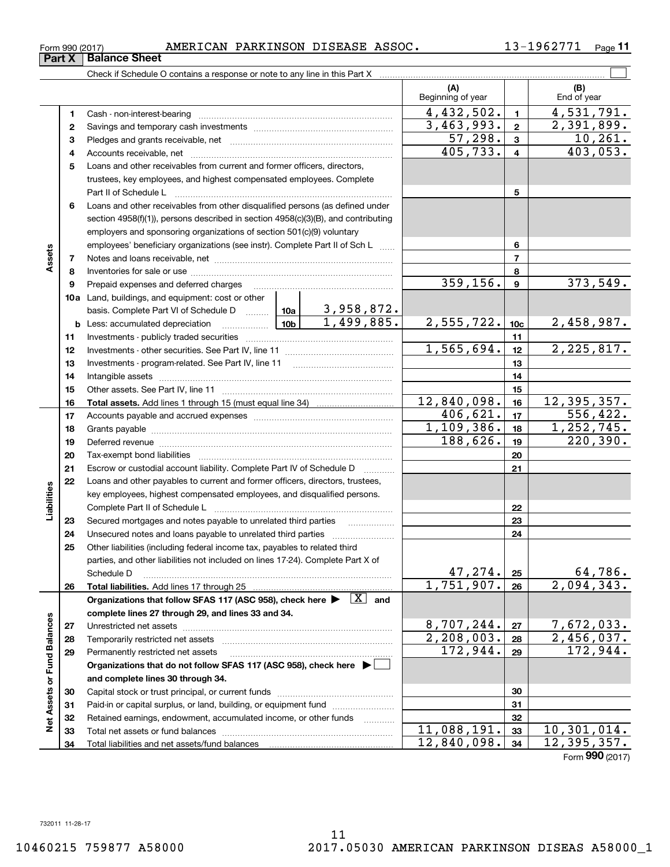**3334**

11,088,191. 33 10,301,014.  $12,840,098.$   $34$  12,395,357.

Form (2017) **990**

|                             | Part X       | <b>Balance Sheet</b>                                                                                                                                                                                                          |            |                        |                          |                         |                    |
|-----------------------------|--------------|-------------------------------------------------------------------------------------------------------------------------------------------------------------------------------------------------------------------------------|------------|------------------------|--------------------------|-------------------------|--------------------|
|                             |              |                                                                                                                                                                                                                               |            |                        |                          |                         |                    |
|                             |              |                                                                                                                                                                                                                               |            |                        | (A)<br>Beginning of year |                         | (B)<br>End of year |
|                             | 1            |                                                                                                                                                                                                                               |            |                        | 4,432,502.               | $\mathbf{1}$            | 4,531,791.         |
|                             | $\mathbf{2}$ |                                                                                                                                                                                                                               |            |                        | 3,463,993.               | $\overline{\mathbf{2}}$ | 2,391,899.         |
|                             | з            |                                                                                                                                                                                                                               |            |                        | 57,298.                  | $\mathbf{3}$            | 10, 261.           |
|                             | 4            |                                                                                                                                                                                                                               |            |                        | 405, 733.                | $\overline{\mathbf{4}}$ | 403,053.           |
|                             | 5            | Loans and other receivables from current and former officers, directors,                                                                                                                                                      |            |                        |                          |                         |                    |
|                             |              | trustees, key employees, and highest compensated employees. Complete                                                                                                                                                          |            |                        |                          |                         |                    |
|                             |              | Part II of Schedule L                                                                                                                                                                                                         |            |                        |                          | 5                       |                    |
|                             | 6            | Loans and other receivables from other disqualified persons (as defined under                                                                                                                                                 |            |                        |                          |                         |                    |
|                             |              | section 4958(f)(1)), persons described in section 4958(c)(3)(B), and contributing                                                                                                                                             |            |                        |                          |                         |                    |
|                             |              | employers and sponsoring organizations of section 501(c)(9) voluntary                                                                                                                                                         |            |                        |                          |                         |                    |
|                             |              | employees' beneficiary organizations (see instr). Complete Part II of Sch L                                                                                                                                                   |            |                        |                          | 6                       |                    |
| Assets                      | 7            |                                                                                                                                                                                                                               |            |                        |                          | $\overline{7}$          |                    |
|                             | 8            |                                                                                                                                                                                                                               |            |                        |                          | 8                       |                    |
|                             | 9            | Prepaid expenses and deferred charges                                                                                                                                                                                         |            |                        | 359, 156.                | $\boldsymbol{9}$        | 373,549.           |
|                             |              | <b>10a</b> Land, buildings, and equipment: cost or other                                                                                                                                                                      |            |                        |                          |                         |                    |
|                             |              | basis. Complete Part VI of Schedule D  10a                                                                                                                                                                                    |            | 3,958,872.             |                          |                         |                    |
|                             | b            | $\frac{10b}{2}$<br>Less: accumulated depreciation                                                                                                                                                                             |            | 1,499,885.             | 2,555,722.               | 10 <sub>c</sub>         | 2,458,987.         |
|                             | 11           |                                                                                                                                                                                                                               |            |                        | 1,565,694.               | 11<br>12                |                    |
|                             | 12           |                                                                                                                                                                                                                               |            |                        |                          |                         | 2, 225, 817.       |
|                             | 13           |                                                                                                                                                                                                                               |            | 13                     |                          |                         |                    |
|                             | 14           |                                                                                                                                                                                                                               |            | 14                     |                          |                         |                    |
|                             | 15           |                                                                                                                                                                                                                               |            |                        | 12,840,098.              | 15                      | 12,395,357.        |
|                             | 16           |                                                                                                                                                                                                                               |            |                        | 406,621.                 | 16<br>17                | 556, 422.          |
|                             | 17           |                                                                                                                                                                                                                               | 1,109,386. | 18                     | 1, 252, 745.             |                         |                    |
|                             | 18           |                                                                                                                                                                                                                               | 188,626.   | 19                     | 220, 390.                |                         |                    |
|                             | 19           | Deferred revenue manual contracts and contracts are all the manual contracts and contracts are all the contracts of the contracts of the contracts of the contracts of the contracts of the contracts of the contracts of the |            | 20                     |                          |                         |                    |
|                             | 20<br>21     | Escrow or custodial account liability. Complete Part IV of Schedule D                                                                                                                                                         |            |                        |                          | 21                      |                    |
|                             | 22           | Loans and other payables to current and former officers, directors, trustees,                                                                                                                                                 |            |                        |                          |                         |                    |
|                             |              | key employees, highest compensated employees, and disqualified persons.                                                                                                                                                       |            |                        |                          |                         |                    |
| Liabilities                 |              |                                                                                                                                                                                                                               |            |                        |                          | 22                      |                    |
|                             | 23           | Secured mortgages and notes payable to unrelated third parties                                                                                                                                                                |            |                        |                          | 23                      |                    |
|                             | 24           |                                                                                                                                                                                                                               |            |                        |                          | 24                      |                    |
|                             | 25           | Other liabilities (including federal income tax, payables to related third                                                                                                                                                    |            |                        |                          |                         |                    |
|                             |              | parties, and other liabilities not included on lines 17-24). Complete Part X of                                                                                                                                               |            |                        |                          |                         |                    |
|                             |              | Schedule D                                                                                                                                                                                                                    |            |                        | 47,274.                  | 25                      | $64,786$ .         |
|                             | 26           | Total liabilities. Add lines 17 through 25                                                                                                                                                                                    |            |                        | 1,751,907.               | 26                      | 2,094,343.         |
|                             |              | Organizations that follow SFAS 117 (ASC 958), check here >                                                                                                                                                                    |            | $\boxed{\text{X}}$ and |                          |                         |                    |
|                             |              | complete lines 27 through 29, and lines 33 and 34.                                                                                                                                                                            |            |                        |                          |                         |                    |
|                             | 27           | Unrestricted net assets                                                                                                                                                                                                       |            |                        | 8,707,244.               | 27                      | 7,672,033.         |
|                             | 28           | Temporarily restricted net assets                                                                                                                                                                                             |            |                        | 2,208,003.               | 28                      | 2,456,037.         |
|                             | 29           | Permanently restricted net assets                                                                                                                                                                                             |            |                        | 172,944.                 | 29                      | 172,944.           |
|                             |              | Organizations that do not follow SFAS 117 (ASC 958), check here $\blacktriangleright$                                                                                                                                         |            |                        |                          |                         |                    |
|                             |              | and complete lines 30 through 34.                                                                                                                                                                                             |            |                        |                          |                         |                    |
|                             | 30           |                                                                                                                                                                                                                               |            |                        |                          | 30                      |                    |
| Net Assets or Fund Balances | 31           | Paid-in or capital surplus, or land, building, or equipment fund                                                                                                                                                              |            |                        |                          | 31                      |                    |
|                             | 32           | Retained earnings, endowment, accumulated income, or other funds                                                                                                                                                              |            |                        |                          | 32                      |                    |
|                             | วว           | Total not accote or fund halances                                                                                                                                                                                             |            |                        | 088.191<br>11            | 22                      | 10.301.014.        |

Total net assets or fund balances ......................... Total liabilities and net assets/fund balances

## Form 990 (2017) Page AMERICAN PARKINSON DISEASE ASSOC. 13-1962771

**11**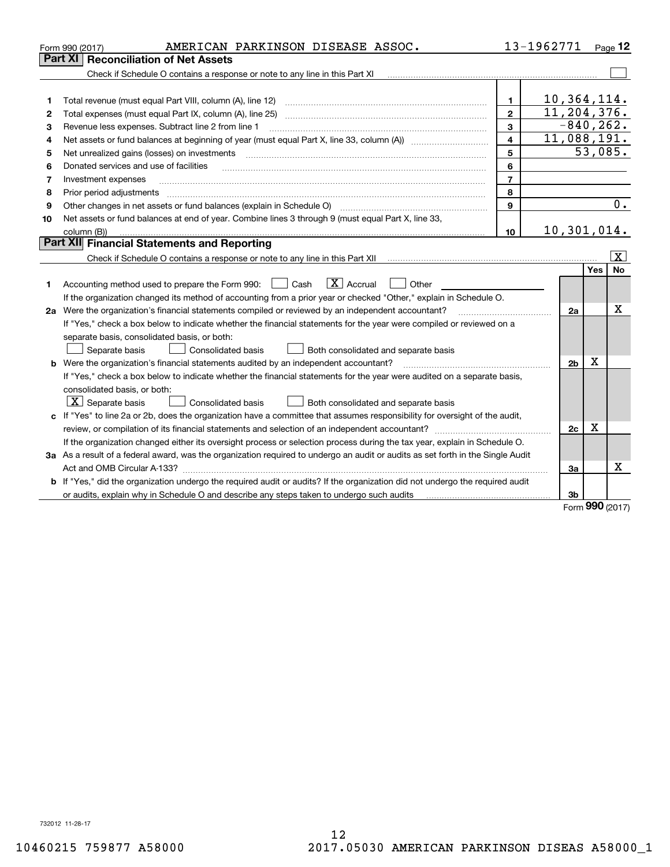|    | AMERICAN PARKINSON DISEASE ASSOC.<br>Form 990 (2017)                                                                                 |                         | 13-1962771     |     | Page $12$               |  |  |  |
|----|--------------------------------------------------------------------------------------------------------------------------------------|-------------------------|----------------|-----|-------------------------|--|--|--|
|    | Part XI   Reconciliation of Net Assets                                                                                               |                         |                |     |                         |  |  |  |
|    | Check if Schedule O contains a response or note to any line in this Part XI                                                          |                         |                |     |                         |  |  |  |
|    |                                                                                                                                      |                         |                |     |                         |  |  |  |
| 1  | Total revenue (must equal Part VIII, column (A), line 12)                                                                            | 1                       | 10,364,114.    |     |                         |  |  |  |
| 2  | Total expenses (must equal Part IX, column (A), line 25)                                                                             | $\mathbf{2}$            | 11, 204, 376.  |     |                         |  |  |  |
| З  | $\overline{\mathbf{3}}$<br>Revenue less expenses. Subtract line 2 from line 1                                                        |                         |                |     |                         |  |  |  |
| 4  |                                                                                                                                      | $\overline{\mathbf{4}}$ | 11,088,191.    |     |                         |  |  |  |
| 5  | Net unrealized gains (losses) on investments                                                                                         | 5                       |                |     | 53,085.                 |  |  |  |
| 6  | Donated services and use of facilities                                                                                               | 6                       |                |     |                         |  |  |  |
| 7  | Investment expenses                                                                                                                  | $\overline{7}$          |                |     |                         |  |  |  |
| 8  | Prior period adjustments                                                                                                             | 8                       |                |     |                         |  |  |  |
| 9  | Other changes in net assets or fund balances (explain in Schedule O)                                                                 | 9                       |                |     | 0.                      |  |  |  |
| 10 | Net assets or fund balances at end of year. Combine lines 3 through 9 (must equal Part X, line 33,                                   |                         |                |     |                         |  |  |  |
|    | column (B))                                                                                                                          | 10                      | 10, 301, 014.  |     |                         |  |  |  |
|    | <b>Part XII</b> Financial Statements and Reporting                                                                                   |                         |                |     |                         |  |  |  |
|    |                                                                                                                                      |                         |                |     | $\overline{\mathbf{x}}$ |  |  |  |
|    |                                                                                                                                      |                         |                | Yes | <b>No</b>               |  |  |  |
| 1  | $\boxed{\mathbf{X}}$ Accrual<br>Accounting method used to prepare the Form 990: <u>[</u> Cash<br>Other                               |                         |                |     |                         |  |  |  |
|    | If the organization changed its method of accounting from a prior year or checked "Other," explain in Schedule O.                    |                         |                |     |                         |  |  |  |
|    | 2a Were the organization's financial statements compiled or reviewed by an independent accountant?                                   |                         | 2a             |     | x                       |  |  |  |
|    | If "Yes," check a box below to indicate whether the financial statements for the year were compiled or reviewed on a                 |                         |                |     |                         |  |  |  |
|    | separate basis, consolidated basis, or both:                                                                                         |                         |                |     |                         |  |  |  |
|    | Separate basis<br><b>Consolidated basis</b><br>Both consolidated and separate basis                                                  |                         |                |     |                         |  |  |  |
|    | b Were the organization's financial statements audited by an independent accountant?                                                 |                         | 2 <sub>b</sub> | х   |                         |  |  |  |
|    | If "Yes," check a box below to indicate whether the financial statements for the year were audited on a separate basis,              |                         |                |     |                         |  |  |  |
|    | consolidated basis, or both:                                                                                                         |                         |                |     |                         |  |  |  |
|    | $X$ Separate basis<br>Consolidated basis<br>Both consolidated and separate basis                                                     |                         |                |     |                         |  |  |  |
|    | c If "Yes" to line 2a or 2b, does the organization have a committee that assumes responsibility for oversight of the audit,          |                         |                |     |                         |  |  |  |
|    |                                                                                                                                      |                         | 2c             | x   |                         |  |  |  |
|    | If the organization changed either its oversight process or selection process during the tax year, explain in Schedule O.            |                         |                |     |                         |  |  |  |
|    | 3a As a result of a federal award, was the organization required to undergo an audit or audits as set forth in the Single Audit      |                         |                |     |                         |  |  |  |
|    | Act and OMB Circular A-133?                                                                                                          |                         | 3a             |     | x                       |  |  |  |
|    | <b>b</b> If "Yes," did the organization undergo the required audit or audits? If the organization did not undergo the required audit |                         |                |     |                         |  |  |  |
|    |                                                                                                                                      |                         | 3b             |     |                         |  |  |  |
|    |                                                                                                                                      |                         |                |     | $000 \text{ hours}$     |  |  |  |

Form (2017) **990**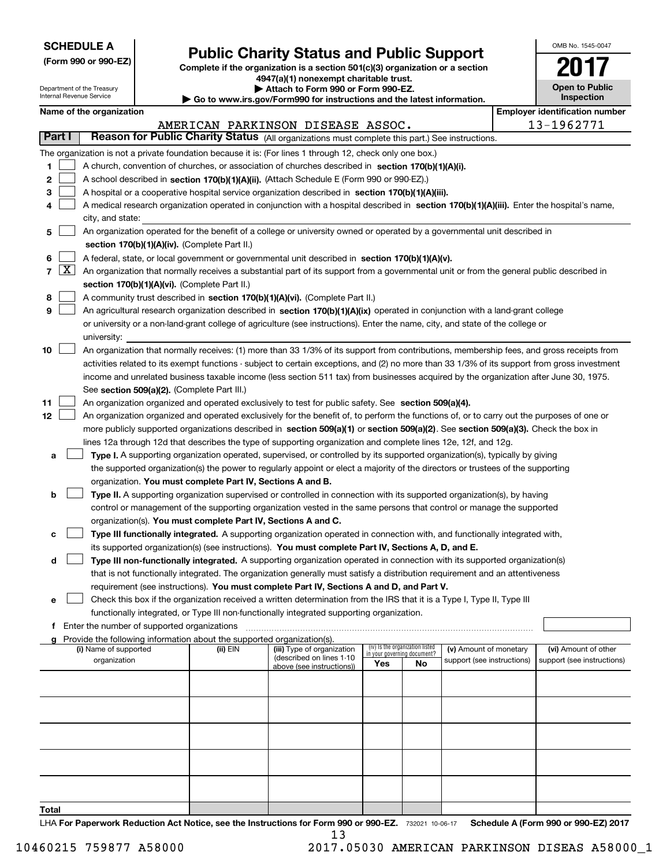| <b>SCHEDULE A</b> |
|-------------------|
|-------------------|

Department of the Treasury Internal Revenue Service

**(Form 990 or 990-EZ)**

# **Public Charity Status and Public Support**

**Complete if the organization is a section 501(c)(3) organization or a section 4947(a)(1) nonexempt charitable trust. | Attach to Form 990 or Form 990-EZ.**   $\blacktriangleright$  Go to

|  | www.irs.gov/Form990 for instructions and the latest information |  |  |  |
|--|-----------------------------------------------------------------|--|--|--|
|--|-----------------------------------------------------------------|--|--|--|

| OMB No. 1545-0047     |
|-----------------------|
| <b>n</b>              |
| <b>Open to Public</b> |

**Inspection**

|  | Name of the organization |
|--|--------------------------|
|--|--------------------------|

|    |        | Name of the organization                                                                                                                                                             |          |                                   |                             |                                 |                                                      |  | <b>Employer identification number</b>              |  |  |
|----|--------|--------------------------------------------------------------------------------------------------------------------------------------------------------------------------------------|----------|-----------------------------------|-----------------------------|---------------------------------|------------------------------------------------------|--|----------------------------------------------------|--|--|
|    | Part I | Reason for Public Charity Status (All organizations must complete this part.) See instructions.                                                                                      |          | AMERICAN PARKINSON DISEASE ASSOC. |                             |                                 |                                                      |  | 13-1962771                                         |  |  |
|    |        |                                                                                                                                                                                      |          |                                   |                             |                                 |                                                      |  |                                                    |  |  |
|    |        | The organization is not a private foundation because it is: (For lines 1 through 12, check only one box.)                                                                            |          |                                   |                             |                                 |                                                      |  |                                                    |  |  |
| 1. |        | A church, convention of churches, or association of churches described in section 170(b)(1)(A)(i).                                                                                   |          |                                   |                             |                                 |                                                      |  |                                                    |  |  |
| 2  |        | A school described in section 170(b)(1)(A)(ii). (Attach Schedule E (Form 990 or 990-EZ).)                                                                                            |          |                                   |                             |                                 |                                                      |  |                                                    |  |  |
| 3  |        | A hospital or a cooperative hospital service organization described in section $170(b)(1)(A)(iii)$ .                                                                                 |          |                                   |                             |                                 |                                                      |  |                                                    |  |  |
| 4  |        | A medical research organization operated in conjunction with a hospital described in section 170(b)(1)(A)(iii). Enter the hospital's name,<br>city, and state:                       |          |                                   |                             |                                 |                                                      |  |                                                    |  |  |
| 5  |        | An organization operated for the benefit of a college or university owned or operated by a governmental unit described in<br>section 170(b)(1)(A)(iv). (Complete Part II.)           |          |                                   |                             |                                 |                                                      |  |                                                    |  |  |
| 6  |        | A federal, state, or local government or governmental unit described in section 170(b)(1)(A)(v).                                                                                     |          |                                   |                             |                                 |                                                      |  |                                                    |  |  |
|    |        | $7 \overline{X}$ An organization that normally receives a substantial part of its support from a governmental unit or from the general public described in                           |          |                                   |                             |                                 |                                                      |  |                                                    |  |  |
|    |        | section 170(b)(1)(A)(vi). (Complete Part II.)                                                                                                                                        |          |                                   |                             |                                 |                                                      |  |                                                    |  |  |
| 8  |        | A community trust described in section 170(b)(1)(A)(vi). (Complete Part II.)                                                                                                         |          |                                   |                             |                                 |                                                      |  |                                                    |  |  |
| 9  |        | An agricultural research organization described in section 170(b)(1)(A)(ix) operated in conjunction with a land-grant college                                                        |          |                                   |                             |                                 |                                                      |  |                                                    |  |  |
|    |        | or university or a non-land-grant college of agriculture (see instructions). Enter the name, city, and state of the college or                                                       |          |                                   |                             |                                 |                                                      |  |                                                    |  |  |
|    |        | university:                                                                                                                                                                          |          |                                   |                             |                                 |                                                      |  |                                                    |  |  |
| 10 |        | An organization that normally receives: (1) more than 33 1/3% of its support from contributions, membership fees, and gross receipts from                                            |          |                                   |                             |                                 |                                                      |  |                                                    |  |  |
|    |        | activities related to its exempt functions - subject to certain exceptions, and (2) no more than 33 1/3% of its support from gross investment                                        |          |                                   |                             |                                 |                                                      |  |                                                    |  |  |
|    |        | income and unrelated business taxable income (less section 511 tax) from businesses acquired by the organization after June 30, 1975.<br>See section 509(a)(2). (Complete Part III.) |          |                                   |                             |                                 |                                                      |  |                                                    |  |  |
| 11 |        | An organization organized and operated exclusively to test for public safety. See section 509(a)(4).                                                                                 |          |                                   |                             |                                 |                                                      |  |                                                    |  |  |
| 12 |        | An organization organized and operated exclusively for the benefit of, to perform the functions of, or to carry out the purposes of one or                                           |          |                                   |                             |                                 |                                                      |  |                                                    |  |  |
|    |        | more publicly supported organizations described in section 509(a)(1) or section 509(a)(2). See section 509(a)(3). Check the box in                                                   |          |                                   |                             |                                 |                                                      |  |                                                    |  |  |
|    |        | lines 12a through 12d that describes the type of supporting organization and complete lines 12e, 12f, and 12g.                                                                       |          |                                   |                             |                                 |                                                      |  |                                                    |  |  |
| а  |        | Type I. A supporting organization operated, supervised, or controlled by its supported organization(s), typically by giving                                                          |          |                                   |                             |                                 |                                                      |  |                                                    |  |  |
|    |        | the supported organization(s) the power to regularly appoint or elect a majority of the directors or trustees of the supporting                                                      |          |                                   |                             |                                 |                                                      |  |                                                    |  |  |
|    |        | organization. You must complete Part IV, Sections A and B.                                                                                                                           |          |                                   |                             |                                 |                                                      |  |                                                    |  |  |
| b  |        | Type II. A supporting organization supervised or controlled in connection with its supported organization(s), by having                                                              |          |                                   |                             |                                 |                                                      |  |                                                    |  |  |
|    |        | control or management of the supporting organization vested in the same persons that control or manage the supported                                                                 |          |                                   |                             |                                 |                                                      |  |                                                    |  |  |
|    |        | organization(s). You must complete Part IV, Sections A and C.                                                                                                                        |          |                                   |                             |                                 |                                                      |  |                                                    |  |  |
| с  |        | Type III functionally integrated. A supporting organization operated in connection with, and functionally integrated with,                                                           |          |                                   |                             |                                 |                                                      |  |                                                    |  |  |
|    |        | its supported organization(s) (see instructions). You must complete Part IV, Sections A, D, and E.                                                                                   |          |                                   |                             |                                 |                                                      |  |                                                    |  |  |
| d  |        | Type III non-functionally integrated. A supporting organization operated in connection with its supported organization(s)                                                            |          |                                   |                             |                                 |                                                      |  |                                                    |  |  |
|    |        | that is not functionally integrated. The organization generally must satisfy a distribution requirement and an attentiveness                                                         |          |                                   |                             |                                 |                                                      |  |                                                    |  |  |
|    |        | requirement (see instructions). You must complete Part IV, Sections A and D, and Part V.                                                                                             |          |                                   |                             |                                 |                                                      |  |                                                    |  |  |
|    |        | Check this box if the organization received a written determination from the IRS that it is a Type I, Type II, Type III                                                              |          |                                   |                             |                                 |                                                      |  |                                                    |  |  |
|    |        | functionally integrated, or Type III non-functionally integrated supporting organization.                                                                                            |          |                                   |                             |                                 |                                                      |  |                                                    |  |  |
|    |        | f Enter the number of supported organizations                                                                                                                                        |          |                                   |                             |                                 |                                                      |  |                                                    |  |  |
|    |        | g Provide the following information about the supported organization(s).<br>(i) Name of supported                                                                                    |          | (iii) Type of organization        |                             | (iv) Is the organization listed |                                                      |  |                                                    |  |  |
|    |        | organization                                                                                                                                                                         | (ii) EIN | (described on lines 1-10          | in your governing document? |                                 | (v) Amount of monetary<br>support (see instructions) |  | (vi) Amount of other<br>support (see instructions) |  |  |
|    |        |                                                                                                                                                                                      |          | above (see instructions))         | Yes                         | No                              |                                                      |  |                                                    |  |  |
|    |        |                                                                                                                                                                                      |          |                                   |                             |                                 |                                                      |  |                                                    |  |  |
|    |        |                                                                                                                                                                                      |          |                                   |                             |                                 |                                                      |  |                                                    |  |  |
|    |        |                                                                                                                                                                                      |          |                                   |                             |                                 |                                                      |  |                                                    |  |  |
|    |        |                                                                                                                                                                                      |          |                                   |                             |                                 |                                                      |  |                                                    |  |  |
|    |        |                                                                                                                                                                                      |          |                                   |                             |                                 |                                                      |  |                                                    |  |  |
|    |        |                                                                                                                                                                                      |          |                                   |                             |                                 |                                                      |  |                                                    |  |  |

**Total**

LHA For Paperwork Reduction Act Notice, see the Instructions for Form 990 or 990-EZ. 732021 10-06-17 Schedule A (Form 990 or 990-EZ) 2017 13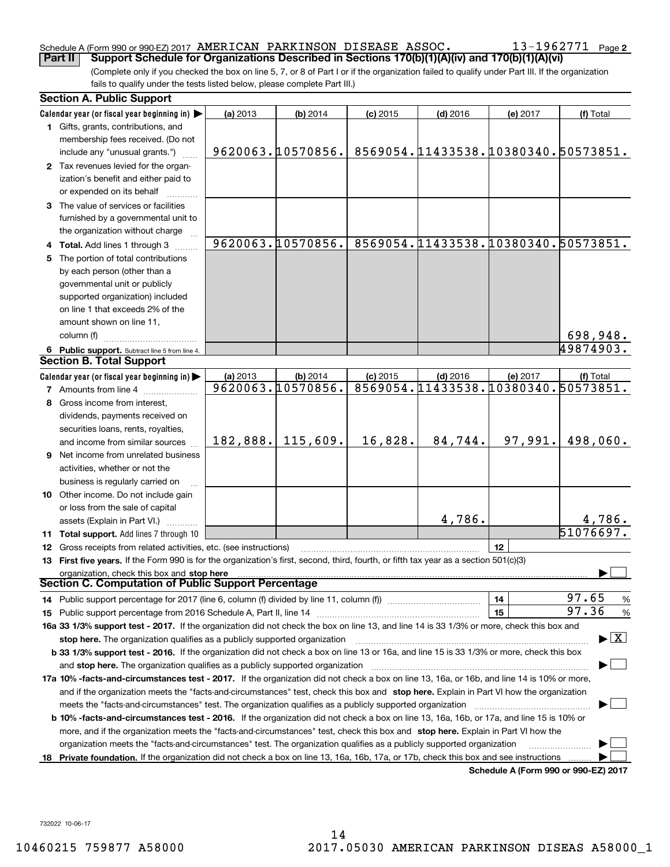## Schedule A (Form 990 or 990-EZ) 2017 Page AMERICAN PARKINSON DISEASE ASSOC. 13-1962771

(Complete only if you checked the box on line 5, 7, or 8 of Part I or if the organization failed to qualify under Part III. If the organization fails to qualify under the tests listed below, please complete Part III.) **Part II** | Support Schedule for Organizations Described in Sections 170(b)(1)(A)(iv) and 170(b)(1)(A)(vi)

|    | <b>Section A. Public Support</b>                                                                                                               |          |                   |            |            |                                      |                                          |
|----|------------------------------------------------------------------------------------------------------------------------------------------------|----------|-------------------|------------|------------|--------------------------------------|------------------------------------------|
|    | Calendar year (or fiscal year beginning in)                                                                                                    | (a) 2013 | (b) 2014          | $(c)$ 2015 | $(d)$ 2016 | (e) 2017                             | (f) Total                                |
|    | 1 Gifts, grants, contributions, and                                                                                                            |          |                   |            |            |                                      |                                          |
|    | membership fees received. (Do not                                                                                                              |          |                   |            |            |                                      |                                          |
|    | include any "unusual grants.")                                                                                                                 |          | 9620063.10570856. |            |            | 8569054.11433538.10380340.50573851.  |                                          |
|    | 2 Tax revenues levied for the organ-                                                                                                           |          |                   |            |            |                                      |                                          |
|    | ization's benefit and either paid to                                                                                                           |          |                   |            |            |                                      |                                          |
|    | or expended on its behalf                                                                                                                      |          |                   |            |            |                                      |                                          |
|    | 3 The value of services or facilities                                                                                                          |          |                   |            |            |                                      |                                          |
|    | furnished by a governmental unit to                                                                                                            |          |                   |            |            |                                      |                                          |
|    | the organization without charge                                                                                                                |          |                   |            |            |                                      |                                          |
|    | 4 Total. Add lines 1 through 3                                                                                                                 |          | 9620063.10570856. |            |            | 8569054.11433538.10380340.50573851.  |                                          |
| 5  | The portion of total contributions                                                                                                             |          |                   |            |            |                                      |                                          |
|    | by each person (other than a                                                                                                                   |          |                   |            |            |                                      |                                          |
|    | governmental unit or publicly                                                                                                                  |          |                   |            |            |                                      |                                          |
|    | supported organization) included                                                                                                               |          |                   |            |            |                                      |                                          |
|    | on line 1 that exceeds 2% of the                                                                                                               |          |                   |            |            |                                      |                                          |
|    | amount shown on line 11,                                                                                                                       |          |                   |            |            |                                      |                                          |
|    | column (f)                                                                                                                                     |          |                   |            |            |                                      | 698,948.                                 |
|    | 6 Public support. Subtract line 5 from line 4.                                                                                                 |          |                   |            |            |                                      | 49874903.                                |
|    | <b>Section B. Total Support</b>                                                                                                                |          |                   |            |            |                                      |                                          |
|    | Calendar year (or fiscal year beginning in)                                                                                                    | (a) 2013 | (b) 2014          | $(c)$ 2015 | $(d)$ 2016 | (e) 2017                             | (f) Total                                |
|    | <b>7</b> Amounts from line 4                                                                                                                   |          | 9620063.10570856. |            |            | 8569054.11433538.10380340.50573851.  |                                          |
| 8  | Gross income from interest.                                                                                                                    |          |                   |            |            |                                      |                                          |
|    | dividends, payments received on                                                                                                                |          |                   |            |            |                                      |                                          |
|    | securities loans, rents, royalties,                                                                                                            |          |                   |            |            |                                      |                                          |
|    | and income from similar sources                                                                                                                | 182,888. | 115,609.          | 16,828.    | 84,744.    | 97,991.                              | 498,060.                                 |
| 9. | Net income from unrelated business                                                                                                             |          |                   |            |            |                                      |                                          |
|    | activities, whether or not the                                                                                                                 |          |                   |            |            |                                      |                                          |
|    | business is regularly carried on                                                                                                               |          |                   |            |            |                                      |                                          |
|    | 10 Other income. Do not include gain                                                                                                           |          |                   |            |            |                                      |                                          |
|    | or loss from the sale of capital                                                                                                               |          |                   |            |            |                                      |                                          |
|    | assets (Explain in Part VI.)                                                                                                                   |          |                   |            | 4,786.     |                                      | 4,786.                                   |
|    | 11 Total support. Add lines 7 through 10                                                                                                       |          |                   |            |            |                                      | 51076697.                                |
|    | 12 Gross receipts from related activities, etc. (see instructions)                                                                             |          |                   |            |            | 12                                   |                                          |
|    | 13 First five years. If the Form 990 is for the organization's first, second, third, fourth, or fifth tax year as a section 501(c)(3)          |          |                   |            |            |                                      |                                          |
|    | organization, check this box and stop here                                                                                                     |          |                   |            |            |                                      |                                          |
|    | <b>Section C. Computation of Public Support Percentage</b>                                                                                     |          |                   |            |            |                                      |                                          |
|    | 14 Public support percentage for 2017 (line 6, column (f) divided by line 11, column (f) <i>manumanomeron</i> entertain-                       |          |                   |            |            | 14                                   | 97.65<br>$\frac{9}{6}$                   |
|    |                                                                                                                                                |          |                   |            |            | 15                                   | 97.36<br>$\frac{9}{6}$                   |
|    | 16a 33 1/3% support test - 2017. If the organization did not check the box on line 13, and line 14 is 33 1/3% or more, check this box and      |          |                   |            |            |                                      |                                          |
|    | stop here. The organization qualifies as a publicly supported organization                                                                     |          |                   |            |            |                                      | $\blacktriangleright$ $\boxed{\text{X}}$ |
|    | b 33 1/3% support test - 2016. If the organization did not check a box on line 13 or 16a, and line 15 is 33 1/3% or more, check this box       |          |                   |            |            |                                      |                                          |
|    | and stop here. The organization qualifies as a publicly supported organization                                                                 |          |                   |            |            |                                      |                                          |
|    | 17a 10% -facts-and-circumstances test - 2017. If the organization did not check a box on line 13, 16a, or 16b, and line 14 is 10% or more,     |          |                   |            |            |                                      |                                          |
|    | and if the organization meets the "facts-and-circumstances" test, check this box and stop here. Explain in Part VI how the organization        |          |                   |            |            |                                      |                                          |
|    | meets the "facts-and-circumstances" test. The organization qualifies as a publicly supported organization                                      |          |                   |            |            |                                      |                                          |
|    | <b>b 10% -facts-and-circumstances test - 2016.</b> If the organization did not check a box on line 13, 16a, 16b, or 17a, and line 15 is 10% or |          |                   |            |            |                                      |                                          |
|    | more, and if the organization meets the "facts-and-circumstances" test, check this box and stop here. Explain in Part VI how the               |          |                   |            |            |                                      |                                          |
|    | organization meets the "facts-and-circumstances" test. The organization qualifies as a publicly supported organization                         |          |                   |            |            |                                      |                                          |
| 18 | Private foundation. If the organization did not check a box on line 13, 16a, 16b, 17a, or 17b, check this box and see instructions             |          |                   |            |            |                                      |                                          |
|    |                                                                                                                                                |          |                   |            |            | Schodule A (Form 990 or 990-F7) 2017 |                                          |

**Schedule A (Form 990 or 990-EZ) 2017**

732022 10-06-17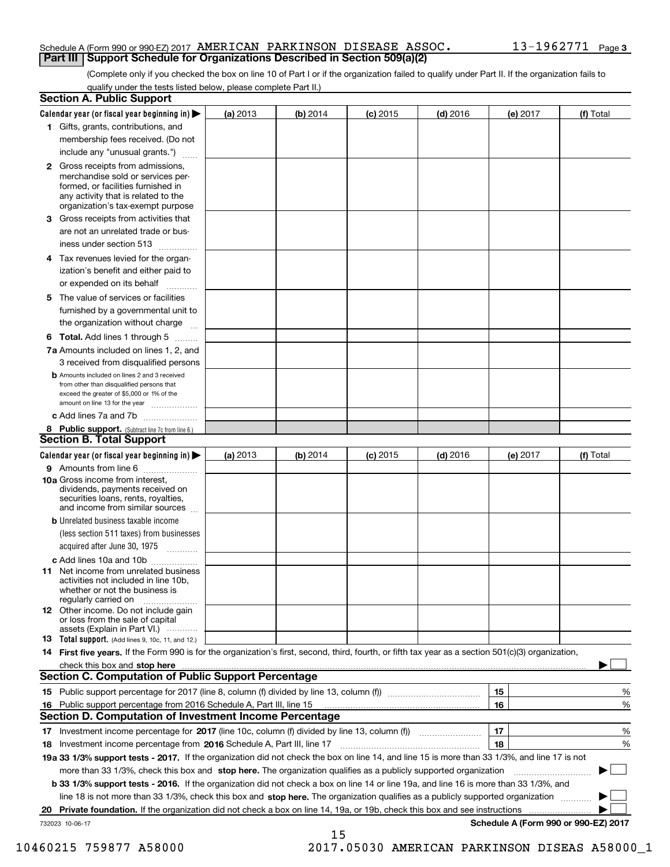### Schedule A (Form 990 or 990-EZ) 2017 Page AMERICAN PARKINSON DISEASE ASSOC. 13-1962771 **Part III Support Schedule for Organizations Described in Section 509(a)(2)**

(Complete only if you checked the box on line 10 of Part I or if the organization failed to qualify under Part II. If the organization fails to qualify under the tests listed below, please complete Part II.)

|    | <b>Section A. Public Support</b>                                                                                                                                                                                              |          |          |            |            |          |                                      |
|----|-------------------------------------------------------------------------------------------------------------------------------------------------------------------------------------------------------------------------------|----------|----------|------------|------------|----------|--------------------------------------|
|    | Calendar year (or fiscal year beginning in) $\blacktriangleright$                                                                                                                                                             | (a) 2013 | (b) 2014 | $(c)$ 2015 | $(d)$ 2016 | (e) 2017 | (f) Total                            |
|    | 1 Gifts, grants, contributions, and                                                                                                                                                                                           |          |          |            |            |          |                                      |
|    | membership fees received. (Do not                                                                                                                                                                                             |          |          |            |            |          |                                      |
|    | include any "unusual grants.")                                                                                                                                                                                                |          |          |            |            |          |                                      |
|    | <b>2</b> Gross receipts from admissions,<br>merchandise sold or services per-<br>formed, or facilities furnished in<br>any activity that is related to the<br>organization's tax-exempt purpose                               |          |          |            |            |          |                                      |
|    | 3 Gross receipts from activities that<br>are not an unrelated trade or bus-                                                                                                                                                   |          |          |            |            |          |                                      |
|    | iness under section 513                                                                                                                                                                                                       |          |          |            |            |          |                                      |
|    | 4 Tax revenues levied for the organ-                                                                                                                                                                                          |          |          |            |            |          |                                      |
|    | ization's benefit and either paid to<br>or expended on its behalf                                                                                                                                                             |          |          |            |            |          |                                      |
|    | 5 The value of services or facilities                                                                                                                                                                                         |          |          |            |            |          |                                      |
|    | furnished by a governmental unit to                                                                                                                                                                                           |          |          |            |            |          |                                      |
|    | the organization without charge                                                                                                                                                                                               |          |          |            |            |          |                                      |
|    | <b>6 Total.</b> Add lines 1 through 5                                                                                                                                                                                         |          |          |            |            |          |                                      |
|    | 7a Amounts included on lines 1, 2, and<br>3 received from disqualified persons                                                                                                                                                |          |          |            |            |          |                                      |
|    | <b>b</b> Amounts included on lines 2 and 3 received<br>from other than disqualified persons that<br>exceed the greater of \$5,000 or 1% of the<br>amount on line 13 for the year                                              |          |          |            |            |          |                                      |
|    | c Add lines 7a and 7b                                                                                                                                                                                                         |          |          |            |            |          |                                      |
|    | 8 Public support. (Subtract line 7c from line 6.)                                                                                                                                                                             |          |          |            |            |          |                                      |
|    | <b>Section B. Total Support</b>                                                                                                                                                                                               |          |          |            |            |          |                                      |
|    | Calendar year (or fiscal year beginning in)                                                                                                                                                                                   | (a) 2013 | (b) 2014 | $(c)$ 2015 | $(d)$ 2016 | (e) 2017 | (f) Total                            |
|    | 9 Amounts from line 6                                                                                                                                                                                                         |          |          |            |            |          |                                      |
|    | <b>10a</b> Gross income from interest,<br>dividends, payments received on<br>securities loans, rents, royalties,<br>and income from similar sources                                                                           |          |          |            |            |          |                                      |
|    | <b>b</b> Unrelated business taxable income                                                                                                                                                                                    |          |          |            |            |          |                                      |
|    | (less section 511 taxes) from businesses                                                                                                                                                                                      |          |          |            |            |          |                                      |
|    | acquired after June 30, 1975                                                                                                                                                                                                  |          |          |            |            |          |                                      |
|    | c Add lines 10a and 10b                                                                                                                                                                                                       |          |          |            |            |          |                                      |
|    | 11 Net income from unrelated business<br>activities not included in line 10b,<br>whether or not the business is<br>regularly carried on                                                                                       |          |          |            |            |          |                                      |
|    | 12 Other income. Do not include gain<br>or loss from the sale of capital<br>assets (Explain in Part VI.)                                                                                                                      |          |          |            |            |          |                                      |
|    | 13 Total support. (Add lines 9, 10c, 11, and 12.)                                                                                                                                                                             |          |          |            |            |          |                                      |
|    | 14 First five years. If the Form 990 is for the organization's first, second, third, fourth, or fifth tax year as a section 501(c)(3) organization,                                                                           |          |          |            |            |          |                                      |
|    | check this box and stop here measurements and the control of the state of the control of the state of the control of the control of the control of the control of the control of the control of the control of the control of |          |          |            |            |          |                                      |
|    | <b>Section C. Computation of Public Support Percentage</b>                                                                                                                                                                    |          |          |            |            |          |                                      |
|    |                                                                                                                                                                                                                               |          |          |            |            | 15       | %                                    |
| 16 | Public support percentage from 2016 Schedule A, Part III, line 15                                                                                                                                                             |          |          |            |            | 16       | %                                    |
|    | <b>Section D. Computation of Investment Income Percentage</b>                                                                                                                                                                 |          |          |            |            |          |                                      |
|    | 17 Investment income percentage for 2017 (line 10c, column (f) divided by line 13, column (f))                                                                                                                                |          |          |            |            | 17       | %                                    |
|    | 18 Investment income percentage from 2016 Schedule A, Part III, line 17                                                                                                                                                       |          |          |            |            | 18       | %                                    |
|    | 19a 33 1/3% support tests - 2017. If the organization did not check the box on line 14, and line 15 is more than 33 1/3%, and line 17 is not                                                                                  |          |          |            |            |          |                                      |
|    | more than 33 1/3%, check this box and stop here. The organization qualifies as a publicly supported organization                                                                                                              |          |          |            |            |          | ▶                                    |
|    | b 33 1/3% support tests - 2016. If the organization did not check a box on line 14 or line 19a, and line 16 is more than 33 1/3%, and                                                                                         |          |          |            |            |          |                                      |
|    | line 18 is not more than 33 1/3%, check this box and stop here. The organization qualifies as a publicly supported organization                                                                                               |          |          |            |            |          |                                      |
| 20 | <b>Private foundation.</b> If the organization did not check a box on line 14, 19a, or 19b, check this box and see instructions                                                                                               |          |          |            |            |          | .                                    |
|    | 732023 10-06-17                                                                                                                                                                                                               |          | 15       |            |            |          | Schedule A (Form 990 or 990-EZ) 2017 |

10460215 759877 A58000 2017.05030 AMERICAN PARKINSON DISEAS A58000\_1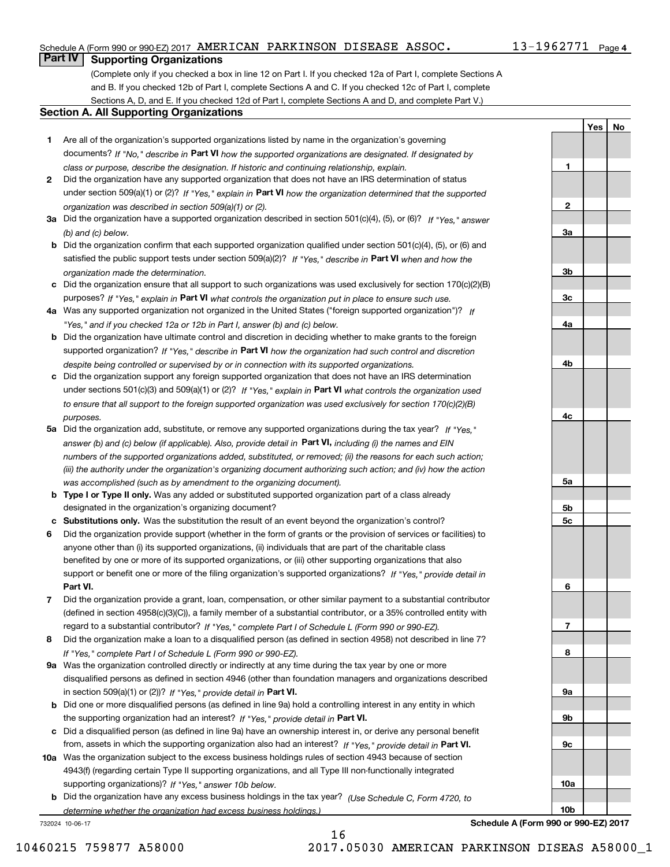## Schedule A (Form 990 or 990-EZ) 2017 Page AMERICAN PARKINSON DISEASE ASSOC. 13-1962771

# **Part IV Supporting Organizations**

(Complete only if you checked a box in line 12 on Part I. If you checked 12a of Part I, complete Sections A and B. If you checked 12b of Part I, complete Sections A and C. If you checked 12c of Part I, complete Sections A, D, and E. If you checked 12d of Part I, complete Sections A and D, and complete Part V.)

### **Section A. All Supporting Organizations**

- **1** Are all of the organization's supported organizations listed by name in the organization's governing documents? If "No," describe in **Part VI** how the supported organizations are designated. If designated by *class or purpose, describe the designation. If historic and continuing relationship, explain.*
- **2** Did the organization have any supported organization that does not have an IRS determination of status under section 509(a)(1) or (2)? If "Yes," explain in Part VI how the organization determined that the supported *organization was described in section 509(a)(1) or (2).*
- **3a** Did the organization have a supported organization described in section 501(c)(4), (5), or (6)? If "Yes," answer *(b) and (c) below.*
- **b** Did the organization confirm that each supported organization qualified under section 501(c)(4), (5), or (6) and satisfied the public support tests under section 509(a)(2)? If "Yes," describe in **Part VI** when and how the *organization made the determination.*
- **c**Did the organization ensure that all support to such organizations was used exclusively for section 170(c)(2)(B) purposes? If "Yes," explain in **Part VI** what controls the organization put in place to ensure such use.
- **4a***If* Was any supported organization not organized in the United States ("foreign supported organization")? *"Yes," and if you checked 12a or 12b in Part I, answer (b) and (c) below.*
- **b** Did the organization have ultimate control and discretion in deciding whether to make grants to the foreign supported organization? If "Yes," describe in **Part VI** how the organization had such control and discretion *despite being controlled or supervised by or in connection with its supported organizations.*
- **c** Did the organization support any foreign supported organization that does not have an IRS determination under sections 501(c)(3) and 509(a)(1) or (2)? If "Yes," explain in **Part VI** what controls the organization used *to ensure that all support to the foreign supported organization was used exclusively for section 170(c)(2)(B) purposes.*
- **5a** Did the organization add, substitute, or remove any supported organizations during the tax year? If "Yes," answer (b) and (c) below (if applicable). Also, provide detail in **Part VI,** including (i) the names and EIN *numbers of the supported organizations added, substituted, or removed; (ii) the reasons for each such action; (iii) the authority under the organization's organizing document authorizing such action; and (iv) how the action was accomplished (such as by amendment to the organizing document).*
- **b** Type I or Type II only. Was any added or substituted supported organization part of a class already designated in the organization's organizing document?
- **cSubstitutions only.**  Was the substitution the result of an event beyond the organization's control?
- **6** Did the organization provide support (whether in the form of grants or the provision of services or facilities) to **Part VI.** *If "Yes," provide detail in* support or benefit one or more of the filing organization's supported organizations? anyone other than (i) its supported organizations, (ii) individuals that are part of the charitable class benefited by one or more of its supported organizations, or (iii) other supporting organizations that also
- **7**Did the organization provide a grant, loan, compensation, or other similar payment to a substantial contributor *If "Yes," complete Part I of Schedule L (Form 990 or 990-EZ).* regard to a substantial contributor? (defined in section 4958(c)(3)(C)), a family member of a substantial contributor, or a 35% controlled entity with
- **8** Did the organization make a loan to a disqualified person (as defined in section 4958) not described in line 7? *If "Yes," complete Part I of Schedule L (Form 990 or 990-EZ).*
- **9a** Was the organization controlled directly or indirectly at any time during the tax year by one or more in section 509(a)(1) or (2))? If "Yes," *provide detail in* <code>Part VI.</code> disqualified persons as defined in section 4946 (other than foundation managers and organizations described
- **b** Did one or more disqualified persons (as defined in line 9a) hold a controlling interest in any entity in which the supporting organization had an interest? If "Yes," provide detail in P**art VI**.
- **c**Did a disqualified person (as defined in line 9a) have an ownership interest in, or derive any personal benefit from, assets in which the supporting organization also had an interest? If "Yes," provide detail in P**art VI.**
- **10a** Was the organization subject to the excess business holdings rules of section 4943 because of section supporting organizations)? If "Yes," answer 10b below. 4943(f) (regarding certain Type II supporting organizations, and all Type III non-functionally integrated
- **b** Did the organization have any excess business holdings in the tax year? (Use Schedule C, Form 4720, to *determine whether the organization had excess business holdings.)*

732024 10-06-17

**3b3c4a4b4c5a 5b5c6789a 9b9c10a**

**Schedule A (Form 990 or 990-EZ) 2017**

**10b**

13-1962771 Page 4

**YesNo**

**1**

**2**

**3a**

16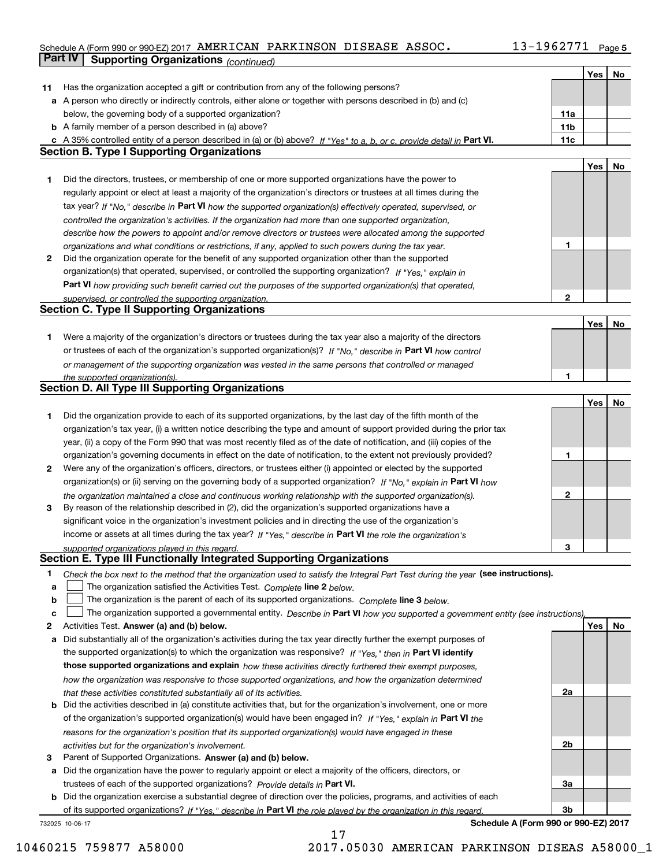#### **5** Schedule A (Form 990 or 990-EZ) 2017 Page AMERICAN PARKINSON DISEASE ASSOC. 13-1962771

|    | Part IV<br><b>Supporting Organizations (continued)</b>                                                                            |                 |     |    |
|----|-----------------------------------------------------------------------------------------------------------------------------------|-----------------|-----|----|
|    |                                                                                                                                   |                 | Yes | No |
| 11 | Has the organization accepted a gift or contribution from any of the following persons?                                           |                 |     |    |
|    | a A person who directly or indirectly controls, either alone or together with persons described in (b) and (c)                    |                 |     |    |
|    | below, the governing body of a supported organization?                                                                            | 11a             |     |    |
|    | <b>b</b> A family member of a person described in (a) above?                                                                      | 11 <sub>b</sub> |     |    |
|    | c A 35% controlled entity of a person described in (a) or (b) above? If "Yes" to a, b, or c, provide detail in Part VI.           | 11c             |     |    |
|    | <b>Section B. Type I Supporting Organizations</b>                                                                                 |                 |     |    |
|    |                                                                                                                                   |                 | Yes | No |
| 1. | Did the directors, trustees, or membership of one or more supported organizations have the power to                               |                 |     |    |
|    | regularly appoint or elect at least a majority of the organization's directors or trustees at all times during the                |                 |     |    |
|    | tax year? If "No," describe in Part VI how the supported organization(s) effectively operated, supervised, or                     |                 |     |    |
|    | controlled the organization's activities. If the organization had more than one supported organization,                           |                 |     |    |
|    | describe how the powers to appoint and/or remove directors or trustees were allocated among the supported                         |                 |     |    |
|    | organizations and what conditions or restrictions, if any, applied to such powers during the tax year.                            | 1               |     |    |
| 2  | Did the organization operate for the benefit of any supported organization other than the supported                               |                 |     |    |
|    | organization(s) that operated, supervised, or controlled the supporting organization? If "Yes," explain in                        |                 |     |    |
|    | Part VI how providing such benefit carried out the purposes of the supported organization(s) that operated,                       |                 |     |    |
|    | supervised, or controlled the supporting organization.                                                                            | 2               |     |    |
|    | <b>Section C. Type II Supporting Organizations</b>                                                                                |                 |     |    |
|    |                                                                                                                                   |                 | Yes | No |
| 1. | Were a majority of the organization's directors or trustees during the tax year also a majority of the directors                  |                 |     |    |
|    | or trustees of each of the organization's supported organization(s)? If "No," describe in Part VI how control                     |                 |     |    |
|    | or management of the supporting organization was vested in the same persons that controlled or managed                            |                 |     |    |
|    |                                                                                                                                   |                 |     |    |
|    | the supported organization(s).<br><b>Section D. All Type III Supporting Organizations</b>                                         |                 |     |    |
|    |                                                                                                                                   |                 | Yes | No |
| 1  | Did the organization provide to each of its supported organizations, by the last day of the fifth month of the                    |                 |     |    |
|    | organization's tax year, (i) a written notice describing the type and amount of support provided during the prior tax             |                 |     |    |
|    |                                                                                                                                   |                 |     |    |
|    | year, (ii) a copy of the Form 990 that was most recently filed as of the date of notification, and (iii) copies of the            | 1               |     |    |
|    | organization's governing documents in effect on the date of notification, to the extent not previously provided?                  |                 |     |    |
| 2  | Were any of the organization's officers, directors, or trustees either (i) appointed or elected by the supported                  |                 |     |    |
|    | organization(s) or (ii) serving on the governing body of a supported organization? If "No," explain in Part VI how                |                 |     |    |
|    | the organization maintained a close and continuous working relationship with the supported organization(s).                       | 2               |     |    |
| 3  | By reason of the relationship described in (2), did the organization's supported organizations have a                             |                 |     |    |
|    | significant voice in the organization's investment policies and in directing the use of the organization's                        |                 |     |    |
|    | income or assets at all times during the tax year? If "Yes," describe in Part VI the role the organization's                      |                 |     |    |
|    | supported organizations played in this regard.                                                                                    | 3               |     |    |
|    | Section E. Type III Functionally Integrated Supporting Organizations                                                              |                 |     |    |
| 1  | Check the box next to the method that the organization used to satisfy the Integral Part Test during the year (see instructions). |                 |     |    |
| a  | The organization satisfied the Activities Test. Complete line 2 below.                                                            |                 |     |    |
| b  | The organization is the parent of each of its supported organizations. Complete line 3 below.                                     |                 |     |    |
| c  | The organization supported a governmental entity. Describe in Part VI how you supported a government entity (see instructions),   |                 |     |    |
| 2  | Activities Test. Answer (a) and (b) below.                                                                                        |                 | Yes | No |
| а  | Did substantially all of the organization's activities during the tax year directly further the exempt purposes of                |                 |     |    |
|    | the supported organization(s) to which the organization was responsive? If "Yes," then in Part VI identify                        |                 |     |    |
|    | those supported organizations and explain how these activities directly furthered their exempt purposes,                          |                 |     |    |
|    | how the organization was responsive to those supported organizations, and how the organization determined                         |                 |     |    |
|    | that these activities constituted substantially all of its activities.                                                            | 2a              |     |    |
| b  | Did the activities described in (a) constitute activities that, but for the organization's involvement, one or more               |                 |     |    |
|    | of the organization's supported organization(s) would have been engaged in? If "Yes," explain in Part VI the                      |                 |     |    |
|    | reasons for the organization's position that its supported organization(s) would have engaged in these                            |                 |     |    |
|    | activities but for the organization's involvement.                                                                                | 2b              |     |    |
| 3  | Parent of Supported Organizations. Answer (a) and (b) below.                                                                      |                 |     |    |
| а  | Did the organization have the power to regularly appoint or elect a majority of the officers, directors, or                       |                 |     |    |
|    | trustees of each of the supported organizations? Provide details in Part VI.                                                      | За              |     |    |
|    | <b>b</b> Did the organization exercise a substantial degree of direction over the policies, programs, and activities of each      |                 |     |    |
|    | of its supported organizations? If "Yes," describe in Part VI the role played by the organization in this regard.                 | Зb              |     |    |

17

732025 10-06-17

**Schedule A (Form 990 or 990-EZ) 2017**

10460215 759877 A58000 2017.05030 AMERICAN PARKINSON DISEAS A58000\_1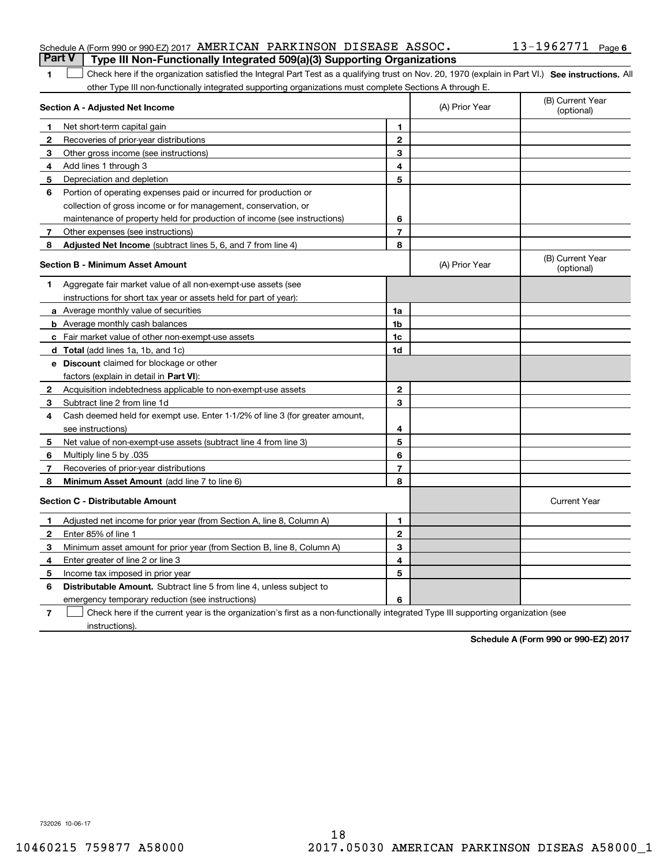## Schedule A (Form 990 or 990-EZ) 2017 Page AMERICAN PARKINSON DISEASE ASSOC. 13-1962771 **Part V Type III Non-Functionally Integrated 509(a)(3) Supporting Organizations**

1 Check here if the organization satisfied the Integral Part Test as a qualifying trust on Nov. 20, 1970 (explain in Part VI.) See instructions. All other Type III non-functionally integrated supporting organizations must complete Sections A through E.

|              | Section A - Adjusted Net Income                                                                                                   | (A) Prior Year | (B) Current Year<br>(optional) |                                |
|--------------|-----------------------------------------------------------------------------------------------------------------------------------|----------------|--------------------------------|--------------------------------|
| 1            | Net short-term capital gain                                                                                                       | 1              |                                |                                |
| $\mathbf{2}$ | Recoveries of prior-year distributions                                                                                            | $\mathbf{2}$   |                                |                                |
| 3            | Other gross income (see instructions)                                                                                             | 3              |                                |                                |
| 4            | Add lines 1 through 3                                                                                                             | 4              |                                |                                |
| 5            | Depreciation and depletion                                                                                                        | 5              |                                |                                |
| 6            | Portion of operating expenses paid or incurred for production or                                                                  |                |                                |                                |
|              | collection of gross income or for management, conservation, or                                                                    |                |                                |                                |
|              | maintenance of property held for production of income (see instructions)                                                          | 6              |                                |                                |
| 7            | Other expenses (see instructions)                                                                                                 | 7              |                                |                                |
| 8            | <b>Adjusted Net Income</b> (subtract lines 5, 6, and 7 from line 4)                                                               | 8              |                                |                                |
|              | <b>Section B - Minimum Asset Amount</b>                                                                                           |                | (A) Prior Year                 | (B) Current Year<br>(optional) |
| 1.           | Aggregate fair market value of all non-exempt-use assets (see                                                                     |                |                                |                                |
|              | instructions for short tax year or assets held for part of year):                                                                 |                |                                |                                |
|              | a Average monthly value of securities                                                                                             | 1a             |                                |                                |
|              | <b>b</b> Average monthly cash balances                                                                                            | 1b             |                                |                                |
|              | c Fair market value of other non-exempt-use assets                                                                                | 1c             |                                |                                |
|              | d Total (add lines 1a, 1b, and 1c)                                                                                                | 1d             |                                |                                |
|              | e Discount claimed for blockage or other                                                                                          |                |                                |                                |
|              | factors (explain in detail in Part VI):                                                                                           |                |                                |                                |
| 2            | Acquisition indebtedness applicable to non-exempt-use assets                                                                      | $\mathbf{2}$   |                                |                                |
| 3            | Subtract line 2 from line 1d                                                                                                      | 3              |                                |                                |
| 4            | Cash deemed held for exempt use. Enter 1-1/2% of line 3 (for greater amount,                                                      |                |                                |                                |
|              | see instructions)                                                                                                                 | 4              |                                |                                |
| 5            | Net value of non-exempt-use assets (subtract line 4 from line 3)                                                                  | 5              |                                |                                |
| 6            | Multiply line 5 by .035                                                                                                           | 6              |                                |                                |
| 7            | Recoveries of prior-year distributions                                                                                            | 7              |                                |                                |
| 8            | Minimum Asset Amount (add line 7 to line 6)                                                                                       | 8              |                                |                                |
|              | <b>Section C - Distributable Amount</b>                                                                                           |                |                                | <b>Current Year</b>            |
| 1            | Adjusted net income for prior year (from Section A, line 8, Column A)                                                             | 1              |                                |                                |
| 2            | Enter 85% of line 1                                                                                                               | $\overline{2}$ |                                |                                |
| 3            | Minimum asset amount for prior year (from Section B, line 8, Column A)                                                            | 3              |                                |                                |
| 4            | Enter greater of line 2 or line 3                                                                                                 | 4              |                                |                                |
| 5            | Income tax imposed in prior year                                                                                                  | 5              |                                |                                |
| 6            | <b>Distributable Amount.</b> Subtract line 5 from line 4, unless subject to                                                       |                |                                |                                |
|              | emergency temporary reduction (see instructions)                                                                                  | 6              |                                |                                |
| 7            | Check here if the current year is the organization's first as a non-functionally integrated Type III supporting organization (see |                |                                |                                |

instructions).

**1**

**Schedule A (Form 990 or 990-EZ) 2017**

732026 10-06-17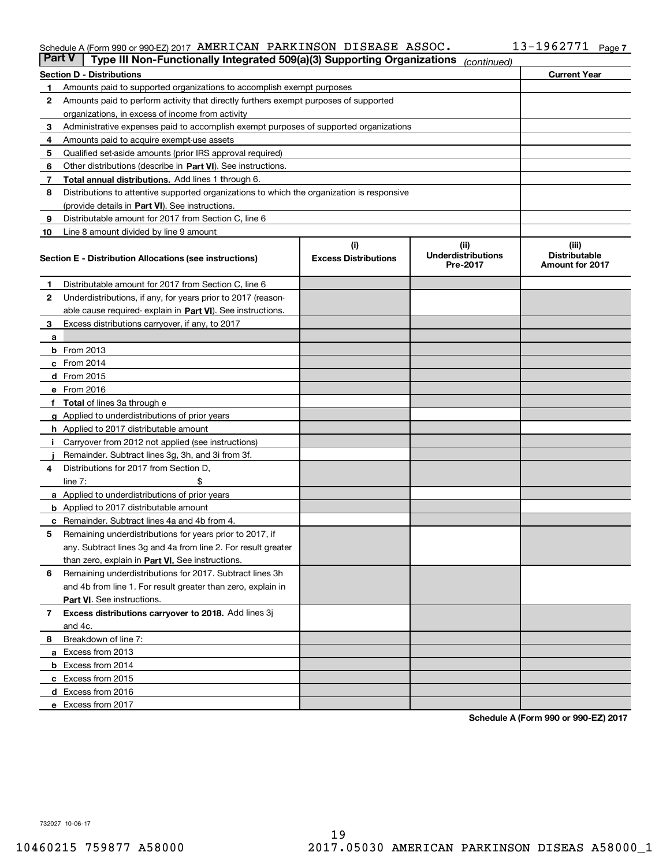#### Schedule A (Form 990 or 990-EZ) 2017 AMERICAN PARKINSON DISEASE ASSOC I J = I 9 6 2 7 7 I Page AMERICAN PARKINSON DISEASE ASSOC. 13-1962771

| <b>Part V</b> | Type III Non-Functionally Integrated 509(a)(3) Supporting Organizations                    |                             | (continued)                           |                                                |  |  |  |
|---------------|--------------------------------------------------------------------------------------------|-----------------------------|---------------------------------------|------------------------------------------------|--|--|--|
|               | <b>Section D - Distributions</b>                                                           |                             |                                       | <b>Current Year</b>                            |  |  |  |
| 1             | Amounts paid to supported organizations to accomplish exempt purposes                      |                             |                                       |                                                |  |  |  |
| 2             | Amounts paid to perform activity that directly furthers exempt purposes of supported       |                             |                                       |                                                |  |  |  |
|               | organizations, in excess of income from activity                                           |                             |                                       |                                                |  |  |  |
| з             | Administrative expenses paid to accomplish exempt purposes of supported organizations      |                             |                                       |                                                |  |  |  |
| 4             | Amounts paid to acquire exempt-use assets                                                  |                             |                                       |                                                |  |  |  |
| 5             | Qualified set-aside amounts (prior IRS approval required)                                  |                             |                                       |                                                |  |  |  |
| 6             | Other distributions (describe in Part VI). See instructions.                               |                             |                                       |                                                |  |  |  |
| 7             | <b>Total annual distributions.</b> Add lines 1 through 6.                                  |                             |                                       |                                                |  |  |  |
| 8             | Distributions to attentive supported organizations to which the organization is responsive |                             |                                       |                                                |  |  |  |
|               | (provide details in Part VI). See instructions.                                            |                             |                                       |                                                |  |  |  |
| 9             | Distributable amount for 2017 from Section C, line 6                                       |                             |                                       |                                                |  |  |  |
| 10            | Line 8 amount divided by line 9 amount                                                     |                             |                                       |                                                |  |  |  |
|               |                                                                                            | (i)                         | (iii)                                 | (iii)                                          |  |  |  |
|               | Section E - Distribution Allocations (see instructions)                                    | <b>Excess Distributions</b> | <b>Underdistributions</b><br>Pre-2017 | <b>Distributable</b><br><b>Amount for 2017</b> |  |  |  |
| 1             | Distributable amount for 2017 from Section C, line 6                                       |                             |                                       |                                                |  |  |  |
| 2             | Underdistributions, if any, for years prior to 2017 (reason-                               |                             |                                       |                                                |  |  |  |
|               | able cause required- explain in Part VI). See instructions.                                |                             |                                       |                                                |  |  |  |
| 3             | Excess distributions carryover, if any, to 2017                                            |                             |                                       |                                                |  |  |  |
| а             |                                                                                            |                             |                                       |                                                |  |  |  |
|               | <b>b</b> From 2013                                                                         |                             |                                       |                                                |  |  |  |
|               | c From 2014                                                                                |                             |                                       |                                                |  |  |  |
|               | <b>d</b> From 2015                                                                         |                             |                                       |                                                |  |  |  |
|               | e From 2016                                                                                |                             |                                       |                                                |  |  |  |
|               | Total of lines 3a through e                                                                |                             |                                       |                                                |  |  |  |
|               | <b>g</b> Applied to underdistributions of prior years                                      |                             |                                       |                                                |  |  |  |
|               | <b>h</b> Applied to 2017 distributable amount                                              |                             |                                       |                                                |  |  |  |
|               | Carryover from 2012 not applied (see instructions)                                         |                             |                                       |                                                |  |  |  |
|               | Remainder. Subtract lines 3g, 3h, and 3i from 3f.                                          |                             |                                       |                                                |  |  |  |
| 4             | Distributions for 2017 from Section D,                                                     |                             |                                       |                                                |  |  |  |
|               | line $7:$                                                                                  |                             |                                       |                                                |  |  |  |
|               | <b>a</b> Applied to underdistributions of prior years                                      |                             |                                       |                                                |  |  |  |
|               | <b>b</b> Applied to 2017 distributable amount                                              |                             |                                       |                                                |  |  |  |
| с             | Remainder. Subtract lines 4a and 4b from 4.                                                |                             |                                       |                                                |  |  |  |
| 5             | Remaining underdistributions for years prior to 2017, if                                   |                             |                                       |                                                |  |  |  |
|               | any. Subtract lines 3g and 4a from line 2. For result greater                              |                             |                                       |                                                |  |  |  |
|               | than zero, explain in Part VI. See instructions.                                           |                             |                                       |                                                |  |  |  |
| 6             | Remaining underdistributions for 2017. Subtract lines 3h                                   |                             |                                       |                                                |  |  |  |
|               | and 4b from line 1. For result greater than zero, explain in                               |                             |                                       |                                                |  |  |  |
|               | Part VI. See instructions.                                                                 |                             |                                       |                                                |  |  |  |
| 7             | Excess distributions carryover to 2018. Add lines 3j                                       |                             |                                       |                                                |  |  |  |
|               | and 4c.                                                                                    |                             |                                       |                                                |  |  |  |
| 8             | Breakdown of line 7:                                                                       |                             |                                       |                                                |  |  |  |
|               | a Excess from 2013                                                                         |                             |                                       |                                                |  |  |  |
|               | <b>b</b> Excess from 2014                                                                  |                             |                                       |                                                |  |  |  |
|               | c Excess from 2015                                                                         |                             |                                       |                                                |  |  |  |
|               | d Excess from 2016                                                                         |                             |                                       |                                                |  |  |  |
|               |                                                                                            |                             |                                       |                                                |  |  |  |
|               | e Excess from 2017                                                                         |                             |                                       |                                                |  |  |  |

**Schedule A (Form 990 or 990-EZ) 2017**

732027 10-06-17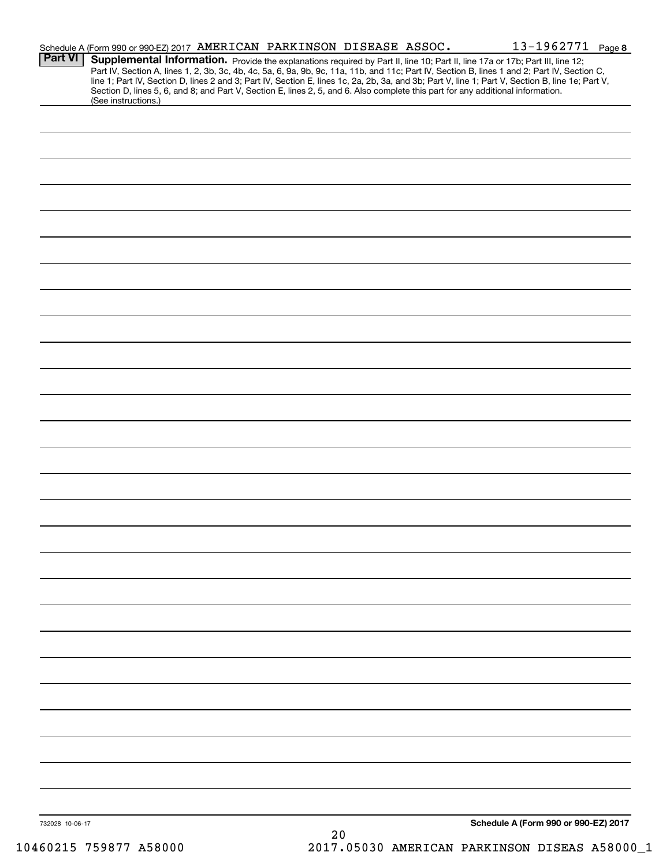|                 | Schedule A (Form 990 or 990-EZ) 2017 AMERICAN PARKINSON DISEASE ASSOC.                                                                                 |    |  | 13-1962771 Page 8                                                                                                                                                                                                                                                                                |  |
|-----------------|--------------------------------------------------------------------------------------------------------------------------------------------------------|----|--|--------------------------------------------------------------------------------------------------------------------------------------------------------------------------------------------------------------------------------------------------------------------------------------------------|--|
| <b>Part VI</b>  | Supplemental Information. Provide the explanations required by Part II, line 10; Part II, line 17a or 17b; Part III, line 12;                          |    |  | Part IV, Section A, lines 1, 2, 3b, 3c, 4b, 4c, 5a, 6, 9a, 9b, 9c, 11a, 11b, and 11c; Part IV, Section B, lines 1 and 2; Part IV, Section C,<br>line 1; Part IV, Section D, lines 2 and 3; Part IV, Section E, lines 1c, 2a, 2b, 3a, and 3b; Part V, line 1; Part V, Section B, line 1e; Part V, |  |
|                 | Section D, lines 5, 6, and 8; and Part V, Section E, lines 2, 5, and 6. Also complete this part for any additional information.<br>(See instructions.) |    |  |                                                                                                                                                                                                                                                                                                  |  |
|                 |                                                                                                                                                        |    |  |                                                                                                                                                                                                                                                                                                  |  |
|                 |                                                                                                                                                        |    |  |                                                                                                                                                                                                                                                                                                  |  |
|                 |                                                                                                                                                        |    |  |                                                                                                                                                                                                                                                                                                  |  |
|                 |                                                                                                                                                        |    |  |                                                                                                                                                                                                                                                                                                  |  |
|                 |                                                                                                                                                        |    |  |                                                                                                                                                                                                                                                                                                  |  |
|                 |                                                                                                                                                        |    |  |                                                                                                                                                                                                                                                                                                  |  |
|                 |                                                                                                                                                        |    |  |                                                                                                                                                                                                                                                                                                  |  |
|                 |                                                                                                                                                        |    |  |                                                                                                                                                                                                                                                                                                  |  |
|                 |                                                                                                                                                        |    |  |                                                                                                                                                                                                                                                                                                  |  |
|                 |                                                                                                                                                        |    |  |                                                                                                                                                                                                                                                                                                  |  |
|                 |                                                                                                                                                        |    |  |                                                                                                                                                                                                                                                                                                  |  |
|                 |                                                                                                                                                        |    |  |                                                                                                                                                                                                                                                                                                  |  |
|                 |                                                                                                                                                        |    |  |                                                                                                                                                                                                                                                                                                  |  |
|                 |                                                                                                                                                        |    |  |                                                                                                                                                                                                                                                                                                  |  |
|                 |                                                                                                                                                        |    |  |                                                                                                                                                                                                                                                                                                  |  |
|                 |                                                                                                                                                        |    |  |                                                                                                                                                                                                                                                                                                  |  |
|                 |                                                                                                                                                        |    |  |                                                                                                                                                                                                                                                                                                  |  |
|                 |                                                                                                                                                        |    |  |                                                                                                                                                                                                                                                                                                  |  |
|                 |                                                                                                                                                        |    |  |                                                                                                                                                                                                                                                                                                  |  |
|                 |                                                                                                                                                        |    |  |                                                                                                                                                                                                                                                                                                  |  |
|                 |                                                                                                                                                        |    |  |                                                                                                                                                                                                                                                                                                  |  |
|                 |                                                                                                                                                        |    |  |                                                                                                                                                                                                                                                                                                  |  |
|                 |                                                                                                                                                        |    |  |                                                                                                                                                                                                                                                                                                  |  |
|                 |                                                                                                                                                        |    |  |                                                                                                                                                                                                                                                                                                  |  |
|                 |                                                                                                                                                        |    |  |                                                                                                                                                                                                                                                                                                  |  |
|                 |                                                                                                                                                        |    |  |                                                                                                                                                                                                                                                                                                  |  |
|                 |                                                                                                                                                        |    |  |                                                                                                                                                                                                                                                                                                  |  |
|                 |                                                                                                                                                        |    |  |                                                                                                                                                                                                                                                                                                  |  |
|                 |                                                                                                                                                        |    |  |                                                                                                                                                                                                                                                                                                  |  |
|                 |                                                                                                                                                        |    |  |                                                                                                                                                                                                                                                                                                  |  |
|                 |                                                                                                                                                        |    |  |                                                                                                                                                                                                                                                                                                  |  |
|                 |                                                                                                                                                        |    |  |                                                                                                                                                                                                                                                                                                  |  |
|                 |                                                                                                                                                        |    |  |                                                                                                                                                                                                                                                                                                  |  |
|                 |                                                                                                                                                        |    |  |                                                                                                                                                                                                                                                                                                  |  |
|                 |                                                                                                                                                        |    |  |                                                                                                                                                                                                                                                                                                  |  |
|                 |                                                                                                                                                        |    |  |                                                                                                                                                                                                                                                                                                  |  |
| 732028 10-06-17 |                                                                                                                                                        |    |  | Schedule A (Form 990 or 990-EZ) 2017                                                                                                                                                                                                                                                             |  |
|                 |                                                                                                                                                        | 20 |  |                                                                                                                                                                                                                                                                                                  |  |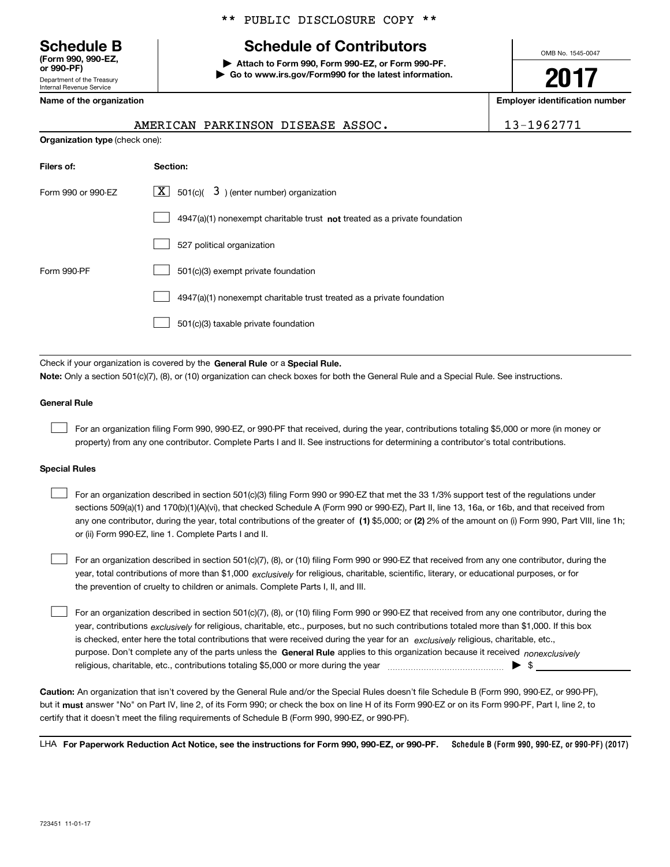Department of the Treasury Internal Revenue Service **(Form 990, 990-EZ, or 990-PF)**

## \*\* PUBLIC DISCLOSURE COPY \*\*

# **Schedule B Schedule of Contributors**

**| Attach to Form 990, Form 990-EZ, or Form 990-PF. | Go to www.irs.gov/Form990 for the latest information.** OMB No. 1545-0047

**2017**

**Name of the organization Employer identification number**

ASSOC. 13-1962771

| Name of the organization              |                                                                           |  |  |  |
|---------------------------------------|---------------------------------------------------------------------------|--|--|--|
|                                       | AMERICAN PARKINSON DISEASE ASSOC.                                         |  |  |  |
| <b>Organization type (check one):</b> |                                                                           |  |  |  |
| Filers of:                            | Section:                                                                  |  |  |  |
| Form 990 or 990-EZ                    | $\overline{X}$ 501(c)( $\overline{3}$ ) (enter number) organization       |  |  |  |
|                                       | 4947(a)(1) nonexempt charitable trust not treated as a private foundation |  |  |  |
|                                       | 527 political organization                                                |  |  |  |
| Form 990-PF                           | 501(c)(3) exempt private foundation                                       |  |  |  |
|                                       | 4947(a)(1) nonexempt charitable trust treated as a private foundation     |  |  |  |

501(c)(3) taxable private foundation  $\mathcal{L}^{\text{max}}$ 

Check if your organization is covered by the **General Rule** or a **Special Rule. Note:**  Only a section 501(c)(7), (8), or (10) organization can check boxes for both the General Rule and a Special Rule. See instructions.

### **General Rule**

 $\mathcal{L}^{\text{max}}$ 

For an organization filing Form 990, 990-EZ, or 990-PF that received, during the year, contributions totaling \$5,000 or more (in money or property) from any one contributor. Complete Parts I and II. See instructions for determining a contributor's total contributions.

#### **Special Rules**

 $\mathcal{L}^{\text{max}}$ 

any one contributor, during the year, total contributions of the greater of  $\,$  (1) \$5,000; or **(2)** 2% of the amount on (i) Form 990, Part VIII, line 1h; For an organization described in section 501(c)(3) filing Form 990 or 990-EZ that met the 33 1/3% support test of the regulations under sections 509(a)(1) and 170(b)(1)(A)(vi), that checked Schedule A (Form 990 or 990-EZ), Part II, line 13, 16a, or 16b, and that received from or (ii) Form 990-EZ, line 1. Complete Parts I and II.  $\mathcal{L}^{\text{max}}$ 

year, total contributions of more than \$1,000 *exclusively* for religious, charitable, scientific, literary, or educational purposes, or for For an organization described in section 501(c)(7), (8), or (10) filing Form 990 or 990-EZ that received from any one contributor, during the the prevention of cruelty to children or animals. Complete Parts I, II, and III.  $\mathcal{L}^{\text{max}}$ 

purpose. Don't complete any of the parts unless the **General Rule** applies to this organization because it received *nonexclusively* year, contributions <sub>exclusively</sub> for religious, charitable, etc., purposes, but no such contributions totaled more than \$1,000. If this box is checked, enter here the total contributions that were received during the year for an  $\;$ exclusively religious, charitable, etc., For an organization described in section 501(c)(7), (8), or (10) filing Form 990 or 990-EZ that received from any one contributor, during the religious, charitable, etc., contributions totaling \$5,000 or more during the year  $\ldots$  $\ldots$  $\ldots$  $\ldots$  $\ldots$  $\ldots$ 

**Caution:**  An organization that isn't covered by the General Rule and/or the Special Rules doesn't file Schedule B (Form 990, 990-EZ, or 990-PF),  **must** but it answer "No" on Part IV, line 2, of its Form 990; or check the box on line H of its Form 990-EZ or on its Form 990-PF, Part I, line 2, to certify that it doesn't meet the filing requirements of Schedule B (Form 990, 990-EZ, or 990-PF).

**Schedule B (Form 990, 990-EZ, or 990-PF) (2017) For Paperwork Reduction Act Notice, see the instructions for Form 990, 990-EZ, or 990-PF.** LHA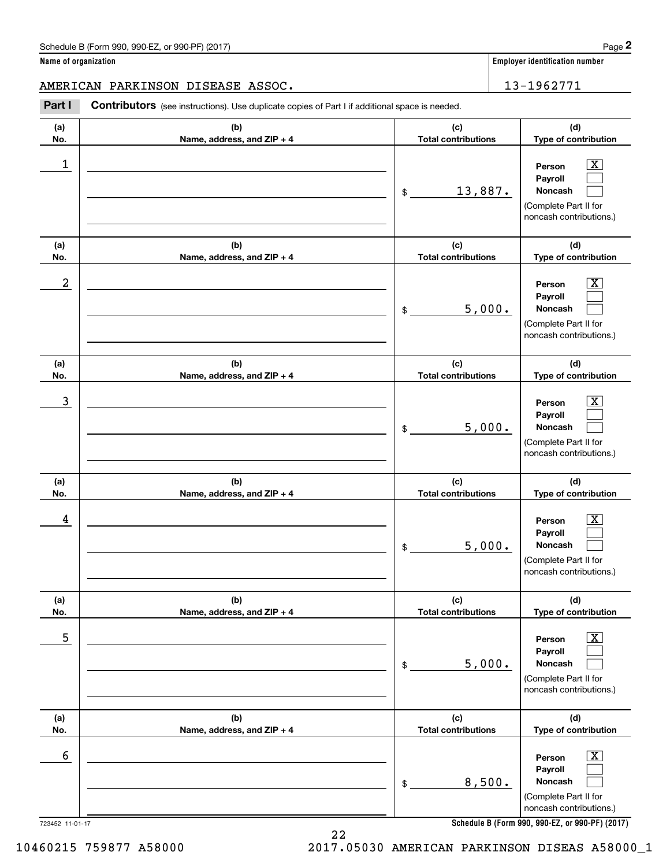# AMERICAN PARKINSON DISEASE ASSOC. 13-1962771

Chedule B (Form 990, 990-EZ, or 990-PF) (2017)<br> **2 ame of organization**<br> **2 ASSOC . II 21962771<br>
Part I <b>Contributors** (see instructions). Use duplicate copies of Part I if additional space is needed.

| (b)<br>(a)<br>No.<br>Name, address, and ZIP + 4<br>1 | (c)<br><b>Total contributions</b> | (d)<br>Type of contribution                                                                                                                               |
|------------------------------------------------------|-----------------------------------|-----------------------------------------------------------------------------------------------------------------------------------------------------------|
|                                                      |                                   |                                                                                                                                                           |
|                                                      | 13,887.<br>\$                     | $\overline{\text{X}}$<br>Person<br>Payroll<br><b>Noncash</b><br>(Complete Part II for<br>noncash contributions.)                                          |
| (b)<br>(a)<br>No.<br>Name, address, and ZIP + 4      | (c)<br><b>Total contributions</b> | (d)<br>Type of contribution                                                                                                                               |
| 2                                                    | 5,000.<br>\$                      | $\overline{\texttt{X}}$<br>Person<br>Payroll<br>Noncash<br>(Complete Part II for<br>noncash contributions.)                                               |
| (b)<br>(a)<br>No.<br>Name, address, and ZIP + 4      | (c)<br><b>Total contributions</b> | (d)<br>Type of contribution                                                                                                                               |
| 3                                                    | 5,000.<br>\$                      | $\overline{\text{X}}$<br>Person<br>Payroll<br>Noncash<br>(Complete Part II for<br>noncash contributions.)                                                 |
| (b)<br>(a)<br>No.<br>Name, address, and ZIP + 4      | (c)<br><b>Total contributions</b> | (d)<br>Type of contribution                                                                                                                               |
| 4                                                    | 5,000.<br>\$                      | $\overline{\texttt{X}}$<br>Person<br>Payroll<br><b>Noncash</b><br>(Complete Part II for<br>noncash contributions.)                                        |
| (a)<br>(b)<br>No.<br>Name, address, and ZIP + 4      | (c)<br><b>Total contributions</b> | (d)<br>Type of contribution                                                                                                                               |
| 5                                                    | 5,000.<br>\$                      | $\overline{\mathbf{X}}$<br>Person<br>Payroll<br>Noncash<br>(Complete Part II for<br>noncash contributions.)                                               |
| (b)<br>(a)<br>No.<br>Name, address, and ZIP + 4      | (c)<br><b>Total contributions</b> | (d)<br>Type of contribution                                                                                                                               |
| 6<br>723452 11-01-17                                 | 8,500.<br>\$                      | $\boxed{\text{X}}$<br>Person<br>Payroll<br>Noncash<br>(Complete Part II for<br>noncash contributions.)<br>Schedule B (Form 990, 990-EZ, or 990-PF) (2017) |

**Schedule B (Form 990, 990-EZ, or 990-PF) (2017)**

22 10460215 759877 A58000 2017.05030 AMERICAN PARKINSON DISEAS A58000\_1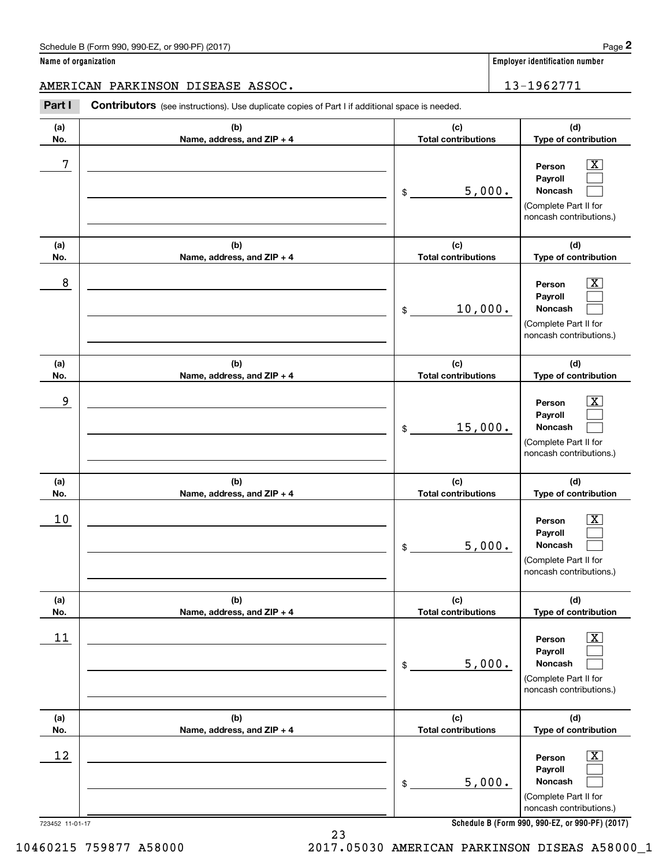AMERICAN PARKINSON DISEASE ASSOC. 13-1962771

Chedule B (Form 990, 990-EZ, or 990-PF) (2017)<br> **2 ame of organization**<br> **2 ASSOC . II 21962771<br>
Part I <b>Contributors** (see instructions). Use duplicate copies of Part I if additional space is needed.

| (a)<br>(b)<br>Name, address, and ZIP + 4<br>No.<br>7<br>\$<br>(b)<br>(a) | (c)<br><b>Total contributions</b><br>5,000.<br>(c)<br><b>Total contributions</b> | (d)<br>Type of contribution<br>х<br>Person<br>Payroll<br>Noncash<br>(Complete Part II for<br>noncash contributions.)<br>(d)<br>Type of contribution |
|--------------------------------------------------------------------------|----------------------------------------------------------------------------------|-----------------------------------------------------------------------------------------------------------------------------------------------------|
|                                                                          |                                                                                  |                                                                                                                                                     |
|                                                                          |                                                                                  |                                                                                                                                                     |
| No.<br>Name, address, and ZIP + 4                                        |                                                                                  |                                                                                                                                                     |
| 8<br>\$                                                                  | 10,000.                                                                          | х<br>Person<br>Payroll<br>Noncash<br>(Complete Part II for<br>noncash contributions.)                                                               |
| (a)<br>(b)<br>No.<br>Name, address, and ZIP + 4                          | (c)<br><b>Total contributions</b>                                                | (d)<br>Type of contribution                                                                                                                         |
| 9<br>\$                                                                  | 15,000.                                                                          | х<br>Person<br>Payroll<br>Noncash<br>(Complete Part II for<br>noncash contributions.)                                                               |
| (b)<br>(a)<br>Name, address, and ZIP + 4<br>No.                          | (c)<br><b>Total contributions</b>                                                | (d)<br>Type of contribution                                                                                                                         |
| $10$<br>\$                                                               | 5,000.                                                                           | Person<br>Payroll<br>Noncash<br>(Complete Part II for<br>noncash contributions.)                                                                    |
| (a)<br>(b)<br>No.<br>Name, address, and ZIP + 4                          | (c)<br><b>Total contributions</b>                                                | (d)<br>Type of contribution                                                                                                                         |
| <u>11</u><br>$\$$                                                        | 5,000.                                                                           | х<br>Person<br>Payroll<br>Noncash<br>(Complete Part II for<br>noncash contributions.)                                                               |
| (b)<br>(a)<br>Name, address, and ZIP + 4<br>No.                          | (c)<br><b>Total contributions</b>                                                | (d)<br>Type of contribution                                                                                                                         |
| 12<br>\$<br>723452 11-01-17                                              | 5,000.                                                                           | Person<br>Payroll<br>Noncash<br>(Complete Part II for<br>noncash contributions.)<br>Schedule B (Form 990, 990-EZ, or 990-PF) (2017)                 |

**Schedule B (Form 990, 990-EZ, or 990-PF) (2017)**

10460215 759877 A58000 2017.05030 AMERICAN PARKINSON DISEAS A58000\_1

23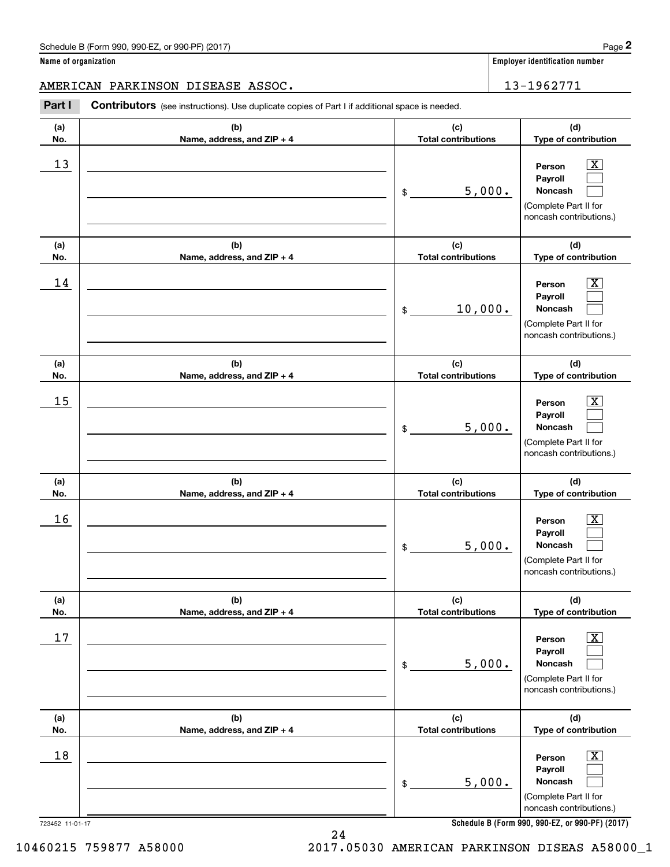AMERICAN PARKINSON DISEASE ASSOC. 13-1962771

Contributors (see instructions). Use duplicate copies of Part I if additional space is needed. Chedule B (Form 990, 990-EZ, or 990-PF) (2017)<br> **2Part I 2Part I Contributors** (see instructions). Use duplicate copies of Part I if additional space is needed.<br> **Part I Contributors** (see instructions). Use duplicat

| (a)<br>No.      | (b)<br>Name, address, and ZIP + 4 | (c)<br><b>Total contributions</b> | (d)<br>Type of contribution                                                                      |
|-----------------|-----------------------------------|-----------------------------------|--------------------------------------------------------------------------------------------------|
| 13              |                                   | 5,000.<br>\$                      | X<br>Person<br>Payroll<br>Noncash<br>(Complete Part II for<br>noncash contributions.)            |
| (a)<br>No.      | (b)<br>Name, address, and ZIP + 4 | (c)<br><b>Total contributions</b> | (d)<br>Type of contribution                                                                      |
| 14              |                                   | 10,000.<br>\$                     | X.<br>Person<br>Payroll<br>Noncash<br>(Complete Part II for<br>noncash contributions.)           |
| (a)<br>No.      | (b)<br>Name, address, and ZIP + 4 | (c)<br><b>Total contributions</b> | (d)<br>Type of contribution                                                                      |
| 15              |                                   | 5,000.<br>\$                      | X.<br>Person<br>Payroll<br>Noncash<br>(Complete Part II for<br>noncash contributions.)           |
| (a)<br>No.      | (b)<br>Name, address, and ZIP + 4 | (c)<br><b>Total contributions</b> | (d)<br>Type of contribution                                                                      |
| 16              |                                   | 5,000.<br>\$                      | Person<br>X.<br>Payroll<br>Noncash<br>(Complete Part II for<br>noncash contributions.)           |
| (a)<br>No.      | (b)<br>Name, address, and ZIP + 4 | (c)<br><b>Total contributions</b> | (d)<br>Type of contribution                                                                      |
| 17              |                                   | 5,000.<br>\$                      | $\mathbf{X}$<br>Person<br>Payroll<br>Noncash<br>(Complete Part II for<br>noncash contributions.) |
| (a)<br>No.      | (b)<br>Name, address, and ZIP + 4 | (c)<br><b>Total contributions</b> | (d)<br>Type of contribution                                                                      |
| 18              |                                   | 5,000.<br>\$                      | X<br>Person<br>Payroll<br>Noncash<br>(Complete Part II for<br>noncash contributions.)            |
| 723452 11-01-17 |                                   |                                   | Schedule B (Form 990, 990-EZ, or 990-PF) (2017)                                                  |

**Schedule B (Form 990, 990-EZ, or 990-PF) (2017)**

10460215 759877 A58000 2017.05030 AMERICAN PARKINSON DISEAS A58000\_1

24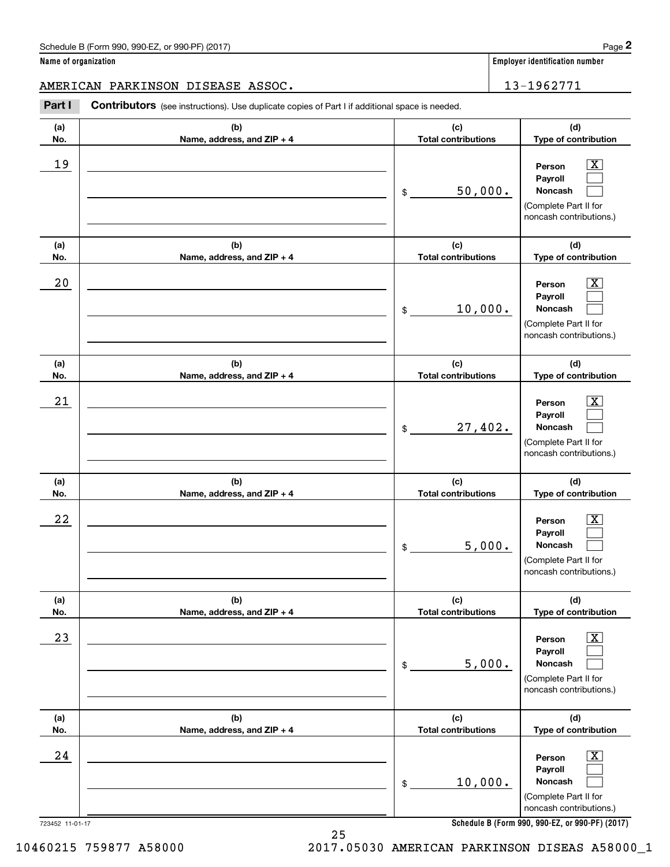## AMERICAN PARKINSON DISEASE ASSOC. 13-1962771

Chedule B (Form 990, 990-EZ, or 990-PF) (2017)<br> **2 ame of organization**<br> **2 ASSOC . II 21962771<br>
Part I <b>Contributors** (see instructions). Use duplicate copies of Part I if additional space is needed.

| (a)<br>No. | (b)<br>Name, address, and ZIP + 4 | (c)<br><b>Total contributions</b> | (d)<br>Type of contribution                                                                                                                               |
|------------|-----------------------------------|-----------------------------------|-----------------------------------------------------------------------------------------------------------------------------------------------------------|
| 19         |                                   | 50,000.<br>\$                     | $\overline{\text{X}}$<br>Person<br>Payroll<br>Noncash<br>(Complete Part II for<br>noncash contributions.)                                                 |
| (a)<br>No. | (b)<br>Name, address, and ZIP + 4 | (c)<br><b>Total contributions</b> | (d)<br>Type of contribution                                                                                                                               |
| 20         |                                   | 10,000.<br>\$                     | $\boxed{\text{X}}$<br>Person<br>Payroll<br><b>Noncash</b><br>(Complete Part II for<br>noncash contributions.)                                             |
| (a)<br>No. | (b)<br>Name, address, and ZIP + 4 | (c)<br><b>Total contributions</b> | (d)<br>Type of contribution                                                                                                                               |
| 21         |                                   | 27,402.<br>\$                     | $\boxed{\text{X}}$<br>Person<br>Payroll<br><b>Noncash</b><br>(Complete Part II for<br>noncash contributions.)                                             |
| (a)<br>No. | (b)<br>Name, address, and ZIP + 4 | (c)<br><b>Total contributions</b> | (d)<br>Type of contribution                                                                                                                               |
| 22         |                                   | 5,000.<br>\$                      | $\boxed{\text{X}}$<br>Person<br>Payroll<br><b>Noncash</b><br>(Complete Part II for<br>noncash contributions.)                                             |
| (a)<br>No. | (b)<br>Name, address, and ZIP + 4 | (c)<br><b>Total contributions</b> | (d)<br>Type of contribution                                                                                                                               |
| 23         |                                   | 5,000.<br>\$                      | $\overline{\text{X}}$<br>Person<br>Payroll<br>Noncash<br>(Complete Part II for<br>noncash contributions.)                                                 |
| (a)<br>No. | (b)<br>Name, address, and ZIP + 4 | (c)<br><b>Total contributions</b> | (d)<br>Type of contribution                                                                                                                               |
| 24         |                                   | 10,000.<br>\$                     | $\boxed{\text{X}}$<br>Person<br>Payroll<br>Noncash<br>(Complete Part II for<br>noncash contributions.)<br>Schadule R (Form 000, 000-F7, or 000-PF) (2017) |

**Schedule B (Form 990, 990-EZ, or 990-PF) (2017)**

723452 11-01-17

10460215 759877 A58000 2017.05030 AMERICAN PARKINSON DISEAS A58000\_1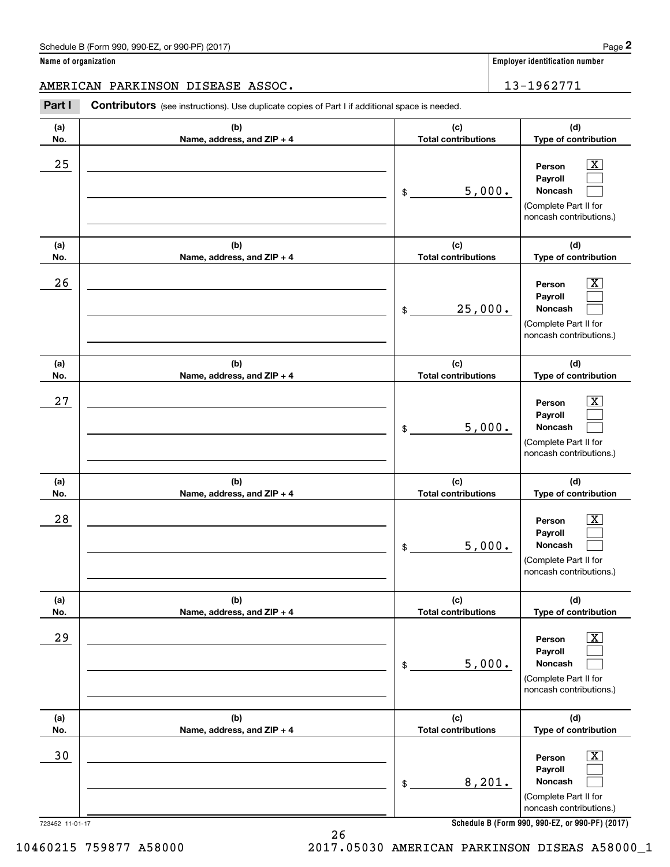AMERICAN PARKINSON DISEASE ASSOC. 13-1962771

Chedule B (Form 990, 990-EZ, or 990-PF) (2017)<br> **2 ame of organization**<br> **2 ASSOC . II 21962771<br>
Part I <b>Contributors** (see instructions). Use duplicate copies of Part I if additional space is needed.

| (a)<br>No.            | (b)<br>Name, address, and ZIP + 4 | (c)<br><b>Total contributions</b> | (d)<br>Type of contribution                                                                                                                               |
|-----------------------|-----------------------------------|-----------------------------------|-----------------------------------------------------------------------------------------------------------------------------------------------------------|
| 25                    |                                   | 5,000.<br>\$                      | $\boxed{\text{X}}$<br>Person<br>Payroll<br><b>Noncash</b><br>(Complete Part II for<br>noncash contributions.)                                             |
| (a)<br>No.            | (b)<br>Name, address, and ZIP + 4 | (c)<br><b>Total contributions</b> | (d)<br>Type of contribution                                                                                                                               |
| 26                    |                                   | 25,000.<br>\$                     | $\boxed{\text{X}}$<br>Person<br>Payroll<br>Noncash<br>(Complete Part II for<br>noncash contributions.)                                                    |
| (a)<br>No.            | (b)<br>Name, address, and ZIP + 4 | (c)<br><b>Total contributions</b> | (d)<br>Type of contribution                                                                                                                               |
| 27                    |                                   | 5,000.<br>\$                      | $\boxed{\text{X}}$<br>Person<br>Payroll<br>Noncash<br>(Complete Part II for<br>noncash contributions.)                                                    |
| (a)<br>No.            | (b)<br>Name, address, and ZIP + 4 | (c)<br><b>Total contributions</b> | (d)<br>Type of contribution                                                                                                                               |
| 28                    |                                   | 5,000.<br>\$                      | $\boxed{\text{X}}$<br>Person<br>Payroll<br>Noncash<br>(Complete Part II for<br>noncash contributions.)                                                    |
| (a)<br>No.            | (b)<br>Name, address, and ZIP + 4 | (c)<br><b>Total contributions</b> | (d)<br>Type of contribution                                                                                                                               |
| 29                    |                                   | 5,000.<br>\$                      | $\boxed{\text{X}}$<br>Person<br>Payroll<br>Noncash<br>(Complete Part II for<br>noncash contributions.)                                                    |
| (a)<br>No.            | (b)<br>Name, address, and ZIP + 4 | (c)<br><b>Total contributions</b> | (d)<br>Type of contribution                                                                                                                               |
| 30<br>723452 11-01-17 |                                   | 8,201.<br>\$                      | $\boxed{\text{X}}$<br>Person<br>Payroll<br>Noncash<br>(Complete Part II for<br>noncash contributions.)<br>Schedule B (Form 990, 990-EZ, or 990-PF) (2017) |
|                       |                                   |                                   |                                                                                                                                                           |

**Schedule B (Form 990, 990-EZ, or 990-PF) (2017)**

10460215 759877 A58000 2017.05030 AMERICAN PARKINSON DISEAS A58000\_1

26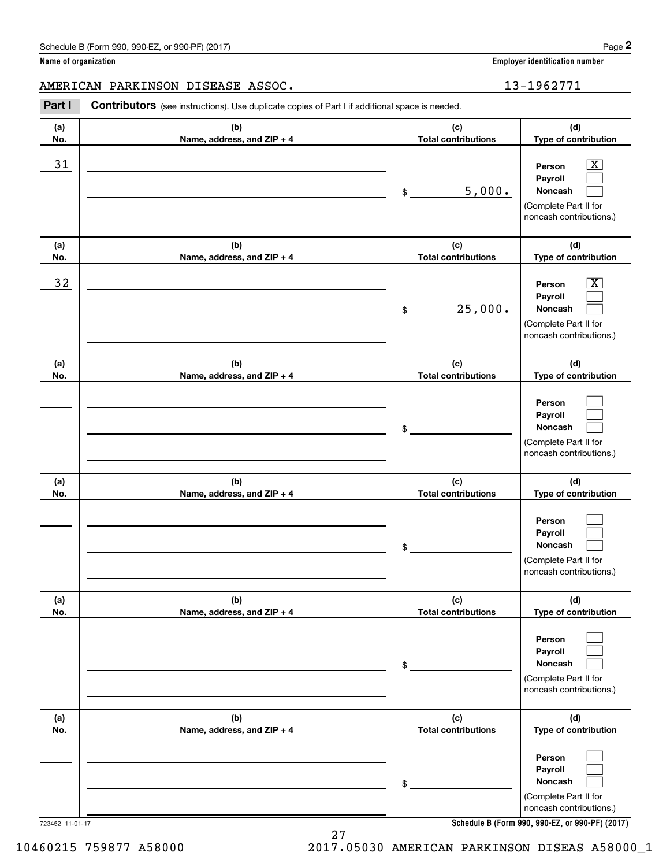AMERICAN PARKINSON DISEASE ASSOC. 13-1962771

Contributors (see instructions). Use duplicate copies of Part I if additional space is needed. Chedule B (Form 990, 990-EZ, or 990-PF) (2017)<br> **2Part I 2Part I Contributors** (see instructions). Use duplicate copies of Part I if additional space is needed.<br> **Part I Contributors** (see instructions). Use duplicat

| (b)                               | (c)<br><b>Total contributions</b>                                                                                    | (d)<br>Type of contribution                                                                                                         |
|-----------------------------------|----------------------------------------------------------------------------------------------------------------------|-------------------------------------------------------------------------------------------------------------------------------------|
|                                   | 5,000.<br>\$                                                                                                         | $\boxed{\text{X}}$<br>Person<br>Payroll<br>Noncash<br>(Complete Part II for<br>noncash contributions.)                              |
| (b)<br>Name, address, and ZIP + 4 | (c)<br><b>Total contributions</b>                                                                                    | (d)<br>Type of contribution                                                                                                         |
|                                   | 25,000.<br>\$                                                                                                        | $\boxed{\text{X}}$<br>Person<br>Payroll<br><b>Noncash</b><br>(Complete Part II for<br>noncash contributions.)                       |
| (b)                               | (c)<br><b>Total contributions</b>                                                                                    | (d)<br>Type of contribution                                                                                                         |
|                                   | \$                                                                                                                   | Person<br>Payroll<br>Noncash<br>(Complete Part II for<br>noncash contributions.)                                                    |
| (b)<br>Name, address, and ZIP + 4 | (c)<br><b>Total contributions</b>                                                                                    | (d)<br>Type of contribution                                                                                                         |
|                                   | \$                                                                                                                   | Person<br>Payroll<br><b>Noncash</b><br>(Complete Part II for<br>noncash contributions.)                                             |
| (b)                               | (c)                                                                                                                  | (d)<br>Type of contribution                                                                                                         |
|                                   | \$                                                                                                                   | Person<br>Payroll<br>Noncash<br>(Complete Part II for<br>noncash contributions.)                                                    |
| (b)                               | (c)                                                                                                                  | (d)<br>Type of contribution                                                                                                         |
|                                   | \$                                                                                                                   | Person<br>Payroll<br>Noncash<br>(Complete Part II for<br>noncash contributions.)<br>Schedule B (Form 990, 990-EZ, or 990-PF) (2017) |
|                                   | Name, address, and ZIP + 4<br>Name, address, and ZIP + 4<br>Name, address, and ZIP + 4<br>Name, address, and ZIP + 4 | <b>Total contributions</b><br><b>Total contributions</b>                                                                            |

**Schedule B (Form 990, 990-EZ, or 990-PF) (2017)**

10460215 759877 A58000 2017.05030 AMERICAN PARKINSON DISEAS A58000\_1

27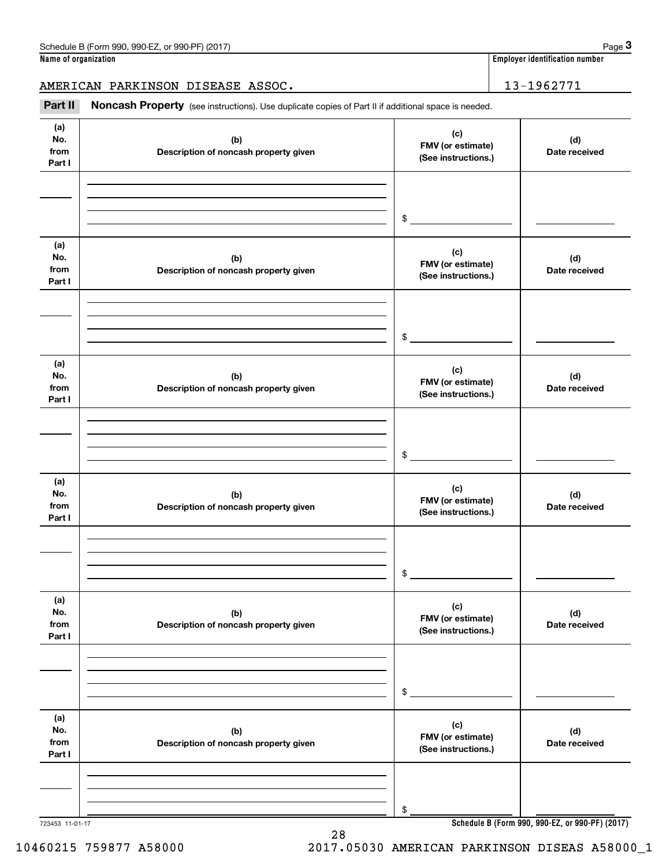AMERICAN PARKINSON DISEASE ASSOC. 13-1962771

Chedule B (Form 990, 990-EZ, or 990-PF) (2017)<br> **3 ame of organization**<br> **3 ABRICAN PARKINSON DISEASE ASSOC.**<br> **Part II Noncash Property** (see instructions). Use duplicate copies of Part II if additional space is needed.

| (a)<br>No.<br>from<br>Part I | (b)<br>Description of noncash property given | (c)<br>FMV (or estimate)<br>(See instructions.) | (d)<br>Date received                            |
|------------------------------|----------------------------------------------|-------------------------------------------------|-------------------------------------------------|
|                              |                                              |                                                 |                                                 |
|                              |                                              | $\frac{1}{2}$                                   |                                                 |
| (a)<br>No.<br>from<br>Part I | (b)<br>Description of noncash property given | (c)<br>FMV (or estimate)<br>(See instructions.) | (d)<br>Date received                            |
|                              |                                              | $\frac{1}{2}$                                   |                                                 |
|                              |                                              |                                                 |                                                 |
| (a)<br>No.<br>from<br>Part I | (b)<br>Description of noncash property given | (c)<br>FMV (or estimate)<br>(See instructions.) | (d)<br>Date received                            |
|                              |                                              |                                                 |                                                 |
|                              |                                              | $\sim$                                          |                                                 |
| (a)<br>No.<br>from<br>Part I | (b)<br>Description of noncash property given | (c)<br>FMV (or estimate)<br>(See instructions.) | (d)<br>Date received                            |
|                              |                                              |                                                 |                                                 |
|                              |                                              |                                                 |                                                 |
|                              |                                              | $\mathsf{\$}$                                   |                                                 |
| (a)<br>No.<br>from<br>Part I | (b)<br>Description of noncash property given | (c)<br>FMV (or estimate)<br>(See instructions.) | (d)<br>Date received                            |
|                              |                                              |                                                 |                                                 |
|                              |                                              |                                                 |                                                 |
|                              |                                              | \$                                              |                                                 |
| (a)                          |                                              |                                                 |                                                 |
| No.                          | (b)                                          | (c)<br>FMV (or estimate)                        | (d)                                             |
| from<br>Part I               | Description of noncash property given        | (See instructions.)                             | Date received                                   |
|                              |                                              |                                                 |                                                 |
|                              |                                              |                                                 |                                                 |
|                              |                                              | \$                                              |                                                 |
| 723453 11-01-17              |                                              |                                                 | Schedule B (Form 990, 990-EZ, or 990-PF) (2017) |

28 10460215 759877 A58000 2017.05030 AMERICAN PARKINSON DISEAS A58000\_1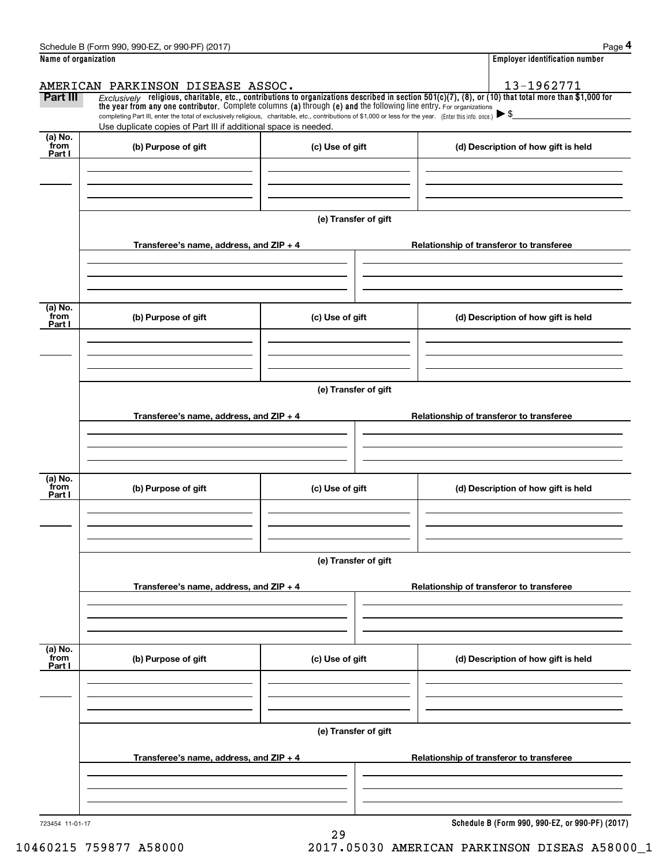|                             | Schedule B (Form 990, 990-EZ, or 990-PF) (2017)                                                                                                                                                                                                                                                                                                                                                                                                                      |                      | Page 4                                          |
|-----------------------------|----------------------------------------------------------------------------------------------------------------------------------------------------------------------------------------------------------------------------------------------------------------------------------------------------------------------------------------------------------------------------------------------------------------------------------------------------------------------|----------------------|-------------------------------------------------|
| Name of organization        |                                                                                                                                                                                                                                                                                                                                                                                                                                                                      |                      | <b>Employer identification number</b>           |
|                             | AMERICAN PARKINSON DISEASE ASSOC.                                                                                                                                                                                                                                                                                                                                                                                                                                    |                      | 13-1962771                                      |
| Part III                    | Exclusively religious, charitable, etc., contributions to organizations described in section $501(c)(7)$ , (8), or (10) that total more than \$1,000 for<br>the year from any one contributor. Complete columns (a) through (e) and the following line entry. For organizations<br>completing Part III, enter the total of exclusively religious, charitable, etc., contributions of \$1,000 or less for the year. (Enter this info. once.) $\blacktriangleright$ \$ |                      |                                                 |
|                             | Use duplicate copies of Part III if additional space is needed.                                                                                                                                                                                                                                                                                                                                                                                                      |                      |                                                 |
| $(a)$ No.<br>from<br>Part I | (b) Purpose of gift                                                                                                                                                                                                                                                                                                                                                                                                                                                  | (c) Use of gift      | (d) Description of how gift is held             |
|                             |                                                                                                                                                                                                                                                                                                                                                                                                                                                                      |                      |                                                 |
|                             |                                                                                                                                                                                                                                                                                                                                                                                                                                                                      |                      |                                                 |
|                             |                                                                                                                                                                                                                                                                                                                                                                                                                                                                      | (e) Transfer of gift |                                                 |
|                             | Transferee's name, address, and $ZIP + 4$                                                                                                                                                                                                                                                                                                                                                                                                                            |                      | Relationship of transferor to transferee        |
|                             |                                                                                                                                                                                                                                                                                                                                                                                                                                                                      |                      |                                                 |
| (a) No.<br>from             |                                                                                                                                                                                                                                                                                                                                                                                                                                                                      |                      |                                                 |
| Part I                      | (b) Purpose of gift                                                                                                                                                                                                                                                                                                                                                                                                                                                  | (c) Use of gift      | (d) Description of how gift is held             |
|                             |                                                                                                                                                                                                                                                                                                                                                                                                                                                                      |                      |                                                 |
|                             |                                                                                                                                                                                                                                                                                                                                                                                                                                                                      | (e) Transfer of gift |                                                 |
|                             | Transferee's name, address, and $ZIP + 4$                                                                                                                                                                                                                                                                                                                                                                                                                            |                      | Relationship of transferor to transferee        |
|                             |                                                                                                                                                                                                                                                                                                                                                                                                                                                                      |                      |                                                 |
|                             |                                                                                                                                                                                                                                                                                                                                                                                                                                                                      |                      |                                                 |
| (a) No.<br>from<br>Part I   | (b) Purpose of gift                                                                                                                                                                                                                                                                                                                                                                                                                                                  | (c) Use of gift      | (d) Description of how gift is held             |
|                             |                                                                                                                                                                                                                                                                                                                                                                                                                                                                      |                      |                                                 |
|                             |                                                                                                                                                                                                                                                                                                                                                                                                                                                                      | (e) Transfer of gift |                                                 |
|                             | Transferee's name, address, and $ZIP + 4$                                                                                                                                                                                                                                                                                                                                                                                                                            |                      | Relationship of transferor to transferee        |
|                             |                                                                                                                                                                                                                                                                                                                                                                                                                                                                      |                      |                                                 |
|                             |                                                                                                                                                                                                                                                                                                                                                                                                                                                                      |                      |                                                 |
| (a) No.<br>from<br>Part I   | (b) Purpose of gift                                                                                                                                                                                                                                                                                                                                                                                                                                                  | (c) Use of gift      | (d) Description of how gift is held             |
|                             |                                                                                                                                                                                                                                                                                                                                                                                                                                                                      |                      |                                                 |
|                             |                                                                                                                                                                                                                                                                                                                                                                                                                                                                      |                      |                                                 |
|                             |                                                                                                                                                                                                                                                                                                                                                                                                                                                                      | (e) Transfer of gift |                                                 |
|                             | Transferee's name, address, and $ZIP + 4$                                                                                                                                                                                                                                                                                                                                                                                                                            |                      | Relationship of transferor to transferee        |
|                             |                                                                                                                                                                                                                                                                                                                                                                                                                                                                      |                      |                                                 |
|                             |                                                                                                                                                                                                                                                                                                                                                                                                                                                                      |                      | Cabadula D (Farm 000, 000 F7, as 000 DE) (0047) |

29

723454 11-01-17

**Schedule B (Form 990, 990-EZ, or 990-PF) (2017)**

10460215 759877 A58000 2017.05030 AMERICAN PARKINSON DISEAS A58000\_1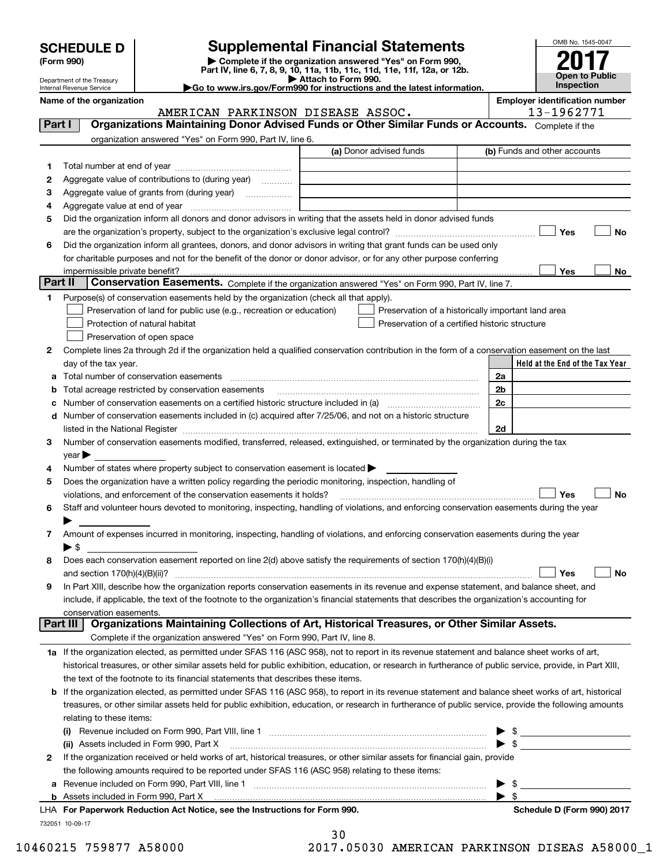| <b>SCHEDULE D</b> |  |
|-------------------|--|
|-------------------|--|

| (Form 990) |  |
|------------|--|
|------------|--|

# **SCHEDULE D Supplemental Financial Statements**

(Form 990)<br>
Pepartment of the Treasury<br>
Department of the Treasury<br>
Department of the Treasury<br>
Department of the Treasury<br> **Co to www.irs.gov/Form990 for instructions and the latest information.**<br> **Co to www.irs.gov/Form9** 

Department of the Treasury Internal Revenue Service

|         | Name of the organization<br>AMERICAN PARKINSON DISEASE ASSOC.                                                                                                            |                         | <b>Employer identification number</b><br>13-1962771                   |
|---------|--------------------------------------------------------------------------------------------------------------------------------------------------------------------------|-------------------------|-----------------------------------------------------------------------|
| Part I  | Organizations Maintaining Donor Advised Funds or Other Similar Funds or Accounts. Complete if the                                                                        |                         |                                                                       |
|         | organization answered "Yes" on Form 990, Part IV, line 6.                                                                                                                |                         |                                                                       |
|         |                                                                                                                                                                          | (a) Donor advised funds | (b) Funds and other accounts                                          |
| 1       |                                                                                                                                                                          |                         |                                                                       |
| 2       | Aggregate value of contributions to (during year)                                                                                                                        |                         |                                                                       |
| з       | Aggregate value of grants from (during year)                                                                                                                             |                         |                                                                       |
| 4       |                                                                                                                                                                          |                         |                                                                       |
| 5       | Did the organization inform all donors and donor advisors in writing that the assets held in donor advised funds                                                         |                         |                                                                       |
|         |                                                                                                                                                                          |                         | Yes<br><b>No</b>                                                      |
| 6       | Did the organization inform all grantees, donors, and donor advisors in writing that grant funds can be used only                                                        |                         |                                                                       |
|         | for charitable purposes and not for the benefit of the donor or donor advisor, or for any other purpose conferring                                                       |                         |                                                                       |
|         |                                                                                                                                                                          |                         | Yes<br>No                                                             |
| Part II | <b>Conservation Easements.</b> Complete if the organization answered "Yes" on Form 990, Part IV, line 7.                                                                 |                         |                                                                       |
| 1.      | Purpose(s) of conservation easements held by the organization (check all that apply).                                                                                    |                         |                                                                       |
|         | Preservation of land for public use (e.g., recreation or education)                                                                                                      |                         | Preservation of a historically important land area                    |
|         | Protection of natural habitat                                                                                                                                            |                         | Preservation of a certified historic structure                        |
|         | Preservation of open space                                                                                                                                               |                         |                                                                       |
| 2       | Complete lines 2a through 2d if the organization held a qualified conservation contribution in the form of a conservation easement on the last                           |                         |                                                                       |
|         | day of the tax year.                                                                                                                                                     |                         | Held at the End of the Tax Year                                       |
| a       | Total number of conservation easements                                                                                                                                   |                         | 2a                                                                    |
| b       | Total acreage restricted by conservation easements                                                                                                                       |                         | 2b                                                                    |
| с       |                                                                                                                                                                          |                         | 2c                                                                    |
|         | d Number of conservation easements included in (c) acquired after 7/25/06, and not on a historic structure                                                               |                         |                                                                       |
|         |                                                                                                                                                                          |                         | 2d                                                                    |
| 3       | Number of conservation easements modified, transferred, released, extinguished, or terminated by the organization during the tax                                         |                         |                                                                       |
|         | year                                                                                                                                                                     |                         |                                                                       |
| 4       | Number of states where property subject to conservation easement is located >                                                                                            |                         |                                                                       |
| 5       | Does the organization have a written policy regarding the periodic monitoring, inspection, handling of                                                                   |                         |                                                                       |
|         | violations, and enforcement of the conservation easements it holds?                                                                                                      |                         | Yes<br><b>No</b>                                                      |
| 6       | Staff and volunteer hours devoted to monitoring, inspecting, handling of violations, and enforcing conservation easements during the year                                |                         |                                                                       |
|         |                                                                                                                                                                          |                         |                                                                       |
| 7       | Amount of expenses incurred in monitoring, inspecting, handling of violations, and enforcing conservation easements during the year                                      |                         |                                                                       |
|         | $\blacktriangleright$ \$                                                                                                                                                 |                         |                                                                       |
| 8       | Does each conservation easement reported on line 2(d) above satisfy the requirements of section 170(h)(4)(B)(i)                                                          |                         |                                                                       |
|         |                                                                                                                                                                          |                         | Yes<br>No                                                             |
|         | In Part XIII, describe how the organization reports conservation easements in its revenue and expense statement, and balance sheet, and                                  |                         |                                                                       |
|         | include, if applicable, the text of the footnote to the organization's financial statements that describes the organization's accounting for                             |                         |                                                                       |
|         | conservation easements.<br>Organizations Maintaining Collections of Art, Historical Treasures, or Other Similar Assets.<br>Part III                                      |                         |                                                                       |
|         | Complete if the organization answered "Yes" on Form 990, Part IV, line 8.                                                                                                |                         |                                                                       |
|         |                                                                                                                                                                          |                         |                                                                       |
|         | 1a If the organization elected, as permitted under SFAS 116 (ASC 958), not to report in its revenue statement and balance sheet works of art,                            |                         |                                                                       |
|         | historical treasures, or other similar assets held for public exhibition, education, or research in furtherance of public service, provide, in Part XIII,                |                         |                                                                       |
|         | the text of the footnote to its financial statements that describes these items.                                                                                         |                         |                                                                       |
|         | <b>b</b> If the organization elected, as permitted under SFAS 116 (ASC 958), to report in its revenue statement and balance sheet works of art, historical               |                         |                                                                       |
|         | treasures, or other similar assets held for public exhibition, education, or research in furtherance of public service, provide the following amounts                    |                         |                                                                       |
|         | relating to these items:                                                                                                                                                 |                         |                                                                       |
|         |                                                                                                                                                                          |                         | $\frac{1}{2}$                                                         |
|         | (ii) Assets included in Form 990, Part X<br>If the organization received or held works of art, historical treasures, or other similar assets for financial gain, provide |                         | $\blacktriangleright$ \$<br><u> 1980 - Jan Barat, prima politik (</u> |
| 2       |                                                                                                                                                                          |                         |                                                                       |
|         | the following amounts required to be reported under SFAS 116 (ASC 958) relating to these items:                                                                          |                         |                                                                       |
| а       |                                                                                                                                                                          |                         | - \$<br>$\blacktriangleright$ \$                                      |
|         |                                                                                                                                                                          |                         |                                                                       |

**b** Assets included in Form 990, Part X **For Paperwork Reduction Act Notice, see the Instructions for Form 990. Schedule D (Form 990) 2017** LHA 

732051 10-09-17

30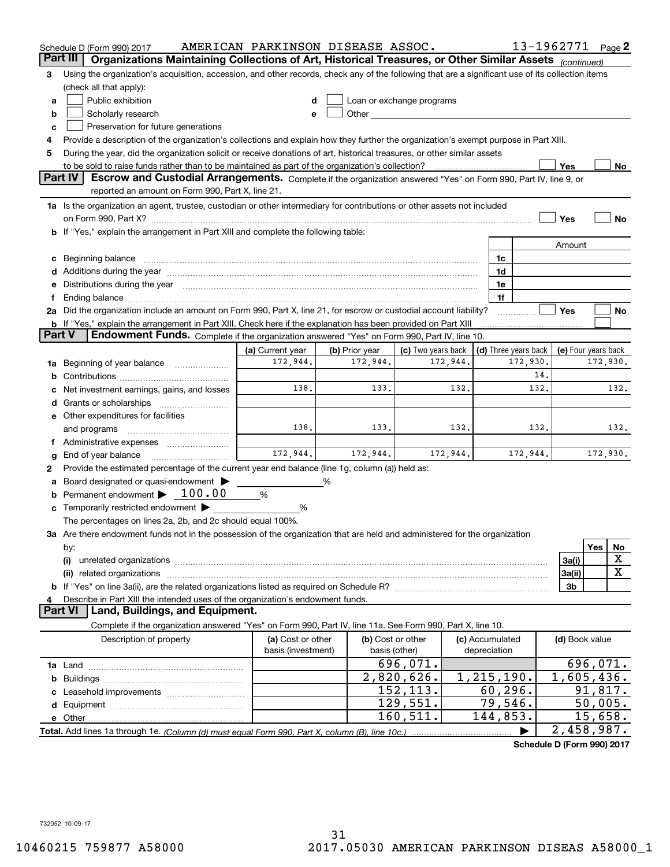|        | Schedule D (Form 990) 2017                                                                                                                                                                                                                  | AMERICAN PARKINSON DISEASE ASSOC. |                |                                                                                                                                                                                                                               |                     | 13-1962771 Page 2    |                     |                    |             |
|--------|---------------------------------------------------------------------------------------------------------------------------------------------------------------------------------------------------------------------------------------------|-----------------------------------|----------------|-------------------------------------------------------------------------------------------------------------------------------------------------------------------------------------------------------------------------------|---------------------|----------------------|---------------------|--------------------|-------------|
|        | Part III<br>Organizations Maintaining Collections of Art, Historical Treasures, or Other Similar Assets (continued)                                                                                                                         |                                   |                |                                                                                                                                                                                                                               |                     |                      |                     |                    |             |
| з      | Using the organization's acquisition, accession, and other records, check any of the following that are a significant use of its collection items                                                                                           |                                   |                |                                                                                                                                                                                                                               |                     |                      |                     |                    |             |
|        | (check all that apply):                                                                                                                                                                                                                     |                                   |                |                                                                                                                                                                                                                               |                     |                      |                     |                    |             |
| a      | Public exhibition                                                                                                                                                                                                                           |                                   |                | Loan or exchange programs                                                                                                                                                                                                     |                     |                      |                     |                    |             |
| b      | Scholarly research                                                                                                                                                                                                                          |                                   |                | Other and the contract of the contract of the contract of the contract of the contract of the contract of the contract of the contract of the contract of the contract of the contract of the contract of the contract of the |                     |                      |                     |                    |             |
| c      | Preservation for future generations                                                                                                                                                                                                         |                                   |                |                                                                                                                                                                                                                               |                     |                      |                     |                    |             |
| 4      | Provide a description of the organization's collections and explain how they further the organization's exempt purpose in Part XIII.                                                                                                        |                                   |                |                                                                                                                                                                                                                               |                     |                      |                     |                    |             |
| 5      | During the year, did the organization solicit or receive donations of art, historical treasures, or other similar assets                                                                                                                    |                                   |                |                                                                                                                                                                                                                               |                     |                      |                     |                    |             |
|        | to be sold to raise funds rather than to be maintained as part of the organization's collection?                                                                                                                                            |                                   |                |                                                                                                                                                                                                                               |                     |                      | Yes                 |                    | No          |
|        | <b>Part IV</b><br>Escrow and Custodial Arrangements. Complete if the organization answered "Yes" on Form 990, Part IV, line 9, or                                                                                                           |                                   |                |                                                                                                                                                                                                                               |                     |                      |                     |                    |             |
|        | reported an amount on Form 990, Part X, line 21.                                                                                                                                                                                            |                                   |                |                                                                                                                                                                                                                               |                     |                      |                     |                    |             |
|        | 1a Is the organization an agent, trustee, custodian or other intermediary for contributions or other assets not included                                                                                                                    |                                   |                |                                                                                                                                                                                                                               |                     |                      |                     |                    |             |
|        |                                                                                                                                                                                                                                             |                                   |                |                                                                                                                                                                                                                               |                     |                      | Yes                 |                    | No          |
|        | b If "Yes," explain the arrangement in Part XIII and complete the following table:                                                                                                                                                          |                                   |                |                                                                                                                                                                                                                               |                     |                      |                     |                    |             |
|        |                                                                                                                                                                                                                                             |                                   |                |                                                                                                                                                                                                                               |                     |                      | Amount              |                    |             |
| c      | Beginning balance material content contracts and content and content and content and content and content and content and content and content and content and content and content and content and content and content and conte              |                                   |                |                                                                                                                                                                                                                               | 1c                  |                      |                     |                    |             |
|        |                                                                                                                                                                                                                                             |                                   |                |                                                                                                                                                                                                                               | 1d                  |                      |                     |                    |             |
| е      | Distributions during the year manufactured and an account of the state of the state of the state of the state o                                                                                                                             |                                   |                |                                                                                                                                                                                                                               | 1e                  |                      |                     |                    |             |
| Ť.     |                                                                                                                                                                                                                                             |                                   |                |                                                                                                                                                                                                                               | 1f                  |                      | Yes                 |                    | No          |
|        | 2a Did the organization include an amount on Form 990, Part X, line 21, for escrow or custodial account liability?<br><b>b</b> If "Yes," explain the arrangement in Part XIII. Check here if the explanation has been provided on Part XIII |                                   |                |                                                                                                                                                                                                                               |                     |                      |                     |                    |             |
| Part V | Endowment Funds. Complete if the organization answered "Yes" on Form 990, Part IV, line 10.                                                                                                                                                 |                                   |                |                                                                                                                                                                                                                               |                     |                      |                     |                    |             |
|        |                                                                                                                                                                                                                                             | (a) Current year                  | (b) Prior year | (c) Two years back                                                                                                                                                                                                            |                     | (d) Three years back | (e) Four years back |                    |             |
| 1a     | Beginning of year balance                                                                                                                                                                                                                   | 172,944.                          | 172,944.       | 172,944.                                                                                                                                                                                                                      |                     | 172,930.             |                     | 172,930.           |             |
| b      |                                                                                                                                                                                                                                             |                                   |                |                                                                                                                                                                                                                               |                     | 14.                  |                     |                    |             |
|        | Net investment earnings, gains, and losses                                                                                                                                                                                                  | 138.                              | 133.           | 132.                                                                                                                                                                                                                          |                     | 132.                 |                     |                    | 132.        |
| d      |                                                                                                                                                                                                                                             |                                   |                |                                                                                                                                                                                                                               |                     |                      |                     |                    |             |
|        | e Other expenditures for facilities                                                                                                                                                                                                         |                                   |                |                                                                                                                                                                                                                               |                     |                      |                     |                    |             |
|        | and programs                                                                                                                                                                                                                                | 138.                              | 133.           | 132.                                                                                                                                                                                                                          |                     | 132.                 |                     |                    | 132.        |
|        | f Administrative expenses                                                                                                                                                                                                                   |                                   |                |                                                                                                                                                                                                                               |                     |                      |                     |                    |             |
| g      | End of year balance                                                                                                                                                                                                                         | 172,944.                          | 172,944.       | 172,944.                                                                                                                                                                                                                      |                     | 172,944.             |                     | 172,930.           |             |
| 2      | Provide the estimated percentage of the current year end balance (line 1g, column (a)) held as:                                                                                                                                             |                                   |                |                                                                                                                                                                                                                               |                     |                      |                     |                    |             |
| а      | Board designated or quasi-endowment                                                                                                                                                                                                         |                                   | %              |                                                                                                                                                                                                                               |                     |                      |                     |                    |             |
| b      | Permanent endowment $\blacktriangleright$ 100.00                                                                                                                                                                                            | %                                 |                |                                                                                                                                                                                                                               |                     |                      |                     |                    |             |
|        | Temporarily restricted endowment                                                                                                                                                                                                            | %                                 |                |                                                                                                                                                                                                                               |                     |                      |                     |                    |             |
|        | The percentages on lines 2a, 2b, and 2c should equal 100%.                                                                                                                                                                                  |                                   |                |                                                                                                                                                                                                                               |                     |                      |                     |                    |             |
|        | 3a Are there endowment funds not in the possession of the organization that are held and administered for the organization                                                                                                                  |                                   |                |                                                                                                                                                                                                                               |                     |                      |                     |                    |             |
|        | by:                                                                                                                                                                                                                                         |                                   |                |                                                                                                                                                                                                                               |                     |                      |                     | Yes                | No          |
|        | (i)                                                                                                                                                                                                                                         |                                   |                |                                                                                                                                                                                                                               |                     |                      | 3a(i)               |                    | X           |
|        | (ii) related organizations                                                                                                                                                                                                                  |                                   |                |                                                                                                                                                                                                                               |                     |                      | 3a(ii)              |                    | $\mathbf X$ |
|        |                                                                                                                                                                                                                                             |                                   |                |                                                                                                                                                                                                                               |                     |                      | 3b                  |                    |             |
| 4      | Describe in Part XIII the intended uses of the organization's endowment funds.                                                                                                                                                              |                                   |                |                                                                                                                                                                                                                               |                     |                      |                     |                    |             |
|        | Land, Buildings, and Equipment.<br>Part VI                                                                                                                                                                                                  |                                   |                |                                                                                                                                                                                                                               |                     |                      |                     |                    |             |
|        | Complete if the organization answered "Yes" on Form 990, Part IV, line 11a. See Form 990, Part X, line 10.                                                                                                                                  |                                   |                |                                                                                                                                                                                                                               |                     |                      |                     |                    |             |
|        | Description of property                                                                                                                                                                                                                     | (a) Cost or other                 |                | (b) Cost or other                                                                                                                                                                                                             | (c) Accumulated     |                      | (d) Book value      |                    |             |
|        |                                                                                                                                                                                                                                             | basis (investment)                |                | basis (other)                                                                                                                                                                                                                 | depreciation        |                      |                     |                    |             |
|        |                                                                                                                                                                                                                                             |                                   |                | 696,071.                                                                                                                                                                                                                      |                     |                      |                     | 696,071.           |             |
| b      |                                                                                                                                                                                                                                             |                                   |                | 2,820,626.                                                                                                                                                                                                                    | 1,215,190.          |                      | 1,605,436.          |                    |             |
|        |                                                                                                                                                                                                                                             |                                   |                | 152,113.                                                                                                                                                                                                                      | 60, 296.            |                      |                     | 91,817.            |             |
|        |                                                                                                                                                                                                                                             |                                   |                | 129,551.<br>160,511.                                                                                                                                                                                                          | 79,546.<br>144,853. |                      |                     | 50,005.<br>15,658. |             |
|        |                                                                                                                                                                                                                                             |                                   |                |                                                                                                                                                                                                                               |                     |                      |                     |                    |             |
|        |                                                                                                                                                                                                                                             |                                   |                |                                                                                                                                                                                                                               |                     |                      | 2,458,987.          |                    |             |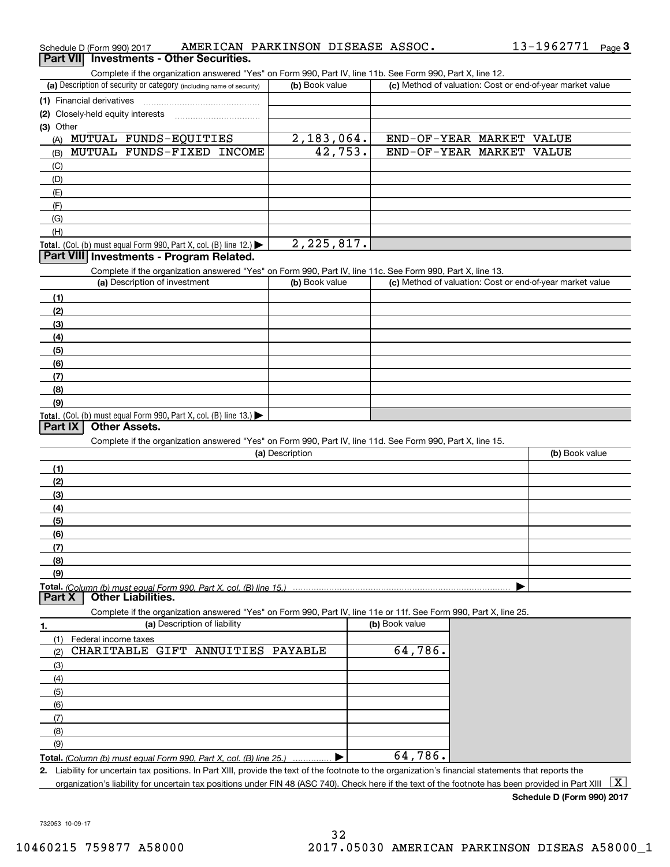|                  | Schedule D (Form 990) 2017        |                                                                      | AMERICAN PARKINSON DISEASE ASSOC. |                 |              |                                                                                                                                                      |                                                           | 13-1962771 Page 3 |              |
|------------------|-----------------------------------|----------------------------------------------------------------------|-----------------------------------|-----------------|--------------|------------------------------------------------------------------------------------------------------------------------------------------------------|-----------------------------------------------------------|-------------------|--------------|
| <b>Part VIII</b> |                                   | <b>Investments - Other Securities.</b>                               |                                   |                 |              |                                                                                                                                                      |                                                           |                   |              |
|                  |                                   |                                                                      |                                   |                 |              | Complete if the organization answered "Yes" on Form 990, Part IV, line 11b. See Form 990, Part X, line 12.                                           |                                                           |                   |              |
|                  |                                   | (a) Description of security or category (including name of security) |                                   | (b) Book value  |              |                                                                                                                                                      | (c) Method of valuation: Cost or end-of-year market value |                   |              |
|                  | (1) Financial derivatives         |                                                                      |                                   |                 |              |                                                                                                                                                      |                                                           |                   |              |
|                  | (2) Closely-held equity interests |                                                                      |                                   |                 |              |                                                                                                                                                      |                                                           |                   |              |
| (3) Other        |                                   |                                                                      |                                   |                 |              |                                                                                                                                                      |                                                           |                   |              |
|                  |                                   | (A) MUTUAL FUNDS-EQUITIES                                            |                                   |                 | 2, 183, 064. |                                                                                                                                                      | END-OF-YEAR MARKET VALUE                                  |                   |              |
| (B)              |                                   | MUTUAL FUNDS-FIXED INCOME                                            |                                   |                 | 42,753.      |                                                                                                                                                      | END-OF-YEAR MARKET VALUE                                  |                   |              |
| (C)              |                                   |                                                                      |                                   |                 |              |                                                                                                                                                      |                                                           |                   |              |
| (D)              |                                   |                                                                      |                                   |                 |              |                                                                                                                                                      |                                                           |                   |              |
| (E)              |                                   |                                                                      |                                   |                 |              |                                                                                                                                                      |                                                           |                   |              |
| (F)              |                                   |                                                                      |                                   |                 |              |                                                                                                                                                      |                                                           |                   |              |
| (G)              |                                   |                                                                      |                                   |                 |              |                                                                                                                                                      |                                                           |                   |              |
| (H)              |                                   |                                                                      |                                   |                 |              |                                                                                                                                                      |                                                           |                   |              |
|                  |                                   | Total. (Col. (b) must equal Form 990, Part X, col. (B) line $12$ .)  |                                   |                 | 2, 225, 817. |                                                                                                                                                      |                                                           |                   |              |
|                  |                                   | Part VIII Investments - Program Related.                             |                                   |                 |              |                                                                                                                                                      |                                                           |                   |              |
|                  |                                   |                                                                      |                                   |                 |              |                                                                                                                                                      |                                                           |                   |              |
|                  |                                   | (a) Description of investment                                        |                                   | (b) Book value  |              | Complete if the organization answered "Yes" on Form 990, Part IV, line 11c. See Form 990, Part X, line 13.                                           | (c) Method of valuation: Cost or end-of-year market value |                   |              |
|                  |                                   |                                                                      |                                   |                 |              |                                                                                                                                                      |                                                           |                   |              |
| (1)              |                                   |                                                                      |                                   |                 |              |                                                                                                                                                      |                                                           |                   |              |
| (2)              |                                   |                                                                      |                                   |                 |              |                                                                                                                                                      |                                                           |                   |              |
| (3)              |                                   |                                                                      |                                   |                 |              |                                                                                                                                                      |                                                           |                   |              |
| (4)              |                                   |                                                                      |                                   |                 |              |                                                                                                                                                      |                                                           |                   |              |
| (5)              |                                   |                                                                      |                                   |                 |              |                                                                                                                                                      |                                                           |                   |              |
| (6)              |                                   |                                                                      |                                   |                 |              |                                                                                                                                                      |                                                           |                   |              |
| (7)              |                                   |                                                                      |                                   |                 |              |                                                                                                                                                      |                                                           |                   |              |
| (8)              |                                   |                                                                      |                                   |                 |              |                                                                                                                                                      |                                                           |                   |              |
| (9)              |                                   |                                                                      |                                   |                 |              |                                                                                                                                                      |                                                           |                   |              |
|                  |                                   | Total. (Col. (b) must equal Form 990, Part X, col. (B) line 13.)     |                                   |                 |              |                                                                                                                                                      |                                                           |                   |              |
| Part IX          |                                   | <b>Other Assets.</b>                                                 |                                   |                 |              |                                                                                                                                                      |                                                           |                   |              |
|                  |                                   |                                                                      |                                   |                 |              | Complete if the organization answered "Yes" on Form 990, Part IV, line 11d. See Form 990, Part X, line 15.                                           |                                                           |                   |              |
|                  |                                   |                                                                      |                                   | (a) Description |              |                                                                                                                                                      |                                                           | (b) Book value    |              |
| (1)              |                                   |                                                                      |                                   |                 |              |                                                                                                                                                      |                                                           |                   |              |
| (2)              |                                   |                                                                      |                                   |                 |              |                                                                                                                                                      |                                                           |                   |              |
| (3)              |                                   |                                                                      |                                   |                 |              |                                                                                                                                                      |                                                           |                   |              |
| (4)              |                                   |                                                                      |                                   |                 |              |                                                                                                                                                      |                                                           |                   |              |
| (5)              |                                   |                                                                      |                                   |                 |              |                                                                                                                                                      |                                                           |                   |              |
| <u>(6)</u>       |                                   |                                                                      |                                   |                 |              |                                                                                                                                                      |                                                           |                   |              |
| (7)              |                                   |                                                                      |                                   |                 |              |                                                                                                                                                      |                                                           |                   |              |
| (8)              |                                   |                                                                      |                                   |                 |              |                                                                                                                                                      |                                                           |                   |              |
| (9)              |                                   |                                                                      |                                   |                 |              |                                                                                                                                                      |                                                           |                   |              |
|                  |                                   | Total. (Column (b) must equal Form 990. Part X, col. (B) line 15.)   |                                   |                 |              |                                                                                                                                                      |                                                           |                   |              |
| <b>Part X</b>    |                                   | <b>Other Liabilities.</b>                                            |                                   |                 |              |                                                                                                                                                      |                                                           |                   |              |
|                  |                                   |                                                                      |                                   |                 |              | Complete if the organization answered "Yes" on Form 990, Part IV, line 11e or 11f. See Form 990, Part X, line 25.                                    |                                                           |                   |              |
| 1.               |                                   | (a) Description of liability                                         |                                   |                 |              | (b) Book value                                                                                                                                       |                                                           |                   |              |
| (1)              | Federal income taxes              |                                                                      |                                   |                 |              |                                                                                                                                                      |                                                           |                   |              |
| (2)              |                                   | CHARITABLE GIFT ANNUITIES PAYABLE                                    |                                   |                 |              | 64,786.                                                                                                                                              |                                                           |                   |              |
| (3)              |                                   |                                                                      |                                   |                 |              |                                                                                                                                                      |                                                           |                   |              |
| (4)              |                                   |                                                                      |                                   |                 |              |                                                                                                                                                      |                                                           |                   |              |
| (5)              |                                   |                                                                      |                                   |                 |              |                                                                                                                                                      |                                                           |                   |              |
| (6)              |                                   |                                                                      |                                   |                 |              |                                                                                                                                                      |                                                           |                   |              |
| (7)              |                                   |                                                                      |                                   |                 |              |                                                                                                                                                      |                                                           |                   |              |
| (8)              |                                   |                                                                      |                                   |                 |              |                                                                                                                                                      |                                                           |                   |              |
| (9)              |                                   |                                                                      |                                   |                 |              |                                                                                                                                                      |                                                           |                   |              |
|                  |                                   | Total. (Column (b) must equal Form 990. Part X, col. (B) line 25.)   |                                   |                 |              | 64,786.                                                                                                                                              |                                                           |                   |              |
|                  |                                   |                                                                      |                                   |                 |              | 2. Liability for uncertain tax positions. In Part XIII, provide the text of the footnote to the organization's financial statements that reports the |                                                           |                   |              |
|                  |                                   |                                                                      |                                   |                 |              | organization's liability for uncertain tax positions under FIN 48 (ASC 740). Check here if the text of the footnote has been provided in Part XIII   |                                                           |                   | $\mathbf{X}$ |

**Schedule D (Form 990) 2017**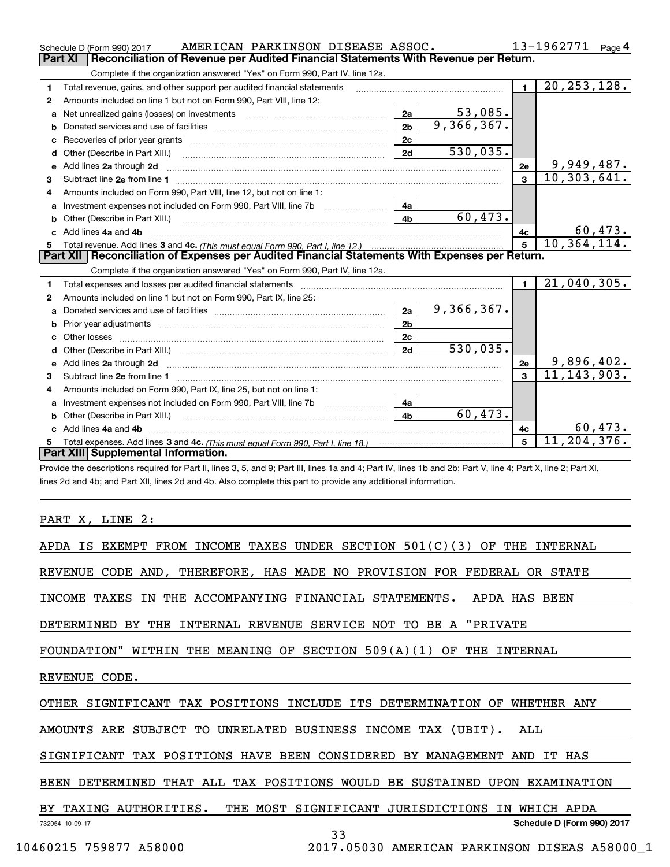|    | AMERICAN PARKINSON DISEASE ASSOC.<br>Schedule D (Form 990) 2017                                                                                                                                                                     |                | 13-1962771<br>Page $4$ |                |                |
|----|-------------------------------------------------------------------------------------------------------------------------------------------------------------------------------------------------------------------------------------|----------------|------------------------|----------------|----------------|
|    | Reconciliation of Revenue per Audited Financial Statements With Revenue per Return.<br>Part XI                                                                                                                                      |                |                        |                |                |
|    | Complete if the organization answered "Yes" on Form 990, Part IV, line 12a.                                                                                                                                                         |                |                        |                |                |
| 1  | Total revenue, gains, and other support per audited financial statements                                                                                                                                                            | $\blacksquare$ | 20, 253, 128.          |                |                |
| 2  | Amounts included on line 1 but not on Form 990, Part VIII, line 12:                                                                                                                                                                 |                |                        |                |                |
| a  |                                                                                                                                                                                                                                     | 2a             | 53,085.                |                |                |
| b  |                                                                                                                                                                                                                                     | 2 <sub>b</sub> | 9,366,367.             |                |                |
| с  |                                                                                                                                                                                                                                     |                |                        |                |                |
| d  | Other (Describe in Part XIII.) <b>Construction Construction</b> Chern Construction Chern Chern Chern Chern Chern Chern                                                                                                              | 2d             | 530,035.               |                |                |
| е  | Add lines 2a through 2d                                                                                                                                                                                                             |                |                        | 2e             | 9,949,487.     |
| 3  |                                                                                                                                                                                                                                     |                |                        |                | 10, 303, 641.  |
| 4  | Amounts included on Form 990, Part VIII, line 12, but not on line 1:                                                                                                                                                                |                |                        |                |                |
| a  | Investment expenses not included on Form 990, Part VIII, line 7b [111] [11] Investment expenses not included on Form 990, Part VIII, line 7b                                                                                        | 4a             |                        |                |                |
| b  | Other (Describe in Part XIII.) <b>Construction Contract Construction</b> Chern Construction Construction Construction                                                                                                               | 4 <sub>b</sub> | 60,473.                |                |                |
|    | Add lines 4a and 4b                                                                                                                                                                                                                 | 4с             | 60,473.                |                |                |
| 5  |                                                                                                                                                                                                                                     |                |                        |                | 10, 364, 114.  |
|    |                                                                                                                                                                                                                                     |                |                        |                |                |
|    | Part XII   Reconciliation of Expenses per Audited Financial Statements With Expenses per Return.                                                                                                                                    |                |                        |                |                |
|    | Complete if the organization answered "Yes" on Form 990, Part IV, line 12a.                                                                                                                                                         |                |                        |                |                |
| 1  | Total expenses and losses per audited financial statements [11] [12] contraction and statements [13] [13] Total expenses and losses per audited financial statements [13] [13] All and the statements [13] [13] All and the st      |                |                        | $\blacksquare$ | $21,040,305$ . |
| 2  | Amounts included on line 1 but not on Form 990, Part IX, line 25:                                                                                                                                                                   |                |                        |                |                |
| a  |                                                                                                                                                                                                                                     | 2a             | 9,366,367.             |                |                |
|    | Prior year adjustments information and continuum and contact the contract of the contract of the contract of the contract of the contract of the contract of the contract of the contract of the contract of the contract of t      | 2 <sub>b</sub> |                        |                |                |
| c. |                                                                                                                                                                                                                                     | 2c             |                        |                |                |
| d  |                                                                                                                                                                                                                                     | 2d             | 530,035.               |                |                |
| e  | Add lines 2a through 2d <b>contained a contained a contained a contained a</b> contained a contact the state of the state of the state of the state of the state of the state of the state of the state of the state of the state o |                |                        | 2e             | 9,896,402.     |
| 3  |                                                                                                                                                                                                                                     |                |                        | $\mathbf{a}$   | 11, 143, 903.  |
| 4  | Amounts included on Form 990, Part IX, line 25, but not on line 1:                                                                                                                                                                  |                |                        |                |                |
| a  | Investment expenses not included on Form 990, Part VIII, line 7b [1000000000000000000000000000000000                                                                                                                                | 4a             |                        |                |                |
| b  | Other (Describe in Part XIII.)                                                                                                                                                                                                      | 4 <sub>b</sub> | 60,473.                |                |                |
| C. | Add lines 4a and 4b                                                                                                                                                                                                                 |                |                        | 4c             | 60,473.        |
|    |                                                                                                                                                                                                                                     |                |                        | 5              | 11, 204, 376.  |
|    | Part XIII Supplemental Information.                                                                                                                                                                                                 |                |                        |                |                |

criptions required for Part II, lines 3, 5, and 9; Part III, lines 1a and 4; Part IV, lines 1b and 2b; Part V, line 4; Part X, line 2; Part XI, lines 2d and 4b; and Part XII, lines 2d and 4b. Also complete this part to provide any additional information.

PART X, LINE 2:

| APDA IS EXEMPT FROM INCOME TAXES UNDER SECTION $501(C)(3)$ OF THE INTERNAL        |
|-----------------------------------------------------------------------------------|
| REVENUE CODE AND, THEREFORE, HAS MADE NO PROVISION FOR FEDERAL OR STATE           |
| INCOME TAXES IN THE ACCOMPANYING FINANCIAL STATEMENTS. APDA HAS BEEN              |
| DETERMINED BY THE INTERNAL REVENUE SERVICE NOT TO BE A "PRIVATE                   |
| FOUNDATION" WITHIN THE MEANING OF SECTION $509(A)(1)$ OF THE INTERNAL             |
| REVENUE CODE.                                                                     |
| OTHER SIGNIFICANT TAX POSITIONS INCLUDE ITS DETERMINATION OF WHETHER ANY          |
| AMOUNTS ARE SUBJECT TO UNRELATED BUSINESS INCOME TAX (UBIT). ALL                  |
| SIGNIFICANT TAX POSITIONS HAVE BEEN CONSIDERED BY MANAGEMENT AND IT HAS           |
| BEEN DETERMINED THAT ALL TAX POSITIONS WOULD BE SUSTAINED UPON EXAMINATION        |
| BY TAXING AUTHORITIES. THE MOST SIGNIFICANT JURISDICTIONS IN WHICH APDA<br>------ |

732054 10-09-17

33

10460215 759877 A58000 2017.05030 AMERICAN PARKINSON DISEAS A58000\_1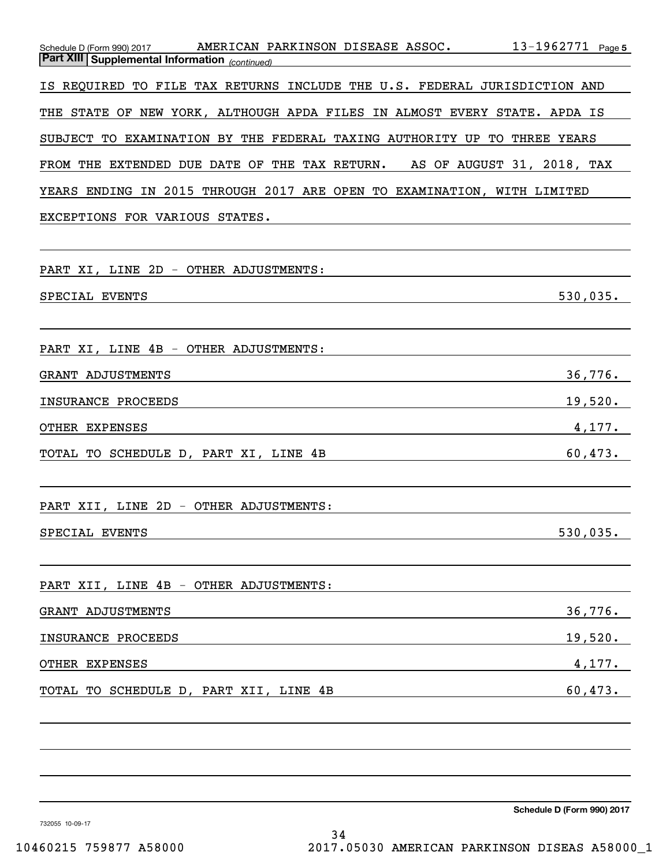| Schedule D (Form 990) 2017 AMERICAN PARKINSON DISEASE ASSOC. 13-1962771 Page 5<br><b>Part XIII Supplemental Information</b> (continued)                                                                                                                     |  |
|-------------------------------------------------------------------------------------------------------------------------------------------------------------------------------------------------------------------------------------------------------------|--|
| IS REQUIRED TO FILE TAX RETURNS INCLUDE THE U.S. FEDERAL JURISDICTION AND                                                                                                                                                                                   |  |
| THE STATE OF NEW YORK, ALTHOUGH APDA FILES IN ALMOST EVERY STATE. APDA IS                                                                                                                                                                                   |  |
| SUBJECT TO EXAMINATION BY THE FEDERAL TAXING AUTHORITY UP TO THREE YEARS                                                                                                                                                                                    |  |
| FROM THE EXTENDED DUE DATE OF THE TAX RETURN. AS OF AUGUST 31, 2018, TAX                                                                                                                                                                                    |  |
| YEARS ENDING IN 2015 THROUGH 2017 ARE OPEN TO EXAMINATION, WITH LIMITED                                                                                                                                                                                     |  |
| EXCEPTIONS FOR VARIOUS STATES.                                                                                                                                                                                                                              |  |
| PART XI, LINE 2D - OTHER ADJUSTMENTS:                                                                                                                                                                                                                       |  |
| 530,035.<br>SPECIAL EVENTS<br>the control of the control of the control of the control of the control of the control of the control of the control of the control of the control of the control of the control of the control of the control of the control |  |
| PART XI, LINE 4B - OTHER ADJUSTMENTS:                                                                                                                                                                                                                       |  |
| 36,776.<br>GRANT ADJUSTMENTS                                                                                                                                                                                                                                |  |
| 19,520.<br>INSURANCE PROCEEDS<br><u> 1989 - Johann Stoff, deutscher Stoff, der Stoff, der Stoff, der Stoff, der Stoff, der Stoff, der Stoff, der S</u>                                                                                                      |  |
| 4,177.<br>OTHER EXPENSES<br><u> 1989 - Johann Barn, mars ann an t-Amhain Aonaich an t-Aonaich an t-Aonaich ann an t-Aonaich ann an t-Aonaich</u>                                                                                                            |  |
| 60,473.<br>TOTAL TO SCHEDULE D, PART XI, LINE 4B<br><u> 1989 - Johann Stoff, fransk politik (d. 1989)</u>                                                                                                                                                   |  |
| PART XII, LINE 2D - OTHER ADJUSTMENTS:                                                                                                                                                                                                                      |  |
| SPECIAL EVENTS<br>530,035.                                                                                                                                                                                                                                  |  |
| PART XII, LINE 4B - OTHER ADJUSTMENTS:                                                                                                                                                                                                                      |  |
| 36,776.<br>GRANT ADJUSTMENTS                                                                                                                                                                                                                                |  |
| 19,520.<br>INSURANCE PROCEEDS                                                                                                                                                                                                                               |  |
| OTHER EXPENSES<br>4,177.                                                                                                                                                                                                                                    |  |
| 60,473.<br>TOTAL TO SCHEDULE D, PART XII, LINE 4B                                                                                                                                                                                                           |  |
|                                                                                                                                                                                                                                                             |  |
|                                                                                                                                                                                                                                                             |  |

**Schedule D (Form 990) 2017**

732055 10-09-17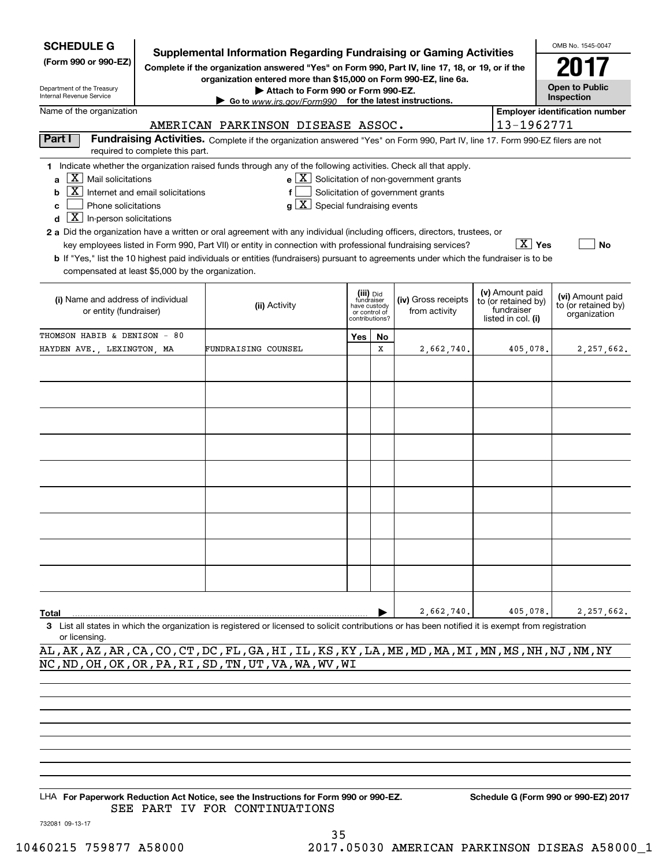| <b>Supplemental Information Regarding Fundraising or Gaming Activities</b><br>(Form 990 or 990-EZ)<br>Complete if the organization answered "Yes" on Form 990, Part IV, line 17, 18, or 19, or if the<br>organization entered more than \$15,000 on Form 990-EZ, line 6a.                                                                                                                                                                                                                                                                                                                                                                                                                                                                                                                                                                                                                                  |    |  |  |  |  |  |  |  |  |  |
|------------------------------------------------------------------------------------------------------------------------------------------------------------------------------------------------------------------------------------------------------------------------------------------------------------------------------------------------------------------------------------------------------------------------------------------------------------------------------------------------------------------------------------------------------------------------------------------------------------------------------------------------------------------------------------------------------------------------------------------------------------------------------------------------------------------------------------------------------------------------------------------------------------|----|--|--|--|--|--|--|--|--|--|
| <b>Open to Public</b><br>Department of the Treasury<br>Attach to Form 990 or Form 990-EZ.<br>Internal Revenue Service<br>Inspection<br>Go to www.irs.gov/Form990 for the latest instructions.                                                                                                                                                                                                                                                                                                                                                                                                                                                                                                                                                                                                                                                                                                              |    |  |  |  |  |  |  |  |  |  |
| Name of the organization<br><b>Employer identification number</b>                                                                                                                                                                                                                                                                                                                                                                                                                                                                                                                                                                                                                                                                                                                                                                                                                                          |    |  |  |  |  |  |  |  |  |  |
| 13-1962771<br>AMERICAN PARKINSON DISEASE ASSOC.<br>Part I                                                                                                                                                                                                                                                                                                                                                                                                                                                                                                                                                                                                                                                                                                                                                                                                                                                  |    |  |  |  |  |  |  |  |  |  |
| Fundraising Activities. Complete if the organization answered "Yes" on Form 990, Part IV, line 17. Form 990-EZ filers are not<br>required to complete this part.                                                                                                                                                                                                                                                                                                                                                                                                                                                                                                                                                                                                                                                                                                                                           |    |  |  |  |  |  |  |  |  |  |
| 1 Indicate whether the organization raised funds through any of the following activities. Check all that apply.<br>$\mathbf{e} \times \mathbf{X}$ Solicitation of non-government grants<br>$X \mid$ Mail solicitations<br>a<br>$X$ Internet and email solicitations<br>Solicitation of government grants<br>f<br>b<br>$g\mid X$ Special fundraising events<br>Phone solicitations<br>c<br>$\boxed{\mathbf{X}}$ In-person solicitations<br>d<br>2 a Did the organization have a written or oral agreement with any individual (including officers, directors, trustees, or<br>∣ X ∣ Yes<br>key employees listed in Form 990, Part VII) or entity in connection with professional fundraising services?<br><b>b</b> If "Yes," list the 10 highest paid individuals or entities (fundraisers) pursuant to agreements under which the fundraiser is to be<br>compensated at least \$5,000 by the organization. | No |  |  |  |  |  |  |  |  |  |
| (v) Amount paid<br>(iii) Did<br>fundraiser<br>(vi) Amount paid<br>(i) Name and address of individual<br>(iv) Gross receipts<br>to (or retained by)<br>to (or retained by)<br>(ii) Activity<br>have custody<br>fundraiser<br>from activity<br>or entity (fundraiser)<br>or control of<br>organization<br>listed in col. (i)<br>contributions?                                                                                                                                                                                                                                                                                                                                                                                                                                                                                                                                                               |    |  |  |  |  |  |  |  |  |  |
| THOMSON HABIB & DENISON - 80<br>Yes<br>No                                                                                                                                                                                                                                                                                                                                                                                                                                                                                                                                                                                                                                                                                                                                                                                                                                                                  |    |  |  |  |  |  |  |  |  |  |
| x<br>FUNDRAISING COUNSEL<br>HAYDEN AVE., LEXINGTON, MA<br>2,662,740.<br>405,078.<br>2,257,662.                                                                                                                                                                                                                                                                                                                                                                                                                                                                                                                                                                                                                                                                                                                                                                                                             |    |  |  |  |  |  |  |  |  |  |
|                                                                                                                                                                                                                                                                                                                                                                                                                                                                                                                                                                                                                                                                                                                                                                                                                                                                                                            |    |  |  |  |  |  |  |  |  |  |
|                                                                                                                                                                                                                                                                                                                                                                                                                                                                                                                                                                                                                                                                                                                                                                                                                                                                                                            |    |  |  |  |  |  |  |  |  |  |
|                                                                                                                                                                                                                                                                                                                                                                                                                                                                                                                                                                                                                                                                                                                                                                                                                                                                                                            |    |  |  |  |  |  |  |  |  |  |
|                                                                                                                                                                                                                                                                                                                                                                                                                                                                                                                                                                                                                                                                                                                                                                                                                                                                                                            |    |  |  |  |  |  |  |  |  |  |
|                                                                                                                                                                                                                                                                                                                                                                                                                                                                                                                                                                                                                                                                                                                                                                                                                                                                                                            |    |  |  |  |  |  |  |  |  |  |
|                                                                                                                                                                                                                                                                                                                                                                                                                                                                                                                                                                                                                                                                                                                                                                                                                                                                                                            |    |  |  |  |  |  |  |  |  |  |
|                                                                                                                                                                                                                                                                                                                                                                                                                                                                                                                                                                                                                                                                                                                                                                                                                                                                                                            |    |  |  |  |  |  |  |  |  |  |
|                                                                                                                                                                                                                                                                                                                                                                                                                                                                                                                                                                                                                                                                                                                                                                                                                                                                                                            |    |  |  |  |  |  |  |  |  |  |
|                                                                                                                                                                                                                                                                                                                                                                                                                                                                                                                                                                                                                                                                                                                                                                                                                                                                                                            |    |  |  |  |  |  |  |  |  |  |
|                                                                                                                                                                                                                                                                                                                                                                                                                                                                                                                                                                                                                                                                                                                                                                                                                                                                                                            |    |  |  |  |  |  |  |  |  |  |
|                                                                                                                                                                                                                                                                                                                                                                                                                                                                                                                                                                                                                                                                                                                                                                                                                                                                                                            |    |  |  |  |  |  |  |  |  |  |
|                                                                                                                                                                                                                                                                                                                                                                                                                                                                                                                                                                                                                                                                                                                                                                                                                                                                                                            |    |  |  |  |  |  |  |  |  |  |
|                                                                                                                                                                                                                                                                                                                                                                                                                                                                                                                                                                                                                                                                                                                                                                                                                                                                                                            |    |  |  |  |  |  |  |  |  |  |
| 2,662,740.<br>405,078.<br>2,257,662.<br>Total<br>3 List all states in which the organization is registered or licensed to solicit contributions or has been notified it is exempt from registration                                                                                                                                                                                                                                                                                                                                                                                                                                                                                                                                                                                                                                                                                                        |    |  |  |  |  |  |  |  |  |  |
| or licensing.                                                                                                                                                                                                                                                                                                                                                                                                                                                                                                                                                                                                                                                                                                                                                                                                                                                                                              |    |  |  |  |  |  |  |  |  |  |
| AL , AK , AZ , AR , CA , CO , CT , DC , FL , GA , HI , IL , KS , KY , LA , ME , MD , MA , MI , MN , MS , NH , NJ , NM , NY                                                                                                                                                                                                                                                                                                                                                                                                                                                                                                                                                                                                                                                                                                                                                                                 |    |  |  |  |  |  |  |  |  |  |
| NC, ND, OH, OK, OR, PA, RI, SD, TN, UT, VA, WA, WV, WI                                                                                                                                                                                                                                                                                                                                                                                                                                                                                                                                                                                                                                                                                                                                                                                                                                                     |    |  |  |  |  |  |  |  |  |  |
|                                                                                                                                                                                                                                                                                                                                                                                                                                                                                                                                                                                                                                                                                                                                                                                                                                                                                                            |    |  |  |  |  |  |  |  |  |  |
|                                                                                                                                                                                                                                                                                                                                                                                                                                                                                                                                                                                                                                                                                                                                                                                                                                                                                                            |    |  |  |  |  |  |  |  |  |  |
|                                                                                                                                                                                                                                                                                                                                                                                                                                                                                                                                                                                                                                                                                                                                                                                                                                                                                                            |    |  |  |  |  |  |  |  |  |  |

LHA For Paperwork Reduction Act Notice, see the Instructions for Form 990 or 990-EZ. Schedule G (Form 990 or 990-EZ) 2017 SEE PART IV FOR CONTINUATIONS

732081 09-13-17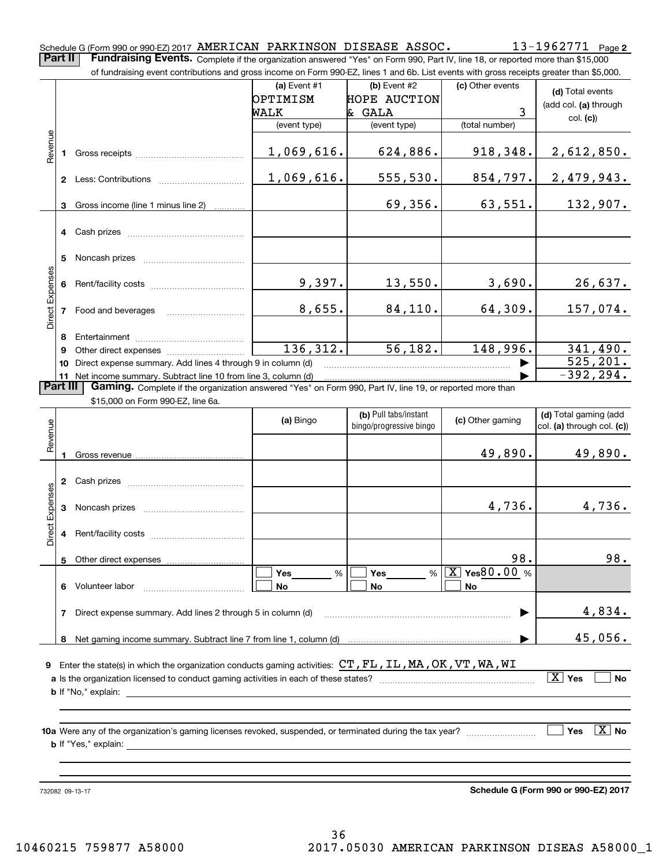**2**Schedule G (Form 990 or 990-EZ) 2017 Page AMERICAN PARKINSON DISEASE ASSOC. 13-1962771 **Part II** | Fundraising Events. Complete if the organization answered "Yes" on Form 990, Part IV, line 18, or reported more than \$15,000

|                        |                | of fundraising event contributions and gross income on Form 990-EZ, lines 1 and 6b. List events with gross receipts greater than \$5,000.                                                                                      |                                                    |                                                               |                                         |                                                       |
|------------------------|----------------|--------------------------------------------------------------------------------------------------------------------------------------------------------------------------------------------------------------------------------|----------------------------------------------------|---------------------------------------------------------------|-----------------------------------------|-------------------------------------------------------|
|                        |                |                                                                                                                                                                                                                                | (a) Event $#1$<br>OPTIMISM<br>WALK<br>(event type) | (b) Event #2<br><b>HOPE AUCTION</b><br>& GALA<br>(event type) | (c) Other events<br>3<br>(total number) | (d) Total events<br>(add col. (a) through<br>col. (c) |
| Revenue                |                | 1 Gross receipts [11] Gross receipts [11] Care and The Contemporary and The Contemporary and The Contemporary and The Contemporary and The Contemporary Gross Tennis and The Contemporary and The Contemporary and The Contemp | 1,069,616.                                         | 624,886.                                                      | 918,348.                                | 2,612,850.                                            |
|                        |                |                                                                                                                                                                                                                                | 1,069,616.                                         | 555,530.                                                      | 854,797.                                | 2,479,943.                                            |
|                        | 3              | Gross income (line 1 minus line 2)                                                                                                                                                                                             |                                                    | 69,356.                                                       | 63, 551.                                | 132,907.                                              |
|                        |                | 4 Cash prizes                                                                                                                                                                                                                  |                                                    |                                                               |                                         |                                                       |
|                        | 5              |                                                                                                                                                                                                                                |                                                    |                                                               |                                         |                                                       |
| <b>Direct Expenses</b> |                |                                                                                                                                                                                                                                | 9,397.                                             | 13,550.                                                       | 3,690.                                  | 26,637.                                               |
|                        |                | 7 Food and beverages                                                                                                                                                                                                           | 8,655.                                             | 84,110.                                                       | 64,309.                                 | 157,074.                                              |
|                        | 8              |                                                                                                                                                                                                                                |                                                    |                                                               |                                         |                                                       |
|                        | 9              |                                                                                                                                                                                                                                | 136,312.                                           | 56, 182.                                                      | 148,996.                                | 341,490.                                              |
|                        |                | 10 Direct expense summary. Add lines 4 through 9 in column (d)                                                                                                                                                                 |                                                    |                                                               |                                         | 525, 201.<br>$-392, 294.$                             |
| <b>Part III</b>        |                | 11 Net income summary. Subtract line 10 from line 3, column (d)<br>Gaming. Complete if the organization answered "Yes" on Form 990, Part IV, line 19, or reported more than                                                    |                                                    |                                                               |                                         |                                                       |
|                        |                | \$15,000 on Form 990-EZ, line 6a.                                                                                                                                                                                              |                                                    |                                                               |                                         |                                                       |
| Revenue                |                |                                                                                                                                                                                                                                | (a) Bingo                                          | (b) Pull tabs/instant<br>bingo/progressive bingo              | (c) Other gaming                        | (d) Total gaming (add<br>col. (a) through col. (c))   |
|                        |                |                                                                                                                                                                                                                                |                                                    |                                                               | 49,890.                                 | 49,890.                                               |
|                        |                | 2 Cash prizes                                                                                                                                                                                                                  |                                                    |                                                               |                                         |                                                       |
| Expenses               | 3              |                                                                                                                                                                                                                                |                                                    |                                                               | 4,736.                                  | 4,736.                                                |
| Direct                 | 4              |                                                                                                                                                                                                                                |                                                    |                                                               |                                         |                                                       |
|                        | 5              |                                                                                                                                                                                                                                |                                                    |                                                               | 98.                                     | 98.                                                   |
|                        |                | 6 Volunteer labor                                                                                                                                                                                                              | Yes<br>%<br>No                                     | Yes<br>No                                                     | % $\sqrt{X}$ Yes 80.00 %<br><b>No</b>   |                                                       |
|                        | $\overline{7}$ | Direct expense summary. Add lines 2 through 5 in column (d)                                                                                                                                                                    |                                                    |                                                               |                                         | 4,834.                                                |

**9**Enter the state(s) in which the organization conducts gaming activities: CT,FL,IL,MA,OK,VT,WA,WI **a** Is the organization licensed to conduct gaming activities in each of these states? \_\_\_\_\_\_\_\_\_\_\_\_\_\_\_\_\_\_\_\_\_\_\_\_\_\_\_\_\_\_\_ **b**If "No," explain: **Yes** X

Net gaming income summary. Subtract line 7 from line 1, column (d)

**10a** Were any of the organization's gaming licenses revoked, suspended, or terminated during the tax year? \_\_\_\_\_\_\_\_\_\_\_\_\_\_\_\_\_ **b** If "Yes," explain: **Yes** es  $|\,\texttt{X}\,|$  No

732082 09-13-17

**8**

**Schedule G (Form 990 or 990-EZ) 2017**

…… ▶

**No**

45,056.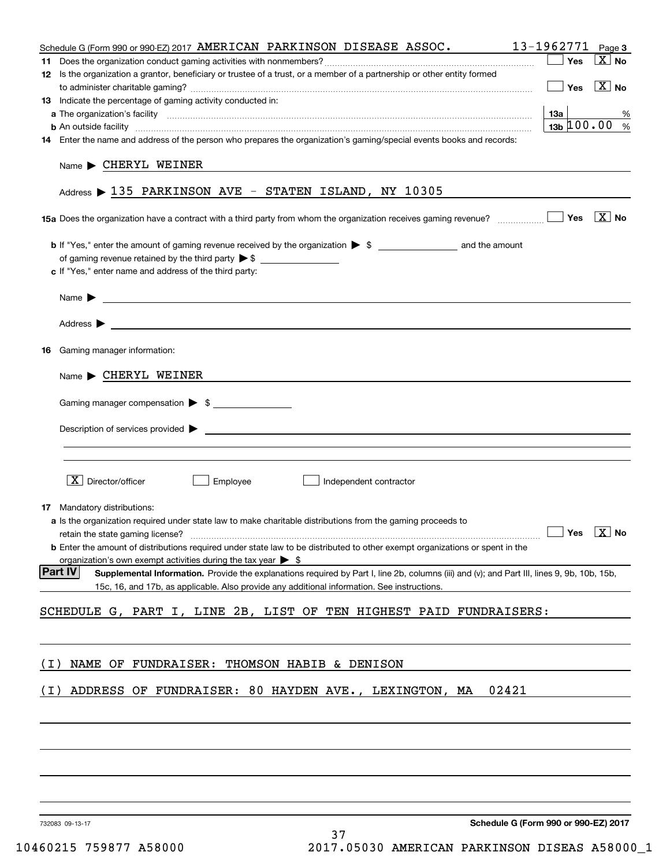|       | Schedule G (Form 990 or 990-EZ) 2017 AMERICAN PARKINSON DISEASE ASSOC.                                                                                                  | 13-1962771 Page 3                                  |                            |
|-------|-------------------------------------------------------------------------------------------------------------------------------------------------------------------------|----------------------------------------------------|----------------------------|
|       |                                                                                                                                                                         | Yes                                                | $\boxed{\text{X}}$ No      |
|       | 12 Is the organization a grantor, beneficiary or trustee of a trust, or a member of a partnership or other entity formed                                                |                                                    |                            |
|       |                                                                                                                                                                         | $\Box$ Yes                                         | $\boxed{\text{X}}$ No      |
|       | 13 Indicate the percentage of gaming activity conducted in:                                                                                                             |                                                    |                            |
|       |                                                                                                                                                                         | 13a                                                | %                          |
|       | <b>b</b> An outside facility <i>www.communicality www.communicality.communicality www.communicality www.communicality.communicality www.communicality.com</i>           | $13b \, 100.00$ %                                  |                            |
|       | 14 Enter the name and address of the person who prepares the organization's gaming/special events books and records:                                                    |                                                    |                            |
|       | $Name \triangleright$ CHERYL WEINER<br>Address $\triangleright$ 135 PARKINSON AVE - STATEN ISLAND, NY 10305                                                             |                                                    |                            |
|       |                                                                                                                                                                         | Yes                                                | $\overline{\mathbf{X}}$ No |
|       |                                                                                                                                                                         |                                                    |                            |
|       | of gaming revenue retained by the third party $\triangleright$ \$                                                                                                       |                                                    |                            |
|       | c If "Yes," enter name and address of the third party:                                                                                                                  |                                                    |                            |
|       |                                                                                                                                                                         |                                                    |                            |
|       | Name $\blacktriangleright$ $\bot$                                                                                                                                       |                                                    |                            |
|       |                                                                                                                                                                         |                                                    |                            |
|       |                                                                                                                                                                         |                                                    |                            |
| 16    | Gaming manager information:                                                                                                                                             |                                                    |                            |
|       |                                                                                                                                                                         |                                                    |                            |
|       | $Name \triangleright$ CHERYL WEINER                                                                                                                                     |                                                    |                            |
|       | Gaming manager compensation > \$                                                                                                                                        |                                                    |                            |
|       |                                                                                                                                                                         |                                                    |                            |
|       | $Description of services provided$ $\triangleright$                                                                                                                     |                                                    |                            |
|       |                                                                                                                                                                         |                                                    |                            |
|       |                                                                                                                                                                         |                                                    |                            |
|       |                                                                                                                                                                         |                                                    |                            |
|       | $X$ Director/officer<br>Employee<br>Independent contractor                                                                                                              |                                                    |                            |
|       |                                                                                                                                                                         |                                                    |                            |
|       | 17 Mandatory distributions:                                                                                                                                             |                                                    |                            |
|       | a Is the organization required under state law to make charitable distributions from the gaming proceeds to                                                             | $\boxed{\phantom{1}}$ Yes $\boxed{\phantom{1}}$ No |                            |
|       | retain the state gaming license?<br><b>b</b> Enter the amount of distributions required under state law to be distributed to other exempt organizations or spent in the |                                                    |                            |
|       | organization's own exempt activities during the tax year $\triangleright$ \$                                                                                            |                                                    |                            |
|       | <b>Part IV</b><br>Supplemental Information. Provide the explanations required by Part I, line 2b, columns (iii) and (v); and Part III, lines 9, 9b, 10b, 15b,           |                                                    |                            |
|       | 15c, 16, and 17b, as applicable. Also provide any additional information. See instructions.                                                                             |                                                    |                            |
|       |                                                                                                                                                                         |                                                    |                            |
|       | SCHEDULE G, PART I, LINE 2B, LIST OF TEN HIGHEST PAID FUNDRAISERS:                                                                                                      |                                                    |                            |
|       |                                                                                                                                                                         |                                                    |                            |
|       |                                                                                                                                                                         |                                                    |                            |
|       |                                                                                                                                                                         |                                                    |                            |
| ( I ) | NAME OF FUNDRAISER: THOMSON HABIB & DENISON                                                                                                                             |                                                    |                            |
| ( I ) | ADDRESS OF FUNDRAISER: 80 HAYDEN AVE., LEXINGTON, MA<br>02421                                                                                                           |                                                    |                            |
|       |                                                                                                                                                                         |                                                    |                            |
|       |                                                                                                                                                                         |                                                    |                            |
|       |                                                                                                                                                                         |                                                    |                            |
|       |                                                                                                                                                                         |                                                    |                            |
|       |                                                                                                                                                                         |                                                    |                            |
|       |                                                                                                                                                                         |                                                    |                            |
|       |                                                                                                                                                                         |                                                    |                            |
|       |                                                                                                                                                                         |                                                    |                            |
|       | Schedule G (Form 990 or 990-EZ) 2017<br>732083 09-13-17                                                                                                                 |                                                    |                            |
|       |                                                                                                                                                                         |                                                    |                            |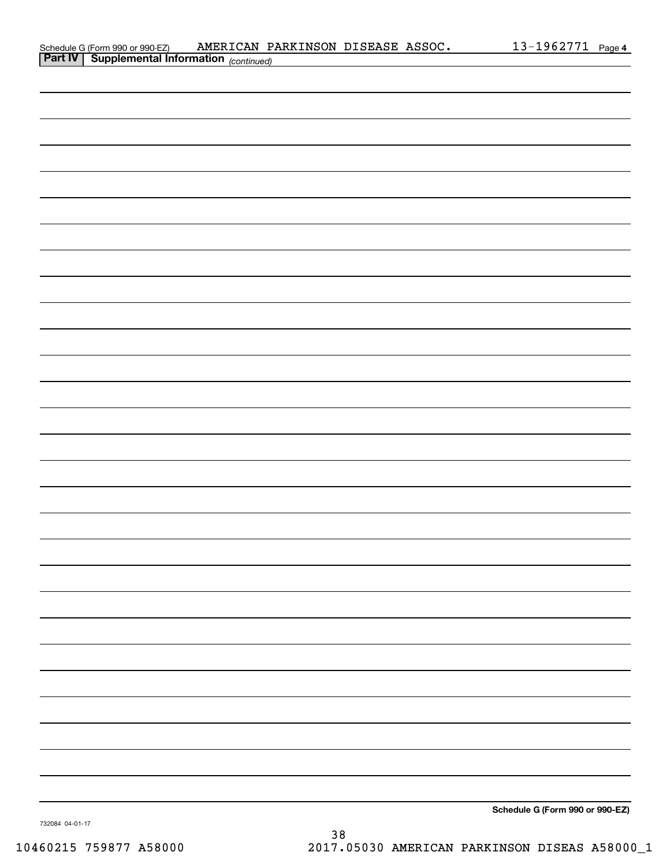| Schedule G (Form 990 or 990-EZ)         | AMERICAN PARKINSON DISEASE ASSOC. |  | 1962771- | Page 4 |
|-----------------------------------------|-----------------------------------|--|----------|--------|
| <b>Dart IV Cupplemental Information</b> |                                   |  |          |        |

| <b>Part IV   Supplemental Information</b> (continued) |                                 |
|-------------------------------------------------------|---------------------------------|
|                                                       |                                 |
|                                                       |                                 |
|                                                       |                                 |
|                                                       |                                 |
|                                                       |                                 |
|                                                       |                                 |
|                                                       |                                 |
|                                                       |                                 |
|                                                       |                                 |
|                                                       |                                 |
|                                                       |                                 |
|                                                       |                                 |
|                                                       |                                 |
|                                                       |                                 |
|                                                       |                                 |
|                                                       |                                 |
|                                                       |                                 |
|                                                       |                                 |
|                                                       |                                 |
|                                                       |                                 |
|                                                       |                                 |
|                                                       |                                 |
|                                                       |                                 |
|                                                       |                                 |
|                                                       |                                 |
|                                                       |                                 |
|                                                       |                                 |
|                                                       |                                 |
|                                                       |                                 |
|                                                       |                                 |
|                                                       |                                 |
|                                                       | Schedule G (Form 990 or 990-EZ) |

732084 04-01-17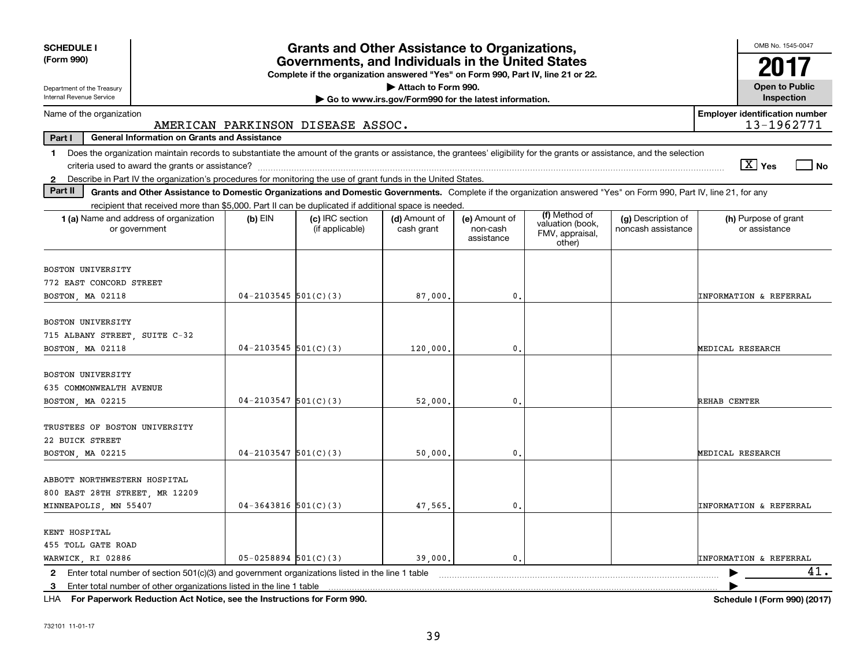| <b>SCHEDULE I</b><br>(Form 990)                                                                                                                                                                                                                                           |                          | <b>Grants and Other Assistance to Organizations,</b><br>Governments, and Individuals in the United States |                                                       |                                         |                                                                |                                          | OMB No. 1545-0047                     |  |  |  |  |
|---------------------------------------------------------------------------------------------------------------------------------------------------------------------------------------------------------------------------------------------------------------------------|--------------------------|-----------------------------------------------------------------------------------------------------------|-------------------------------------------------------|-----------------------------------------|----------------------------------------------------------------|------------------------------------------|---------------------------------------|--|--|--|--|
|                                                                                                                                                                                                                                                                           |                          | Complete if the organization answered "Yes" on Form 990, Part IV, line 21 or 22.                          |                                                       |                                         |                                                                |                                          |                                       |  |  |  |  |
| Department of the Treasury<br>Internal Revenue Service                                                                                                                                                                                                                    |                          |                                                                                                           | Attach to Form 990.                                   |                                         |                                                                |                                          | <b>Open to Public</b><br>Inspection   |  |  |  |  |
| Name of the organization                                                                                                                                                                                                                                                  |                          |                                                                                                           | Go to www.irs.gov/Form990 for the latest information. |                                         |                                                                |                                          | <b>Employer identification number</b> |  |  |  |  |
|                                                                                                                                                                                                                                                                           |                          | AMERICAN PARKINSON DISEASE ASSOC.                                                                         |                                                       |                                         |                                                                |                                          | 13-1962771                            |  |  |  |  |
| Part I<br><b>General Information on Grants and Assistance</b>                                                                                                                                                                                                             |                          |                                                                                                           |                                                       |                                         |                                                                |                                          |                                       |  |  |  |  |
| Does the organization maintain records to substantiate the amount of the grants or assistance, the grantees' eligibility for the grants or assistance, and the selection<br>1.                                                                                            |                          |                                                                                                           |                                                       |                                         |                                                                |                                          |                                       |  |  |  |  |
|                                                                                                                                                                                                                                                                           |                          |                                                                                                           |                                                       |                                         |                                                                |                                          | $\sqrt{X}$ Yes<br>$ $ No              |  |  |  |  |
| 2 Describe in Part IV the organization's procedures for monitoring the use of grant funds in the United States.<br>Part II                                                                                                                                                |                          |                                                                                                           |                                                       |                                         |                                                                |                                          |                                       |  |  |  |  |
| Grants and Other Assistance to Domestic Organizations and Domestic Governments. Complete if the organization answered "Yes" on Form 990, Part IV, line 21, for any<br>recipient that received more than \$5,000. Part II can be duplicated if additional space is needed. |                          |                                                                                                           |                                                       |                                         |                                                                |                                          |                                       |  |  |  |  |
| 1 (a) Name and address of organization<br>or government                                                                                                                                                                                                                   | $(b)$ EIN                | (c) IRC section<br>(if applicable)                                                                        | (d) Amount of<br>cash grant                           | (e) Amount of<br>non-cash<br>assistance | (f) Method of<br>valuation (book,<br>FMV, appraisal,<br>other) | (g) Description of<br>noncash assistance | (h) Purpose of grant<br>or assistance |  |  |  |  |
| <b>BOSTON UNIVERSITY</b><br>772 EAST CONCORD STREET<br>BOSTON, MA 02118                                                                                                                                                                                                   | $04 - 2103545$ 501(C)(3) |                                                                                                           | 87,000                                                | $\mathbf{0}$                            |                                                                |                                          | <b>INFORMATION &amp; REFERRAL</b>     |  |  |  |  |
| BOSTON UNIVERSITY<br>715 ALBANY STREET, SUITE C-32<br>BOSTON, MA 02118                                                                                                                                                                                                    | $04 - 2103545$ 501(C)(3) |                                                                                                           | 120,000                                               | $\mathbf{0}$                            |                                                                |                                          | MEDICAL RESEARCH                      |  |  |  |  |
| <b>BOSTON UNIVERSITY</b><br>635 COMMONWEALTH AVENUE<br>BOSTON, MA 02215                                                                                                                                                                                                   | $04 - 2103547$ 501(C)(3) |                                                                                                           | 52,000.                                               | $\mathbf{0}$                            |                                                                |                                          | REHAB CENTER                          |  |  |  |  |
| TRUSTEES OF BOSTON UNIVERSITY<br>22 BUICK STREET<br>BOSTON, MA 02215                                                                                                                                                                                                      | $04 - 2103547$ 501(C)(3) |                                                                                                           | 50,000                                                | $\mathbf{0}$                            |                                                                |                                          | MEDICAL RESEARCH                      |  |  |  |  |
| ABBOTT NORTHWESTERN HOSPITAL<br>800 EAST 28TH STREET, MR 12209<br>MINNEAPOLIS, MN 55407                                                                                                                                                                                   | $04 - 3643816$ 501(C)(3) |                                                                                                           | 47,565.                                               | $\mathbf 0$ .                           |                                                                |                                          | <b>INFORMATION &amp; REFERRAL</b>     |  |  |  |  |
| KENT HOSPITAL<br>455 TOLL GATE ROAD<br>WARWICK, RI 02886                                                                                                                                                                                                                  | $05 - 0258894$ 501(C)(3) |                                                                                                           | 39,000.                                               | $\mathbf{0}$ .                          |                                                                |                                          | <b>INFORMATION &amp; REFERRAL</b>     |  |  |  |  |
| Enter total number of section $501(c)(3)$ and government organizations listed in the line 1 table<br>$\mathbf{2}$                                                                                                                                                         |                          |                                                                                                           |                                                       |                                         |                                                                |                                          | 41.                                   |  |  |  |  |
| Enter total number of other organizations listed in the line 1 table<br>3                                                                                                                                                                                                 |                          |                                                                                                           |                                                       |                                         |                                                                |                                          |                                       |  |  |  |  |

**For Paperwork Reduction Act Notice, see the Instructions for Form 990. Schedule I (Form 990) (2017)** LHA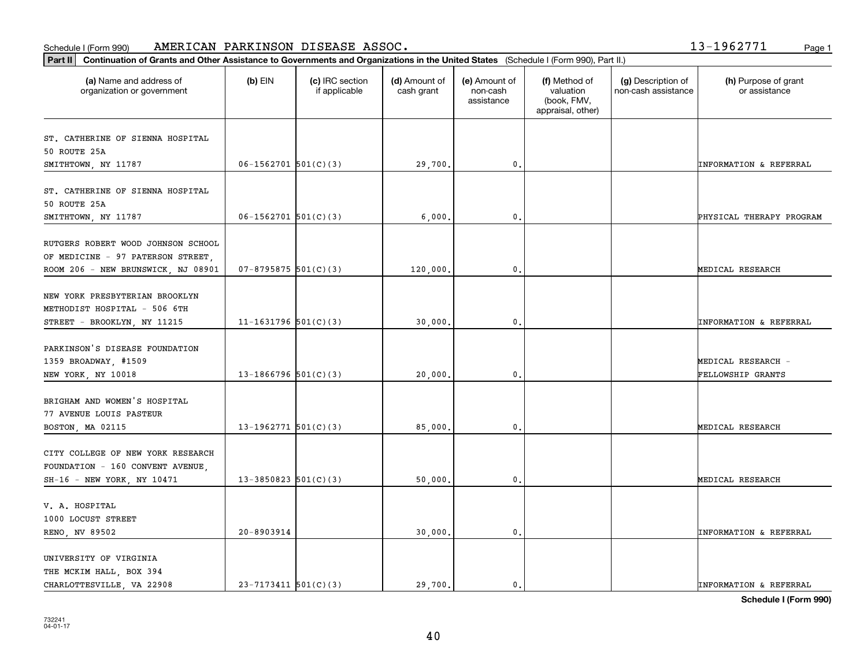#### Schedule I (Form 990) Page 1 AMERICAN PARKINSON DISEASE ASSOC. 13-1962771

| 3-1962771 |
|-----------|
|-----------|

| (a) Name and address of<br>organization or government                                         | $(b)$ EIN                  | (c) IRC section<br>if applicable | (d) Amount of<br>cash grant | (e) Amount of<br>non-cash<br>assistance | (f) Method of<br>valuation<br>(book, FMV,<br>appraisal, other) | (g) Description of<br>non-cash assistance | (h) Purpose of grant<br>or assistance |
|-----------------------------------------------------------------------------------------------|----------------------------|----------------------------------|-----------------------------|-----------------------------------------|----------------------------------------------------------------|-------------------------------------------|---------------------------------------|
| ST. CATHERINE OF SIENNA HOSPITAL                                                              |                            |                                  |                             |                                         |                                                                |                                           |                                       |
| 50 ROUTE 25A                                                                                  |                            |                                  |                             |                                         |                                                                |                                           |                                       |
| SMITHTOWN, NY 11787                                                                           | $06-1562701$ 501(C)(3)     |                                  | 29,700.                     | $\mathbf{0}$ .                          |                                                                |                                           | INFORMATION & REFERRAL                |
| ST. CATHERINE OF SIENNA HOSPITAL<br>50 ROUTE 25A                                              |                            |                                  |                             |                                         |                                                                |                                           |                                       |
| SMITHTOWN, NY 11787                                                                           | $06-1562701$ 501(C)(3)     |                                  | 6,000                       | 0.                                      |                                                                |                                           | PHYSICAL THERAPY PROGRAM              |
| RUTGERS ROBERT WOOD JOHNSON SCHOOL<br>OF MEDICINE - 97 PATERSON STREET,                       |                            |                                  |                             |                                         |                                                                |                                           |                                       |
| ROOM 206 - NEW BRUNSWICK, NJ 08901                                                            | $07 - 8795875$ 501(C)(3)   |                                  | 120,000.                    | $\mathfrak{o}$ .                        |                                                                |                                           | MEDICAL RESEARCH                      |
| NEW YORK PRESBYTERIAN BROOKLYN<br>METHODIST HOSPITAL - 506 6TH<br>STREET - BROOKLYN, NY 11215 | 11-1631796 $501(C)(3)$     |                                  | 30,000                      | $\mathbf{0}$                            |                                                                |                                           | <b>INFORMATION &amp; REFERRAL</b>     |
| PARKINSON'S DISEASE FOUNDATION<br>1359 BROADWAY, #1509                                        |                            |                                  |                             |                                         |                                                                |                                           | MEDICAL RESEARCH -                    |
| NEW YORK, NY 10018                                                                            | $13-1866796$ 501(C)(3)     |                                  | 20,000                      | $\mathbf{0}$                            |                                                                |                                           | FELLOWSHIP GRANTS                     |
| BRIGHAM AND WOMEN'S HOSPITAL<br>77 AVENUE LOUIS PASTEUR                                       |                            |                                  |                             |                                         |                                                                |                                           |                                       |
| BOSTON, MA 02115                                                                              | 13-1962771 $501(C)(3)$     |                                  | 85,000.                     | 0.                                      |                                                                |                                           | MEDICAL RESEARCH                      |
| CITY COLLEGE OF NEW YORK RESEARCH<br>FOUNDATION - 160 CONVENT AVENUE                          |                            |                                  |                             |                                         |                                                                |                                           |                                       |
| SH-16 - NEW YORK, NY 10471                                                                    | $13 - 3850823$ $501(C)(3)$ |                                  | 50,000                      | $^{\rm 0}$ .                            |                                                                |                                           | MEDICAL RESEARCH                      |
| V. A. HOSPITAL<br>1000 LOCUST STREET                                                          |                            |                                  |                             |                                         |                                                                |                                           |                                       |
| RENO, NV 89502                                                                                | 20-8903914                 |                                  | 30,000.                     | $\mathfrak{o}$ .                        |                                                                |                                           | <b>INFORMATION &amp; REFERRAL</b>     |
| UNIVERSITY OF VIRGINIA<br>THE MCKIM HALL, BOX 394<br>CHARLOTTESVILLE, VA 22908                | $23 - 7173411$ $501(C)(3)$ |                                  | 29,700.                     | $\mathbf{0}$ .                          |                                                                |                                           | <b>INFORMATION &amp; REFERRAL</b>     |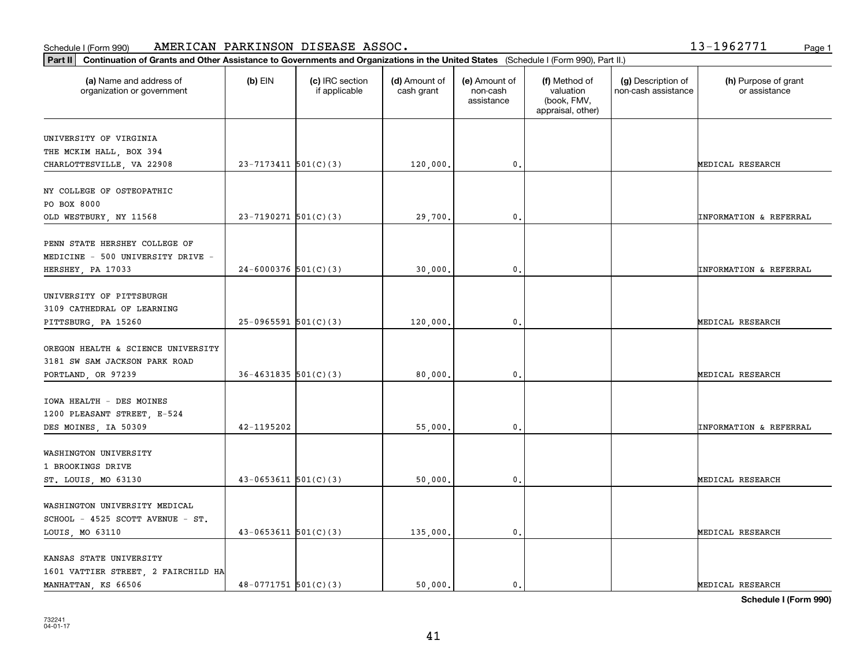### Schedule I (Form 990) Page 1 AMERICAN PARKINSON DISEASE ASSOC. 13-1962771

**Part II Continuation of Grants and Other Assistance to Governments and Organizations in the United States**  (Schedule I (Form 990), Part II.)

| (a) Name and address of<br>organization or government | $(b)$ EIN                  | (c) IRC section<br>if applicable | (d) Amount of<br>cash grant | (e) Amount of<br>non-cash<br>assistance | (f) Method of<br>valuation<br>(book, FMV,<br>appraisal, other) | (g) Description of<br>non-cash assistance | (h) Purpose of grant<br>or assistance |
|-------------------------------------------------------|----------------------------|----------------------------------|-----------------------------|-----------------------------------------|----------------------------------------------------------------|-------------------------------------------|---------------------------------------|
| UNIVERSITY OF VIRGINIA                                |                            |                                  |                             |                                         |                                                                |                                           |                                       |
| THE MCKIM HALL, BOX 394                               |                            |                                  |                             |                                         |                                                                |                                           |                                       |
| CHARLOTTESVILLE, VA 22908                             | $23 - 7173411$ 501(C)(3)   |                                  | 120,000.                    | $\mathbf{0}$ .                          |                                                                |                                           | MEDICAL RESEARCH                      |
| NY COLLEGE OF OSTEOPATHIC                             |                            |                                  |                             |                                         |                                                                |                                           |                                       |
| PO BOX 8000                                           |                            |                                  |                             |                                         |                                                                |                                           |                                       |
| OLD WESTBURY, NY 11568                                | $23 - 7190271$ 501(C)(3)   |                                  | 29,700.                     | 0.                                      |                                                                |                                           | <b>INFORMATION &amp; REFERRAL</b>     |
| PENN STATE HERSHEY COLLEGE OF                         |                            |                                  |                             |                                         |                                                                |                                           |                                       |
| MEDICINE - 500 UNIVERSITY DRIVE -                     |                            |                                  |                             |                                         |                                                                |                                           |                                       |
| HERSHEY, PA 17033                                     | $24-6000376$ 501(C)(3)     |                                  | 30,000,                     | 0.                                      |                                                                |                                           | <b>INFORMATION &amp; REFERRAL</b>     |
| UNIVERSITY OF PITTSBURGH                              |                            |                                  |                             |                                         |                                                                |                                           |                                       |
| 3109 CATHEDRAL OF LEARNING                            |                            |                                  |                             |                                         |                                                                |                                           |                                       |
| PITTSBURG, PA 15260                                   | $25-0965591$ $501(C)(3)$   |                                  | 120,000.                    | $\mathbf{0}$ .                          |                                                                |                                           | MEDICAL RESEARCH                      |
| OREGON HEALTH & SCIENCE UNIVERSITY                    |                            |                                  |                             |                                         |                                                                |                                           |                                       |
| 3181 SW SAM JACKSON PARK ROAD                         |                            |                                  |                             |                                         |                                                                |                                           |                                       |
| PORTLAND, OR 97239                                    | $36 - 4631835$ $501(C)(3)$ |                                  | 80,000.                     | 0.                                      |                                                                |                                           | MEDICAL RESEARCH                      |
| IOWA HEALTH - DES MOINES                              |                            |                                  |                             |                                         |                                                                |                                           |                                       |
| 1200 PLEASANT STREET, E-524                           |                            |                                  |                             |                                         |                                                                |                                           |                                       |
| DES MOINES, IA 50309                                  | 42-1195202                 |                                  | 55,000.                     | 0.                                      |                                                                |                                           | <b>INFORMATION &amp; REFERRAL</b>     |
| WASHINGTON UNIVERSITY                                 |                            |                                  |                             |                                         |                                                                |                                           |                                       |
| 1 BROOKINGS DRIVE                                     |                            |                                  |                             |                                         |                                                                |                                           |                                       |
| ST. LOUIS, MO 63130                                   | $43 - 0653611$ $501(C)(3)$ |                                  | 50,000.                     | $\mathbf 0$ .                           |                                                                |                                           | MEDICAL RESEARCH                      |
| WASHINGTON UNIVERSITY MEDICAL                         |                            |                                  |                             |                                         |                                                                |                                           |                                       |
| SCHOOL - 4525 SCOTT AVENUE - ST.                      |                            |                                  |                             |                                         |                                                                |                                           |                                       |
| LOUIS, MO 63110                                       | $43-0653611$ $501(C)(3)$   |                                  | 135,000.                    | $\mathbf{0}$ .                          |                                                                |                                           | MEDICAL RESEARCH                      |
| KANSAS STATE UNIVERSITY                               |                            |                                  |                             |                                         |                                                                |                                           |                                       |
| 1601 VATTIER STREET, 2 FAIRCHILD HA                   |                            |                                  |                             |                                         |                                                                |                                           |                                       |
| MANHATTAN, KS 66506                                   | $48-0771751$ 501(C)(3)     |                                  | 50,000.                     | $\mathbf{0}$ .                          |                                                                |                                           | MEDICAL RESEARCH                      |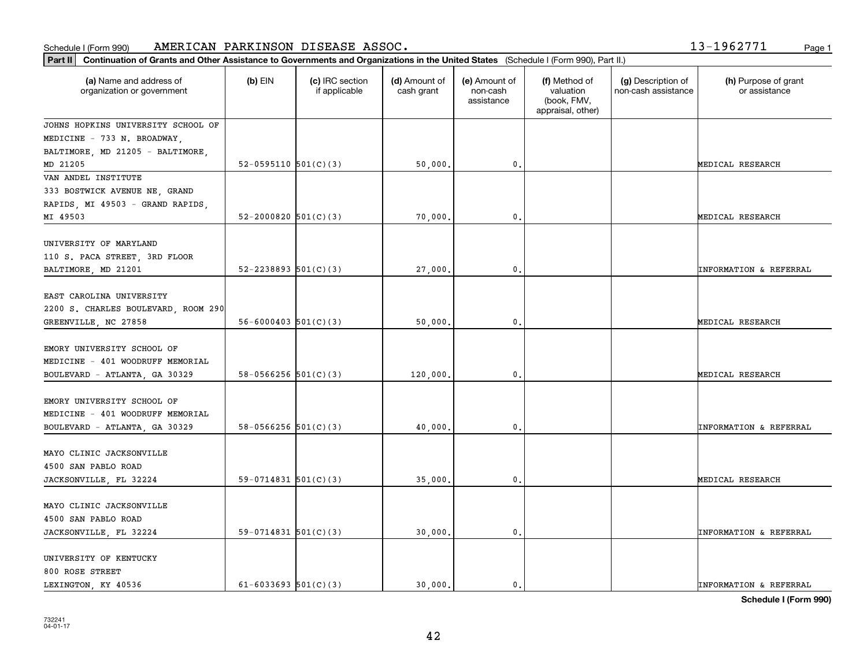#### **Part III Continuation of Grants and Other Assistance Continuation of Grants and Other Assistance Continuation** Schedule I (Form 990) Page 1 AMERICAN PARKINSON DISEASE ASSOC. 13-1962771

|  | $3 - 1962771$ | Page: |
|--|---------------|-------|
|  |               |       |

| Continuation of Grants and Other Assistance to Governments and Organizations in the United States (Schedule I (Form 990), Part II.)<br>Part II |                            |                                  |                             |                                         |                                                                |                                           |                                       |
|------------------------------------------------------------------------------------------------------------------------------------------------|----------------------------|----------------------------------|-----------------------------|-----------------------------------------|----------------------------------------------------------------|-------------------------------------------|---------------------------------------|
| (a) Name and address of<br>organization or government                                                                                          | $(b)$ EIN                  | (c) IRC section<br>if applicable | (d) Amount of<br>cash grant | (e) Amount of<br>non-cash<br>assistance | (f) Method of<br>valuation<br>(book, FMV,<br>appraisal, other) | (g) Description of<br>non-cash assistance | (h) Purpose of grant<br>or assistance |
| JOHNS HOPKINS UNIVERSITY SCHOOL OF                                                                                                             |                            |                                  |                             |                                         |                                                                |                                           |                                       |
| MEDICINE - 733 N. BROADWAY,                                                                                                                    |                            |                                  |                             |                                         |                                                                |                                           |                                       |
| BALTIMORE, MD 21205 - BALTIMORE,                                                                                                               |                            |                                  |                             |                                         |                                                                |                                           |                                       |
| MD 21205                                                                                                                                       | 52-0595110 $501(C)(3)$     |                                  | 50,000.                     | 0.                                      |                                                                |                                           | MEDICAL RESEARCH                      |
| VAN ANDEL INSTITUTE                                                                                                                            |                            |                                  |                             |                                         |                                                                |                                           |                                       |
| 333 BOSTWICK AVENUE NE, GRAND                                                                                                                  |                            |                                  |                             |                                         |                                                                |                                           |                                       |
| RAPIDS, MI 49503 - GRAND RAPIDS,                                                                                                               |                            |                                  |                             |                                         |                                                                |                                           |                                       |
| MI 49503                                                                                                                                       | $52 - 2000820$ $501(C)(3)$ |                                  | 70,000.                     | $\mathfrak{o}$ .                        |                                                                |                                           | MEDICAL RESEARCH                      |
| UNIVERSITY OF MARYLAND<br>110 S. PACA STREET, 3RD FLOOR                                                                                        |                            |                                  |                             |                                         |                                                                |                                           |                                       |
| BALTIMORE, MD 21201                                                                                                                            | $52 - 2238893$ $501(C)(3)$ |                                  | 27,000                      | $\mathbf{0}$                            |                                                                |                                           | INFORMATION & REFERRAL                |
| EAST CAROLINA UNIVERSITY<br>2200 S. CHARLES BOULEVARD, ROOM 290<br>GREENVILLE, NC 27858                                                        | $56 - 6000403$ $501(C)(3)$ |                                  | 50,000.                     | $\mathfrak o$ .                         |                                                                |                                           | MEDICAL RESEARCH                      |
| EMORY UNIVERSITY SCHOOL OF<br>MEDICINE - 401 WOODRUFF MEMORIAL<br>BOULEVARD - ATLANTA, GA 30329                                                | $58-0566256$ $501(C)(3)$   |                                  | 120,000.                    | $\mathfrak o$ .                         |                                                                |                                           | MEDICAL RESEARCH                      |
| EMORY UNIVERSITY SCHOOL OF<br>MEDICINE - 401 WOODRUFF MEMORIAL<br>BOULEVARD - ATLANTA, GA 30329                                                | 58-0566256 $501(C)(3)$     |                                  | 40,000                      | $\mathfrak o$ .                         |                                                                |                                           | INFORMATION & REFERRAL                |
| MAYO CLINIC JACKSONVILLE<br>4500 SAN PABLO ROAD                                                                                                |                            |                                  |                             |                                         |                                                                |                                           |                                       |
| JACKSONVILLE, FL 32224                                                                                                                         | $59-0714831$ $501(C)(3)$   |                                  | 35,000.                     | $\mathfrak o$ .                         |                                                                |                                           | MEDICAL RESEARCH                      |
| MAYO CLINIC JACKSONVILLE<br>4500 SAN PABLO ROAD<br>JACKSONVILLE, FL 32224                                                                      | 59-0714831 $501(C)(3)$     |                                  | 30,000.                     | $\mathbf{0}$ .                          |                                                                |                                           | INFORMATION & REFERRAL                |
| UNIVERSITY OF KENTUCKY<br>800 ROSE STREET<br>LEXINGTON, KY 40536                                                                               | $61 - 6033693$ $501(C)(3)$ |                                  | 30.000.                     | $\mathbf{0}$                            |                                                                |                                           | <b>INFORMATION &amp; REFERRAL</b>     |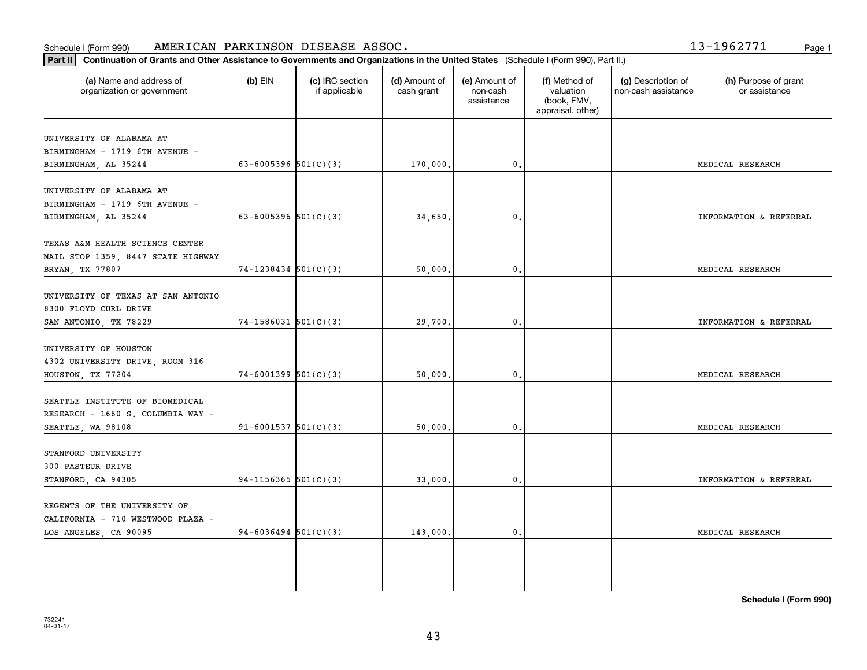#### Schedule I (Form 990) Page 1 AMERICAN PARKINSON DISEASE ASSOC.

13-1962771

| Part II   Continuation of Grants and Other Assistance to Governments and Organizations in the United States (Schedule I (Form 990), Part II.) |                            |                                  |                             |                                         |                                                                |                                           |                                       |
|-----------------------------------------------------------------------------------------------------------------------------------------------|----------------------------|----------------------------------|-----------------------------|-----------------------------------------|----------------------------------------------------------------|-------------------------------------------|---------------------------------------|
| (a) Name and address of<br>organization or government                                                                                         | $(b)$ EIN                  | (c) IRC section<br>if applicable | (d) Amount of<br>cash grant | (e) Amount of<br>non-cash<br>assistance | (f) Method of<br>valuation<br>(book, FMV,<br>appraisal, other) | (g) Description of<br>non-cash assistance | (h) Purpose of grant<br>or assistance |
| UNIVERSITY OF ALABAMA AT                                                                                                                      |                            |                                  |                             |                                         |                                                                |                                           |                                       |
| BIRMINGHAM - 1719 6TH AVENUE -                                                                                                                |                            |                                  |                             |                                         |                                                                |                                           |                                       |
| BIRMINGHAM, AL 35244                                                                                                                          | 63-6005396 $501(C)(3)$     |                                  | 170,000.                    | $\mathfrak{o}$ .                        |                                                                |                                           | MEDICAL RESEARCH                      |
|                                                                                                                                               |                            |                                  |                             |                                         |                                                                |                                           |                                       |
| UNIVERSITY OF ALABAMA AT                                                                                                                      |                            |                                  |                             |                                         |                                                                |                                           |                                       |
| BIRMINGHAM - 1719 6TH AVENUE -                                                                                                                |                            |                                  |                             |                                         |                                                                |                                           |                                       |
| BIRMINGHAM, AL 35244                                                                                                                          | 63-6005396 $501(C)(3)$     |                                  | 34,650                      | $\mathfrak{o}$ .                        |                                                                |                                           | <b>INFORMATION &amp; REFERRAL</b>     |
| TEXAS A&M HEALTH SCIENCE CENTER                                                                                                               |                            |                                  |                             |                                         |                                                                |                                           |                                       |
| MAIL STOP 1359, 8447 STATE HIGHWAY                                                                                                            |                            |                                  |                             |                                         |                                                                |                                           |                                       |
| BRYAN, TX 77807                                                                                                                               | $74-1238434$ 501(C)(3)     |                                  | 50,000.                     | $\mathfrak o$ .                         |                                                                |                                           | MEDICAL RESEARCH                      |
|                                                                                                                                               |                            |                                  |                             |                                         |                                                                |                                           |                                       |
| UNIVERSITY OF TEXAS AT SAN ANTONIO                                                                                                            |                            |                                  |                             |                                         |                                                                |                                           |                                       |
| 8300 FLOYD CURL DRIVE                                                                                                                         |                            |                                  |                             |                                         |                                                                |                                           |                                       |
| SAN ANTONIO, TX 78229                                                                                                                         | $74-1586031$ 501(C)(3)     |                                  | 29,700.                     | $\mathbf{0}$ .                          |                                                                |                                           | <b>INFORMATION &amp; REFERRAL</b>     |
|                                                                                                                                               |                            |                                  |                             |                                         |                                                                |                                           |                                       |
| UNIVERSITY OF HOUSTON                                                                                                                         |                            |                                  |                             |                                         |                                                                |                                           |                                       |
| 4302 UNIVERSITY DRIVE, ROOM 316                                                                                                               |                            |                                  |                             |                                         |                                                                |                                           |                                       |
| HOUSTON, TX 77204                                                                                                                             | $74-6001399$ 501(C)(3)     |                                  | 50,000.                     | 0.                                      |                                                                |                                           | MEDICAL RESEARCH                      |
| SEATTLE INSTITUTE OF BIOMEDICAL                                                                                                               |                            |                                  |                             |                                         |                                                                |                                           |                                       |
| RESEARCH - 1660 S. COLUMBIA WAY -                                                                                                             |                            |                                  |                             |                                         |                                                                |                                           |                                       |
| SEATTLE, WA 98108                                                                                                                             | $91 - 6001537$ $501(C)(3)$ |                                  | 50,000                      | 0.                                      |                                                                |                                           | MEDICAL RESEARCH                      |
|                                                                                                                                               |                            |                                  |                             |                                         |                                                                |                                           |                                       |
| STANFORD UNIVERSITY                                                                                                                           |                            |                                  |                             |                                         |                                                                |                                           |                                       |
| 300 PASTEUR DRIVE                                                                                                                             |                            |                                  |                             |                                         |                                                                |                                           |                                       |
| STANFORD, CA 94305                                                                                                                            | $94-1156365$ 501(C)(3)     |                                  | 33,000                      | $\mathfrak o$ .                         |                                                                |                                           | <b>INFORMATION &amp; REFERRAL</b>     |
|                                                                                                                                               |                            |                                  |                             |                                         |                                                                |                                           |                                       |
| REGENTS OF THE UNIVERSITY OF                                                                                                                  |                            |                                  |                             |                                         |                                                                |                                           |                                       |
| CALIFORNIA - 710 WESTWOOD PLAZA -                                                                                                             |                            |                                  |                             |                                         |                                                                |                                           |                                       |
| LOS ANGELES, CA 90095                                                                                                                         | 94-6036494 $501(C)(3)$     |                                  | 143,000.                    | $\mathbf{0}$ .                          |                                                                |                                           | MEDICAL RESEARCH                      |
|                                                                                                                                               |                            |                                  |                             |                                         |                                                                |                                           |                                       |
|                                                                                                                                               |                            |                                  |                             |                                         |                                                                |                                           |                                       |
|                                                                                                                                               |                            |                                  |                             |                                         |                                                                |                                           |                                       |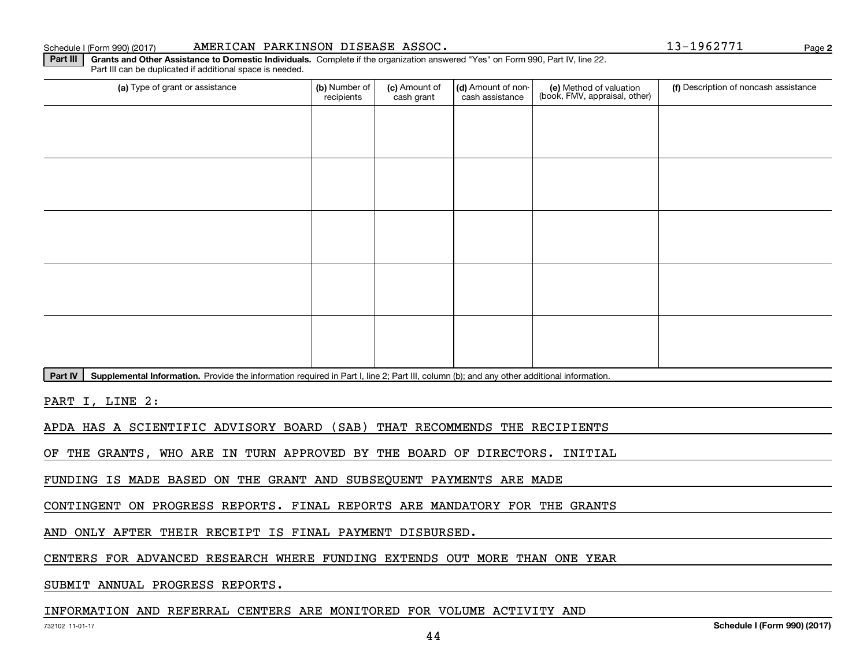#### Schedule I (Form 990) (2017) **AMERICAN PARKINSON DISEASE ASSOC .** Page

(a) Type of grant or assistance **Audity Commet Audio Commet Commet Commet Commet Commet Commet Commet Commet Comme** Part III can be duplicated if additional space is needed. (e) Method of valuation (book, FMV, appraisal, other) recipients(c) Amount of cash grant (d) Amount of noncash assistance **(f)** Description of noncash assistance

Part IV | Supplemental Information. Provide the information required in Part I, line 2; Part III, column (b); and any other additional information.

**Part III | Grants and Other Assistance to Domestic Individuals. Complete if the organization answered "Yes" on Form 990, Part IV, line 22.** 

PART I, LINE 2:

APDA HAS A SCIENTIFIC ADVISORY BOARD (SAB) THAT RECOMMENDS THE RECIPIENTS

OF THE GRANTS, WHO ARE IN TURN APPROVED BY THE BOARD OF DIRECTORS. INITIAL

FUNDING IS MADE BASED ON THE GRANT AND SUBSEQUENT PAYMENTS ARE MADE

CONTINGENT ON PROGRESS REPORTS. FINAL REPORTS ARE MANDATORY FOR THE GRANTS

AND ONLY AFTER THEIR RECEIPT IS FINAL PAYMENT DISBURSED.

CENTERS FOR ADVANCED RESEARCH WHERE FUNDING EXTENDS OUT MORE THAN ONE YEAR

SUBMIT ANNUAL PROGRESS REPORTS.

# INFORMATION AND REFERRAL CENTERS ARE MONITORED FOR VOLUME ACTIVITY AND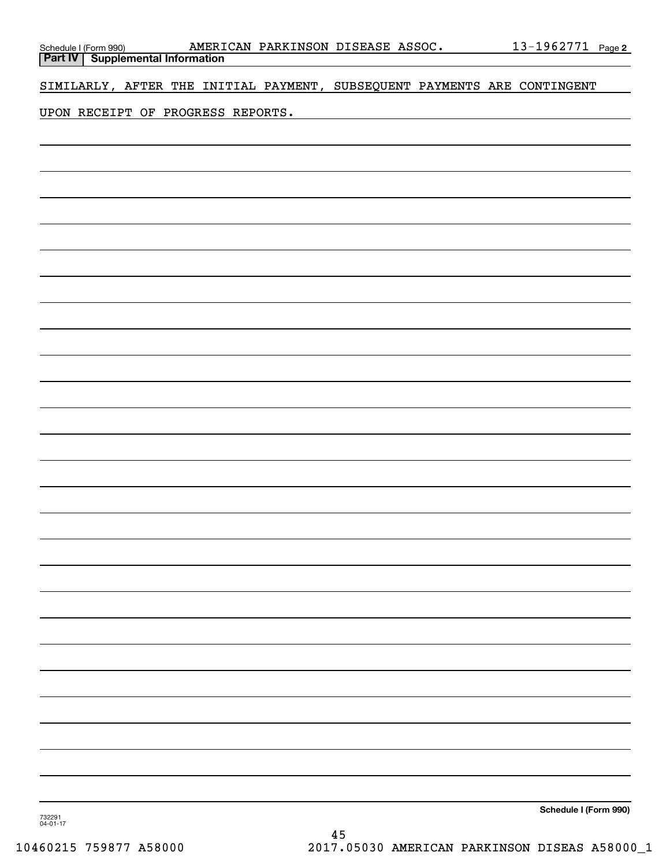| Schedule I (Form 990) <b>AMERI</b><br><b>Part IV</b> Supplemental Information |  |  | AMERICAN PARKINSON DISEASE ASSOC.                                        |  | <u>13-1962771 Page 2</u> |  |
|-------------------------------------------------------------------------------|--|--|--------------------------------------------------------------------------|--|--------------------------|--|
|                                                                               |  |  | SIMILARLY, AFTER THE INITIAL PAYMENT, SUBSEQUENT PAYMENTS ARE CONTINGENT |  |                          |  |
|                                                                               |  |  |                                                                          |  |                          |  |
| UPON RECEIPT OF PROGRESS REPORTS.                                             |  |  |                                                                          |  |                          |  |
|                                                                               |  |  |                                                                          |  |                          |  |
|                                                                               |  |  |                                                                          |  |                          |  |
|                                                                               |  |  |                                                                          |  |                          |  |
|                                                                               |  |  |                                                                          |  |                          |  |
|                                                                               |  |  |                                                                          |  |                          |  |
|                                                                               |  |  |                                                                          |  |                          |  |
|                                                                               |  |  |                                                                          |  |                          |  |
|                                                                               |  |  |                                                                          |  |                          |  |
|                                                                               |  |  |                                                                          |  |                          |  |
|                                                                               |  |  |                                                                          |  |                          |  |
|                                                                               |  |  |                                                                          |  |                          |  |
|                                                                               |  |  |                                                                          |  |                          |  |
|                                                                               |  |  |                                                                          |  |                          |  |
|                                                                               |  |  |                                                                          |  |                          |  |
|                                                                               |  |  |                                                                          |  |                          |  |
|                                                                               |  |  |                                                                          |  |                          |  |
|                                                                               |  |  |                                                                          |  |                          |  |
|                                                                               |  |  |                                                                          |  |                          |  |
|                                                                               |  |  |                                                                          |  |                          |  |
|                                                                               |  |  |                                                                          |  |                          |  |
|                                                                               |  |  |                                                                          |  |                          |  |
|                                                                               |  |  |                                                                          |  |                          |  |
|                                                                               |  |  |                                                                          |  |                          |  |
|                                                                               |  |  |                                                                          |  |                          |  |
|                                                                               |  |  |                                                                          |  |                          |  |
|                                                                               |  |  |                                                                          |  |                          |  |
|                                                                               |  |  |                                                                          |  |                          |  |
|                                                                               |  |  |                                                                          |  |                          |  |
|                                                                               |  |  |                                                                          |  |                          |  |
|                                                                               |  |  |                                                                          |  |                          |  |
|                                                                               |  |  |                                                                          |  |                          |  |
|                                                                               |  |  |                                                                          |  |                          |  |
|                                                                               |  |  |                                                                          |  |                          |  |
|                                                                               |  |  |                                                                          |  | Schedule I (Form 990)    |  |

732291 04-01-17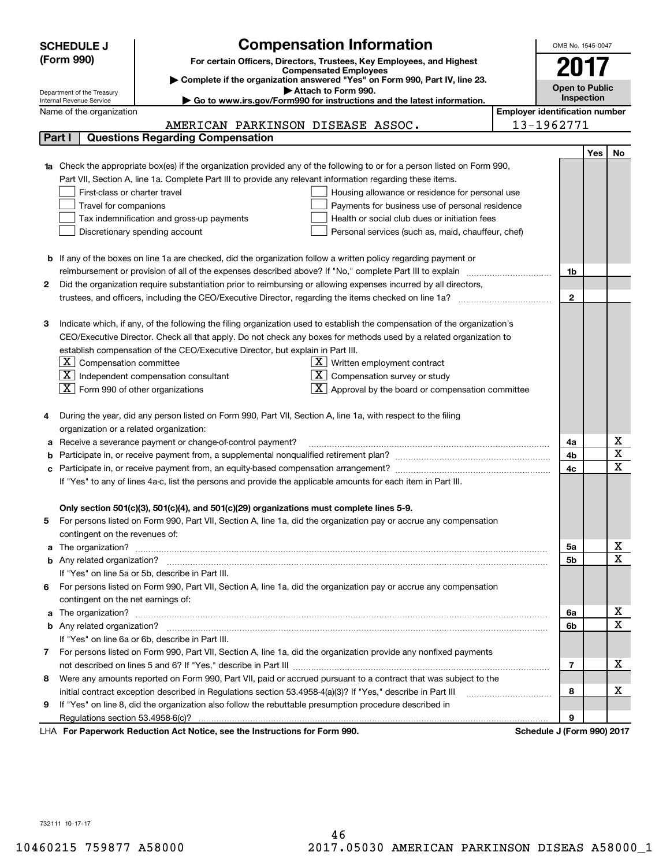|                                                                                                                    | <b>SCHEDULE J</b>                                                                                                                                                                                                                    |                                                                                                              | <b>Compensation Information</b>                                                                                                  |                                       | OMB No. 1545-0047          |                       |                         |  |
|--------------------------------------------------------------------------------------------------------------------|--------------------------------------------------------------------------------------------------------------------------------------------------------------------------------------------------------------------------------------|--------------------------------------------------------------------------------------------------------------|----------------------------------------------------------------------------------------------------------------------------------|---------------------------------------|----------------------------|-----------------------|-------------------------|--|
|                                                                                                                    | (Form 990)                                                                                                                                                                                                                           |                                                                                                              | For certain Officers, Directors, Trustees, Key Employees, and Highest                                                            |                                       |                            |                       |                         |  |
|                                                                                                                    |                                                                                                                                                                                                                                      |                                                                                                              | <b>Compensated Employees</b>                                                                                                     |                                       | 2017                       |                       |                         |  |
|                                                                                                                    | Complete if the organization answered "Yes" on Form 990, Part IV, line 23.                                                                                                                                                           |                                                                                                              |                                                                                                                                  |                                       |                            | <b>Open to Public</b> |                         |  |
|                                                                                                                    | Attach to Form 990.<br>Department of the Treasury<br>Go to www.irs.gov/Form990 for instructions and the latest information.<br>Internal Revenue Service                                                                              |                                                                                                              |                                                                                                                                  |                                       |                            | Inspection            |                         |  |
|                                                                                                                    | Name of the organization                                                                                                                                                                                                             |                                                                                                              |                                                                                                                                  | <b>Employer identification number</b> |                            |                       |                         |  |
|                                                                                                                    |                                                                                                                                                                                                                                      | AMERICAN PARKINSON DISEASE ASSOC.                                                                            |                                                                                                                                  |                                       | 13-1962771                 |                       |                         |  |
|                                                                                                                    | Part I                                                                                                                                                                                                                               | <b>Questions Regarding Compensation</b>                                                                      |                                                                                                                                  |                                       |                            |                       |                         |  |
|                                                                                                                    |                                                                                                                                                                                                                                      |                                                                                                              |                                                                                                                                  |                                       |                            | <b>Yes</b>            | No                      |  |
|                                                                                                                    |                                                                                                                                                                                                                                      |                                                                                                              | <b>1a</b> Check the appropriate box(es) if the organization provided any of the following to or for a person listed on Form 990, |                                       |                            |                       |                         |  |
|                                                                                                                    |                                                                                                                                                                                                                                      | Part VII, Section A, line 1a. Complete Part III to provide any relevant information regarding these items.   |                                                                                                                                  |                                       |                            |                       |                         |  |
|                                                                                                                    | First-class or charter travel                                                                                                                                                                                                        |                                                                                                              | Housing allowance or residence for personal use                                                                                  |                                       |                            |                       |                         |  |
|                                                                                                                    | Travel for companions                                                                                                                                                                                                                |                                                                                                              | Payments for business use of personal residence                                                                                  |                                       |                            |                       |                         |  |
|                                                                                                                    |                                                                                                                                                                                                                                      | Tax indemnification and gross-up payments                                                                    | Health or social club dues or initiation fees                                                                                    |                                       |                            |                       |                         |  |
|                                                                                                                    |                                                                                                                                                                                                                                      | Discretionary spending account                                                                               | Personal services (such as, maid, chauffeur, chef)                                                                               |                                       |                            |                       |                         |  |
|                                                                                                                    |                                                                                                                                                                                                                                      |                                                                                                              |                                                                                                                                  |                                       |                            |                       |                         |  |
|                                                                                                                    |                                                                                                                                                                                                                                      |                                                                                                              | <b>b</b> If any of the boxes on line 1a are checked, did the organization follow a written policy regarding payment or           |                                       |                            |                       |                         |  |
|                                                                                                                    |                                                                                                                                                                                                                                      |                                                                                                              | reimbursement or provision of all of the expenses described above? If "No," complete Part III to explain                         |                                       | 1b                         |                       |                         |  |
| 2                                                                                                                  |                                                                                                                                                                                                                                      |                                                                                                              | Did the organization require substantiation prior to reimbursing or allowing expenses incurred by all directors,                 |                                       |                            |                       |                         |  |
|                                                                                                                    |                                                                                                                                                                                                                                      |                                                                                                              | trustees, and officers, including the CEO/Executive Director, regarding the items checked on line 1a?                            |                                       | $\mathbf{2}$               |                       |                         |  |
|                                                                                                                    |                                                                                                                                                                                                                                      |                                                                                                              |                                                                                                                                  |                                       |                            |                       |                         |  |
| з                                                                                                                  |                                                                                                                                                                                                                                      |                                                                                                              | Indicate which, if any, of the following the filing organization used to establish the compensation of the organization's        |                                       |                            |                       |                         |  |
| CEO/Executive Director. Check all that apply. Do not check any boxes for methods used by a related organization to |                                                                                                                                                                                                                                      |                                                                                                              |                                                                                                                                  |                                       |                            |                       |                         |  |
|                                                                                                                    |                                                                                                                                                                                                                                      | establish compensation of the CEO/Executive Director, but explain in Part III.                               |                                                                                                                                  |                                       |                            |                       |                         |  |
|                                                                                                                    | $\lfloor \texttt{X} \rfloor$ Compensation committee                                                                                                                                                                                  |                                                                                                              | $\underline{\mathbf{X}}$ Written employment contract                                                                             |                                       |                            |                       |                         |  |
|                                                                                                                    | $\boxed{\text{X}}$ Independent compensation consultant<br>$X$ Compensation survey or study                                                                                                                                           |                                                                                                              |                                                                                                                                  |                                       |                            |                       |                         |  |
|                                                                                                                    | $ \mathbf{X} $ Form 990 of other organizations<br>$\mathbf{X}$ Approval by the board or compensation committee                                                                                                                       |                                                                                                              |                                                                                                                                  |                                       |                            |                       |                         |  |
|                                                                                                                    |                                                                                                                                                                                                                                      |                                                                                                              |                                                                                                                                  |                                       |                            |                       |                         |  |
|                                                                                                                    |                                                                                                                                                                                                                                      | During the year, did any person listed on Form 990, Part VII, Section A, line 1a, with respect to the filing |                                                                                                                                  |                                       |                            |                       |                         |  |
|                                                                                                                    | organization or a related organization:                                                                                                                                                                                              |                                                                                                              |                                                                                                                                  |                                       |                            |                       |                         |  |
| а                                                                                                                  | Receive a severance payment or change-of-control payment?                                                                                                                                                                            |                                                                                                              |                                                                                                                                  |                                       | 4a                         |                       | х                       |  |
|                                                                                                                    |                                                                                                                                                                                                                                      |                                                                                                              |                                                                                                                                  |                                       | 4b                         |                       | $\overline{\mathbf{x}}$ |  |
| с                                                                                                                  |                                                                                                                                                                                                                                      |                                                                                                              |                                                                                                                                  |                                       | 4c                         |                       | $\mathbf x$             |  |
| If "Yes" to any of lines 4a-c, list the persons and provide the applicable amounts for each item in Part III.      |                                                                                                                                                                                                                                      |                                                                                                              |                                                                                                                                  |                                       |                            |                       |                         |  |
|                                                                                                                    |                                                                                                                                                                                                                                      |                                                                                                              |                                                                                                                                  |                                       |                            |                       |                         |  |
|                                                                                                                    |                                                                                                                                                                                                                                      | Only section 501(c)(3), 501(c)(4), and 501(c)(29) organizations must complete lines 5-9.                     |                                                                                                                                  |                                       |                            |                       |                         |  |
|                                                                                                                    |                                                                                                                                                                                                                                      |                                                                                                              | For persons listed on Form 990, Part VII, Section A, line 1a, did the organization pay or accrue any compensation                |                                       |                            |                       |                         |  |
|                                                                                                                    | contingent on the revenues of:                                                                                                                                                                                                       |                                                                                                              |                                                                                                                                  |                                       |                            |                       |                         |  |
|                                                                                                                    |                                                                                                                                                                                                                                      |                                                                                                              | a The organization? <b>Entitation</b> and the organization?                                                                      |                                       | 5a                         |                       | х                       |  |
|                                                                                                                    |                                                                                                                                                                                                                                      |                                                                                                              |                                                                                                                                  |                                       | 5b                         |                       | $\mathbf x$             |  |
|                                                                                                                    |                                                                                                                                                                                                                                      | If "Yes" on line 5a or 5b, describe in Part III.                                                             |                                                                                                                                  |                                       |                            |                       |                         |  |
| 6                                                                                                                  |                                                                                                                                                                                                                                      |                                                                                                              | For persons listed on Form 990, Part VII, Section A, line 1a, did the organization pay or accrue any compensation                |                                       |                            |                       |                         |  |
|                                                                                                                    | contingent on the net earnings of:                                                                                                                                                                                                   |                                                                                                              |                                                                                                                                  |                                       |                            |                       |                         |  |
|                                                                                                                    | a The organization? <b>Entitled Strategies and Strategies and Strategies and Strategies and Strategies and Strategies and Strategies and Strategies and Strategies and Strategies and Strategies and Strategies and Strategies a</b> |                                                                                                              |                                                                                                                                  |                                       |                            |                       | х                       |  |
|                                                                                                                    |                                                                                                                                                                                                                                      |                                                                                                              |                                                                                                                                  |                                       | 6b                         |                       | $\mathbf x$             |  |
|                                                                                                                    |                                                                                                                                                                                                                                      | If "Yes" on line 6a or 6b, describe in Part III.                                                             |                                                                                                                                  |                                       |                            |                       |                         |  |
|                                                                                                                    |                                                                                                                                                                                                                                      |                                                                                                              | 7 For persons listed on Form 990, Part VII, Section A, line 1a, did the organization provide any nonfixed payments               |                                       |                            |                       |                         |  |
|                                                                                                                    |                                                                                                                                                                                                                                      |                                                                                                              |                                                                                                                                  |                                       |                            |                       |                         |  |
| 8                                                                                                                  | Were any amounts reported on Form 990, Part VII, paid or accrued pursuant to a contract that was subject to the                                                                                                                      |                                                                                                              |                                                                                                                                  |                                       |                            |                       |                         |  |
|                                                                                                                    | initial contract exception described in Regulations section 53.4958-4(a)(3)? If "Yes," describe in Part III                                                                                                                          |                                                                                                              |                                                                                                                                  |                                       |                            |                       |                         |  |
| 9                                                                                                                  |                                                                                                                                                                                                                                      | If "Yes" on line 8, did the organization also follow the rebuttable presumption procedure described in       |                                                                                                                                  |                                       | 8                          |                       |                         |  |
|                                                                                                                    | Regulations section 53.4958-6(c)?                                                                                                                                                                                                    |                                                                                                              |                                                                                                                                  |                                       | 9                          |                       |                         |  |
|                                                                                                                    |                                                                                                                                                                                                                                      | LHA For Paperwork Reduction Act Notice, see the Instructions for Form 990.                                   |                                                                                                                                  |                                       | Schedule J (Form 990) 2017 |                       |                         |  |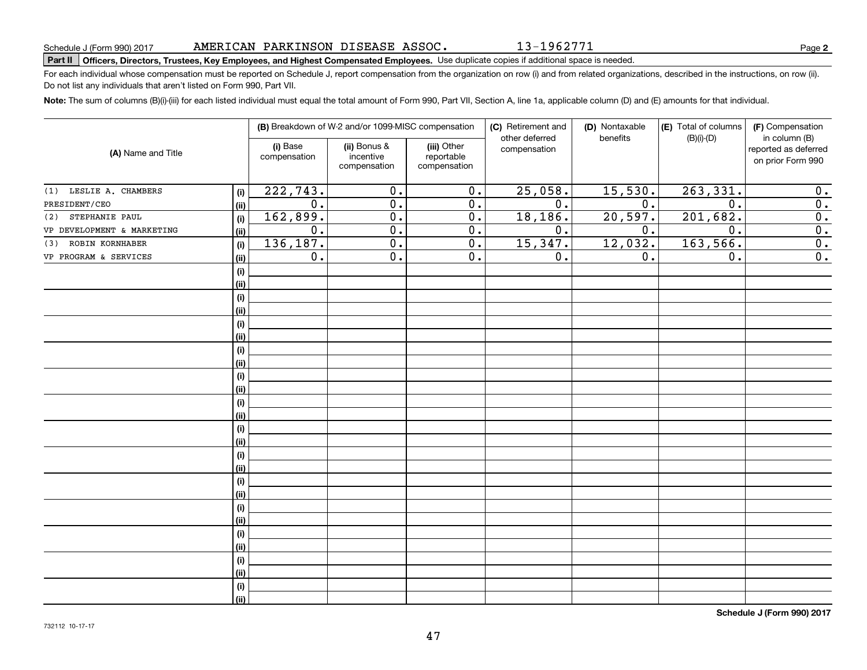# **Part II Officers, Directors, Trustees, Key Employees, and Highest Compensated Employees.**  Schedule J (Form 990) 2017 Page Use duplicate copies if additional space is needed.

For each individual whose compensation must be reported on Schedule J, report compensation from the organization on row (i) and from related organizations, described in the instructions, on row (ii). Do not list any individuals that aren't listed on Form 990, Part VII.

**Note:**  The sum of columns (B)(i)-(iii) for each listed individual must equal the total amount of Form 990, Part VII, Section A, line 1a, applicable column (D) and (E) amounts for that individual.

| (A) Name and Title         |      |                          | (B) Breakdown of W-2 and/or 1099-MISC compensation |                                           | (C) Retirement and<br>other deferred | (D) Nontaxable<br>benefits | (E) Total of columns<br>$(B)(i)-(D)$ | (F) Compensation<br>in column (B)         |  |  |
|----------------------------|------|--------------------------|----------------------------------------------------|-------------------------------------------|--------------------------------------|----------------------------|--------------------------------------|-------------------------------------------|--|--|
|                            |      | (i) Base<br>compensation | (ii) Bonus &<br>incentive<br>compensation          | (iii) Other<br>reportable<br>compensation | compensation                         |                            |                                      | reported as deferred<br>on prior Form 990 |  |  |
| LESLIE A. CHAMBERS<br>(1)  | (i)  | 222, 743.                | $\overline{0}$ .                                   | $\overline{0}$ .                          | 25,058.                              | 15,530.                    | 263,331.                             | 0.                                        |  |  |
| PRESIDENT/CEO              | (ii) | $\overline{0}$ .         | $\overline{0}$ .                                   | $\overline{0}$ .                          | $\overline{0}$ .                     | $\overline{0}$ .           | $\overline{0}$ .                     | $\overline{0}$ .                          |  |  |
| STEPHANIE PAUL<br>(2)      | (i)  | 162,899.                 | $\overline{0}$ .                                   | $\overline{0}$ .                          | 18,186.                              | 20,597.                    | 201,682.                             | $\overline{0}$ .                          |  |  |
| VP DEVELOPMENT & MARKETING | (ii) | 0.                       | $\overline{0}$ .                                   | 0.                                        | 0.                                   | 0.                         | $\overline{0}$ .                     | 0.                                        |  |  |
| ROBIN KORNHABER<br>(3)     | (i)  | 136,187.                 | $\overline{0}$ .                                   | 0.                                        | 15,347.                              | 12,032.                    | 163,566.                             | 0.                                        |  |  |
| VP PROGRAM & SERVICES      | (ii) | 0.                       | $\overline{0}$ .                                   | 0.                                        | 0.                                   | 0.                         | 0.                                   | $\overline{0}$ .                          |  |  |
|                            | (i)  |                          |                                                    |                                           |                                      |                            |                                      |                                           |  |  |
|                            | (ii) |                          |                                                    |                                           |                                      |                            |                                      |                                           |  |  |
|                            | (i)  |                          |                                                    |                                           |                                      |                            |                                      |                                           |  |  |
|                            | (ii) |                          |                                                    |                                           |                                      |                            |                                      |                                           |  |  |
|                            | (i)  |                          |                                                    |                                           |                                      |                            |                                      |                                           |  |  |
|                            | (ii) |                          |                                                    |                                           |                                      |                            |                                      |                                           |  |  |
|                            | (i)  |                          |                                                    |                                           |                                      |                            |                                      |                                           |  |  |
|                            | (ii) |                          |                                                    |                                           |                                      |                            |                                      |                                           |  |  |
|                            | (i)  |                          |                                                    |                                           |                                      |                            |                                      |                                           |  |  |
|                            | (ii) |                          |                                                    |                                           |                                      |                            |                                      |                                           |  |  |
|                            | (i)  |                          |                                                    |                                           |                                      |                            |                                      |                                           |  |  |
|                            | (ii) |                          |                                                    |                                           |                                      |                            |                                      |                                           |  |  |
|                            | (i)  |                          |                                                    |                                           |                                      |                            |                                      |                                           |  |  |
|                            | (ii) |                          |                                                    |                                           |                                      |                            |                                      |                                           |  |  |
|                            | (i)  |                          |                                                    |                                           |                                      |                            |                                      |                                           |  |  |
|                            | (ii) |                          |                                                    |                                           |                                      |                            |                                      |                                           |  |  |
|                            | (i)  |                          |                                                    |                                           |                                      |                            |                                      |                                           |  |  |
|                            | (ii) |                          |                                                    |                                           |                                      |                            |                                      |                                           |  |  |
|                            | (i)  |                          |                                                    |                                           |                                      |                            |                                      |                                           |  |  |
|                            | (ii) |                          |                                                    |                                           |                                      |                            |                                      |                                           |  |  |
|                            | (i)  |                          |                                                    |                                           |                                      |                            |                                      |                                           |  |  |
|                            | (ii) |                          |                                                    |                                           |                                      |                            |                                      |                                           |  |  |
|                            | (i)  |                          |                                                    |                                           |                                      |                            |                                      |                                           |  |  |
|                            | (ii) |                          |                                                    |                                           |                                      |                            |                                      |                                           |  |  |
|                            | (i)  |                          |                                                    |                                           |                                      |                            |                                      |                                           |  |  |
|                            | (ii) |                          |                                                    |                                           |                                      |                            |                                      |                                           |  |  |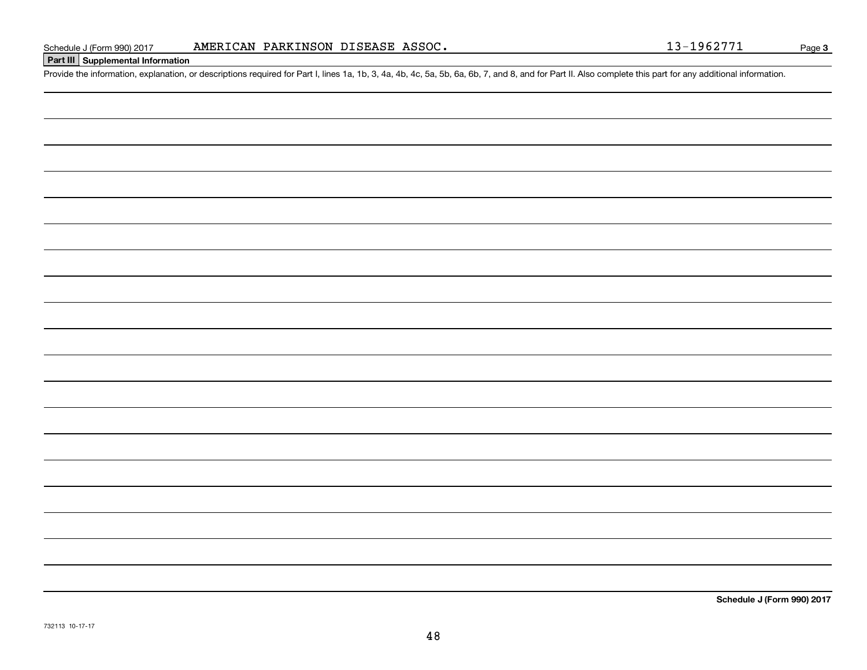# **Part III Supplemental Information**

Schedule J (Form 990) 2017 **AMERICAN PARKINSON DISEASE ASSOC.** 13-1962771<br>Part III Supplemental Information<br>Provide the information, explanation, or descriptions required for Part I, lines 1a, 1b, 3, 4a, 4b, 4c, 5a, 5b, 6a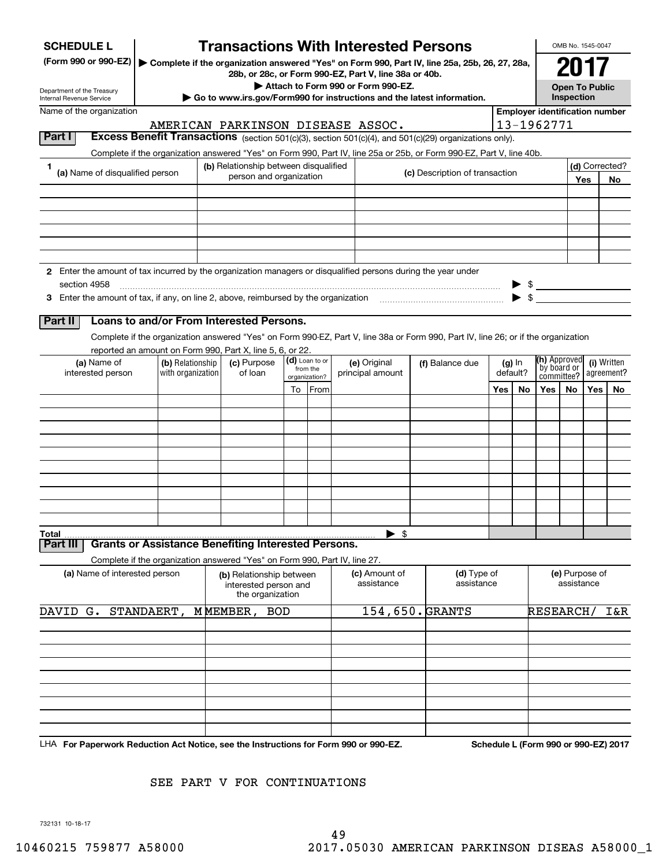| <b>SCHEDULE L</b>                                                                                             |                                                                            |                                                                       | <b>Transactions With Interested Persons</b>                              |    |                           |                             |                                    |                             |                                                                                                                                    |                                       |                             |                                      | OMB No. 1545-0047 |     |                           |  |            |
|---------------------------------------------------------------------------------------------------------------|----------------------------------------------------------------------------|-----------------------------------------------------------------------|--------------------------------------------------------------------------|----|---------------------------|-----------------------------|------------------------------------|-----------------------------|------------------------------------------------------------------------------------------------------------------------------------|---------------------------------------|-----------------------------|--------------------------------------|-------------------|-----|---------------------------|--|------------|
| (Form 990 or 990-EZ)                                                                                          |                                                                            |                                                                       |                                                                          |    |                           |                             |                                    |                             | Complete if the organization answered "Yes" on Form 990, Part IV, line 25a, 25b, 26, 27, 28a,                                      |                                       |                             | 2017                                 |                   |     |                           |  |            |
|                                                                                                               |                                                                            |                                                                       | 28b, or 28c, or Form 990-EZ, Part V, line 38a or 40b.                    |    |                           |                             |                                    |                             |                                                                                                                                    |                                       |                             | <b>Open To Public</b>                |                   |     |                           |  |            |
| Department of the Treasury<br>Internal Revenue Service                                                        |                                                                            |                                                                       | ► Go to www.irs.gov/Form990 for instructions and the latest information. |    |                           |                             | Attach to Form 990 or Form 990-EZ. |                             |                                                                                                                                    |                                       |                             |                                      | Inspection        |     |                           |  |            |
| Name of the organization                                                                                      |                                                                            |                                                                       |                                                                          |    |                           |                             |                                    |                             |                                                                                                                                    | <b>Employer identification number</b> |                             |                                      |                   |     |                           |  |            |
|                                                                                                               |                                                                            |                                                                       | AMERICAN PARKINSON DISEASE ASSOC.                                        |    |                           |                             |                                    |                             |                                                                                                                                    |                                       |                             | 13-1962771                           |                   |     |                           |  |            |
| <b>Part I</b>                                                                                                 |                                                                            |                                                                       |                                                                          |    |                           |                             |                                    |                             | Excess Benefit Transactions (section 501(c)(3), section 501(c)(4), and 501(c)(29) organizations only).                             |                                       |                             |                                      |                   |     |                           |  |            |
|                                                                                                               |                                                                            |                                                                       |                                                                          |    |                           |                             |                                    |                             | Complete if the organization answered "Yes" on Form 990, Part IV, line 25a or 25b, or Form 990-EZ, Part V, line 40b.               |                                       |                             |                                      |                   |     |                           |  |            |
| 1<br>(a) Name of disqualified person                                                                          |                                                                            |                                                                       | (b) Relationship between disqualified<br>person and organization         |    |                           |                             |                                    |                             | (c) Description of transaction                                                                                                     |                                       |                             |                                      |                   | Yes | (d) Corrected?<br>No      |  |            |
|                                                                                                               |                                                                            |                                                                       |                                                                          |    |                           |                             |                                    |                             |                                                                                                                                    |                                       |                             |                                      |                   |     |                           |  |            |
|                                                                                                               |                                                                            |                                                                       |                                                                          |    |                           |                             |                                    |                             |                                                                                                                                    |                                       |                             |                                      |                   |     |                           |  |            |
|                                                                                                               |                                                                            |                                                                       |                                                                          |    |                           |                             |                                    |                             |                                                                                                                                    |                                       |                             |                                      |                   |     |                           |  |            |
|                                                                                                               |                                                                            |                                                                       |                                                                          |    |                           |                             |                                    |                             |                                                                                                                                    |                                       |                             |                                      |                   |     |                           |  |            |
|                                                                                                               |                                                                            |                                                                       |                                                                          |    |                           |                             |                                    |                             |                                                                                                                                    |                                       |                             |                                      |                   |     |                           |  |            |
| 2 Enter the amount of tax incurred by the organization managers or disqualified persons during the year under |                                                                            |                                                                       |                                                                          |    |                           |                             |                                    |                             |                                                                                                                                    |                                       |                             |                                      |                   |     |                           |  |            |
| section 4958                                                                                                  |                                                                            |                                                                       |                                                                          |    |                           |                             |                                    |                             |                                                                                                                                    |                                       |                             | $\frac{1}{2}$                        |                   |     |                           |  |            |
|                                                                                                               |                                                                            |                                                                       |                                                                          |    |                           |                             |                                    |                             |                                                                                                                                    |                                       |                             |                                      |                   |     |                           |  |            |
|                                                                                                               | Loans to and/or From Interested Persons.                                   |                                                                       |                                                                          |    |                           |                             |                                    |                             |                                                                                                                                    |                                       |                             |                                      |                   |     |                           |  |            |
| Part II                                                                                                       |                                                                            |                                                                       |                                                                          |    |                           |                             |                                    |                             |                                                                                                                                    |                                       |                             |                                      |                   |     |                           |  |            |
|                                                                                                               | reported an amount on Form 990, Part X, line 5, 6, or 22.                  |                                                                       |                                                                          |    |                           |                             |                                    |                             | Complete if the organization answered "Yes" on Form 990-EZ, Part V, line 38a or Form 990, Part IV, line 26; or if the organization |                                       |                             |                                      |                   |     |                           |  |            |
| (a) Name of                                                                                                   | (b) Relationship                                                           |                                                                       | (c) Purpose                                                              |    | (d) Loan to or            |                             | (e) Original                       | (f) Balance due<br>$(g)$ In |                                                                                                                                    |                                       | (h) Approved<br>(i) Written |                                      |                   |     |                           |  |            |
| interested person                                                                                             | with organization                                                          |                                                                       | of loan                                                                  |    | from the<br>organization? |                             | principal amount                   |                             |                                                                                                                                    |                                       |                             |                                      | default?          |     | by board or<br>committee? |  | agreement? |
|                                                                                                               |                                                                            |                                                                       |                                                                          | To | From                      |                             |                                    |                             |                                                                                                                                    | Yes                                   | No.                         | Yes                                  | No.               |     | Yes   No                  |  |            |
|                                                                                                               |                                                                            |                                                                       |                                                                          |    |                           |                             |                                    |                             |                                                                                                                                    |                                       |                             |                                      |                   |     |                           |  |            |
|                                                                                                               |                                                                            |                                                                       |                                                                          |    |                           |                             |                                    |                             |                                                                                                                                    |                                       |                             |                                      |                   |     |                           |  |            |
|                                                                                                               |                                                                            |                                                                       |                                                                          |    |                           |                             |                                    |                             |                                                                                                                                    |                                       |                             |                                      |                   |     |                           |  |            |
|                                                                                                               |                                                                            |                                                                       |                                                                          |    |                           |                             |                                    |                             |                                                                                                                                    |                                       |                             |                                      |                   |     |                           |  |            |
|                                                                                                               |                                                                            |                                                                       |                                                                          |    |                           |                             |                                    |                             |                                                                                                                                    |                                       |                             |                                      |                   |     |                           |  |            |
|                                                                                                               |                                                                            |                                                                       |                                                                          |    |                           |                             |                                    |                             |                                                                                                                                    |                                       |                             |                                      |                   |     |                           |  |            |
|                                                                                                               |                                                                            |                                                                       |                                                                          |    |                           |                             |                                    |                             |                                                                                                                                    |                                       |                             |                                      |                   |     |                           |  |            |
|                                                                                                               |                                                                            |                                                                       |                                                                          |    |                           |                             |                                    |                             |                                                                                                                                    |                                       |                             |                                      |                   |     |                           |  |            |
|                                                                                                               |                                                                            |                                                                       |                                                                          |    |                           |                             | \$                                 |                             |                                                                                                                                    |                                       |                             |                                      |                   |     |                           |  |            |
| Total<br>Part II                                                                                              | <b>Grants or Assistance Benefiting Interested Persons.</b>                 |                                                                       |                                                                          |    |                           |                             |                                    |                             |                                                                                                                                    |                                       |                             |                                      |                   |     |                           |  |            |
|                                                                                                               | Complete if the organization answered "Yes" on Form 990, Part IV, line 27. |                                                                       |                                                                          |    |                           |                             |                                    |                             |                                                                                                                                    |                                       |                             |                                      |                   |     |                           |  |            |
| (a) Name of interested person                                                                                 |                                                                            | (b) Relationship between<br>interested person and<br>the organization |                                                                          |    |                           | (c) Amount of<br>assistance |                                    | (d) Type of<br>assistance   |                                                                                                                                    |                                       |                             | (e) Purpose of<br>assistance         |                   |     |                           |  |            |
| DAVID<br>G.                                                                                                   | STANDAERT,                                                                 |                                                                       | MMEMBER,<br><b>BOD</b>                                                   |    |                           |                             | 154,650. GRANTS                    |                             |                                                                                                                                    |                                       |                             | RESEARCH/                            |                   |     | I&R                       |  |            |
|                                                                                                               |                                                                            |                                                                       |                                                                          |    |                           |                             |                                    |                             |                                                                                                                                    |                                       |                             |                                      |                   |     |                           |  |            |
|                                                                                                               |                                                                            |                                                                       |                                                                          |    |                           |                             |                                    |                             |                                                                                                                                    |                                       |                             |                                      |                   |     |                           |  |            |
|                                                                                                               |                                                                            |                                                                       |                                                                          |    |                           |                             |                                    |                             |                                                                                                                                    |                                       |                             |                                      |                   |     |                           |  |            |
|                                                                                                               |                                                                            |                                                                       |                                                                          |    |                           |                             |                                    |                             |                                                                                                                                    |                                       |                             |                                      |                   |     |                           |  |            |
|                                                                                                               |                                                                            |                                                                       |                                                                          |    |                           |                             |                                    |                             |                                                                                                                                    |                                       |                             |                                      |                   |     |                           |  |            |
|                                                                                                               |                                                                            |                                                                       |                                                                          |    |                           |                             |                                    |                             |                                                                                                                                    |                                       |                             |                                      |                   |     |                           |  |            |
|                                                                                                               |                                                                            |                                                                       |                                                                          |    |                           |                             |                                    |                             |                                                                                                                                    |                                       |                             |                                      |                   |     |                           |  |            |
|                                                                                                               |                                                                            |                                                                       |                                                                          |    |                           |                             |                                    |                             |                                                                                                                                    |                                       |                             |                                      |                   |     |                           |  |            |
| LHA For Paperwork Reduction Act Notice, see the Instructions for Form 990 or 990-EZ.                          |                                                                            |                                                                       |                                                                          |    |                           |                             |                                    |                             |                                                                                                                                    |                                       |                             | Schedule L (Form 990 or 990-EZ) 2017 |                   |     |                           |  |            |

SEE PART V FOR CONTINUATIONS

732131 10-18-17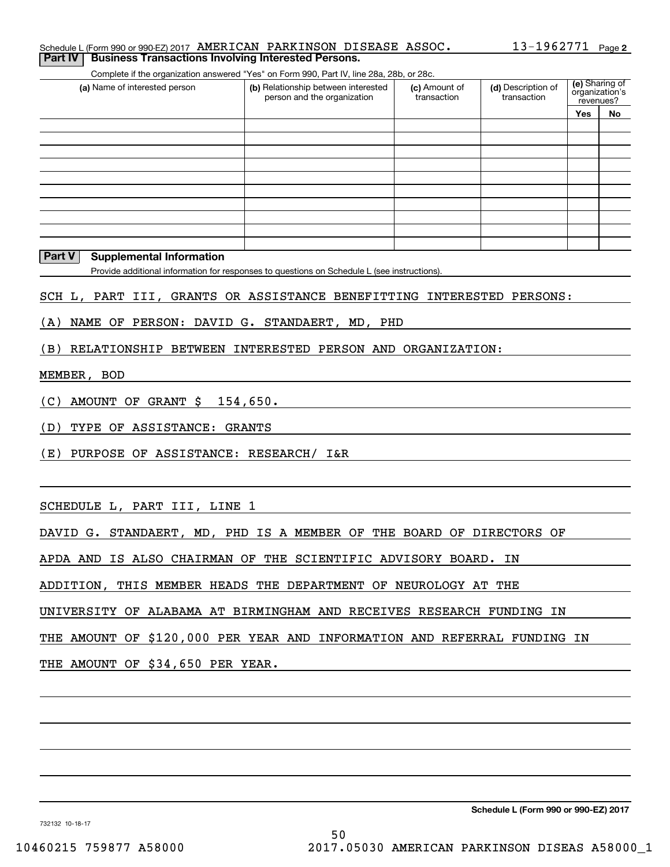| Schedule L (Form 990 or 990-EZ) 2017 AMERICAN PARKINSON DISEASE ASSOC. |  |  | $13 - 1962771$ Page 2 |  |
|------------------------------------------------------------------------|--|--|-----------------------|--|
| <b>Part IV Business Transactions Involving Interested Persons.</b>     |  |  |                       |  |

Complete if the organization answered "Yes" on Form 990, Part IV, line 28a, 28b, or 28c.

| (a) Name of interested person | (b) Relationship between interested<br>person and the organization | (c) Amount of<br>transaction | (d) Description of<br>transaction | (e) Sharing of<br>organization's<br>revenues? |    |  |
|-------------------------------|--------------------------------------------------------------------|------------------------------|-----------------------------------|-----------------------------------------------|----|--|
|                               |                                                                    |                              |                                   | <b>Yes</b>                                    | No |  |
|                               |                                                                    |                              |                                   |                                               |    |  |
|                               |                                                                    |                              |                                   |                                               |    |  |
|                               |                                                                    |                              |                                   |                                               |    |  |
|                               |                                                                    |                              |                                   |                                               |    |  |
|                               |                                                                    |                              |                                   |                                               |    |  |
|                               |                                                                    |                              |                                   |                                               |    |  |
|                               |                                                                    |                              |                                   |                                               |    |  |
|                               |                                                                    |                              |                                   |                                               |    |  |
|                               |                                                                    |                              |                                   |                                               |    |  |
|                               |                                                                    |                              |                                   |                                               |    |  |

#### **Part V Supplemental Information**

Provide additional information for responses to questions on Schedule L (see instructions).

SCH L, PART III, GRANTS OR ASSISTANCE BENEFITTING INTERESTED PERSONS:

(A) NAME OF PERSON: DAVID G. STANDAERT, MD, PHD

(B) RELATIONSHIP BETWEEN INTERESTED PERSON AND ORGANIZATION:

#### MEMBER, BOD

(C) AMOUNT OF GRANT \$ 154,650.

(D) TYPE OF ASSISTANCE: GRANTS

(E) PURPOSE OF ASSISTANCE: RESEARCH/ I&R

SCHEDULE L, PART III, LINE 1

DAVID G. STANDAERT, MD, PHD IS A MEMBER OF THE BOARD OF DIRECTORS OF

APDA AND IS ALSO CHAIRMAN OF THE SCIENTIFIC ADVISORY BOARD. IN

ADDITION, THIS MEMBER HEADS THE DEPARTMENT OF NEUROLOGY AT THE

UNIVERSITY OF ALABAMA AT BIRMINGHAM AND RECEIVES RESEARCH FUNDING IN

THE AMOUNT OF \$120,000 PER YEAR AND INFORMATION AND REFERRAL FUNDING IN

THE AMOUNT OF \$34,650 PER YEAR.

**Schedule L (Form 990 or 990-EZ) 2017**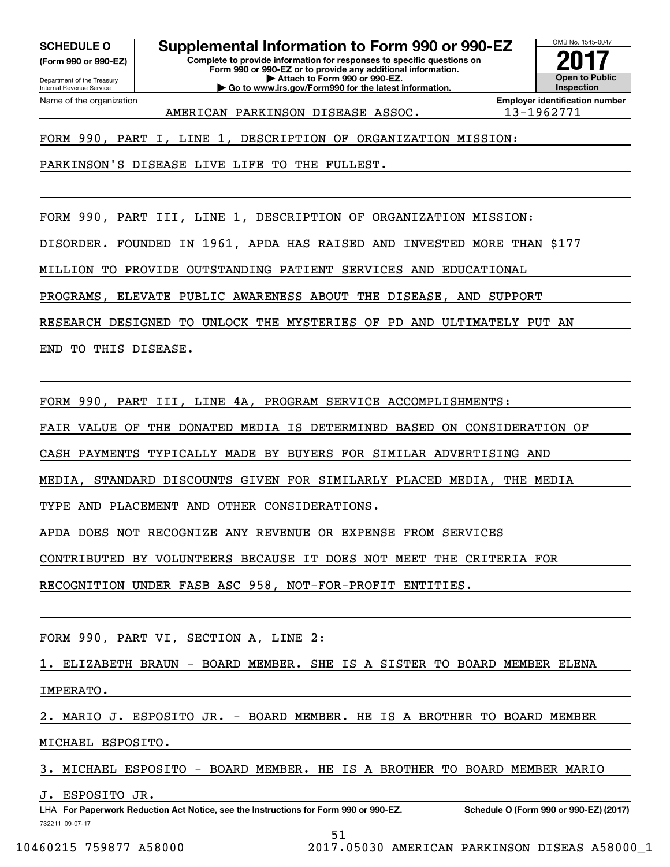**(Form 990 or 990-EZ)**

Department of the Treasury Internal Revenue Service Name of the organization

# **SCHEDULE O Supplemental Information to Form 990 or 990-EZ**

**Complete to provide information for responses to specific questions on Form 990 or 990-EZ or to provide any additional information. | Attach to Form 990 or 990-EZ. | Go to www.irs.gov/Form990 for the latest information.**



AMERICAN PARKINSON DISEASE ASSOC. 13-1962771

FORM 990, PART I, LINE 1, DESCRIPTION OF ORGANIZATION MISSION:

PARKINSON'S DISEASE LIVE LIFE TO THE FULLEST.

FORM 990, PART III, LINE 1, DESCRIPTION OF ORGANIZATION MISSION:

DISORDER. FOUNDED IN 1961, APDA HAS RAISED AND INVESTED MORE THAN \$177

MILLION TO PROVIDE OUTSTANDING PATIENT SERVICES AND EDUCATIONAL

PROGRAMS, ELEVATE PUBLIC AWARENESS ABOUT THE DISEASE, AND SUPPORT

RESEARCH DESIGNED TO UNLOCK THE MYSTERIES OF PD AND ULTIMATELY PUT AN

END TO THIS DISEASE.

FORM 990, PART III, LINE 4A, PROGRAM SERVICE ACCOMPLISHMENTS:

FAIR VALUE OF THE DONATED MEDIA IS DETERMINED BASED ON CONSIDERATION OF

CASH PAYMENTS TYPICALLY MADE BY BUYERS FOR SIMILAR ADVERTISING AND

MEDIA, STANDARD DISCOUNTS GIVEN FOR SIMILARLY PLACED MEDIA, THE MEDIA

TYPE AND PLACEMENT AND OTHER CONSIDERATIONS.

APDA DOES NOT RECOGNIZE ANY REVENUE OR EXPENSE FROM SERVICES

CONTRIBUTED BY VOLUNTEERS BECAUSE IT DOES NOT MEET THE CRITERIA FOR

RECOGNITION UNDER FASB ASC 958, NOT-FOR-PROFIT ENTITIES.

FORM 990, PART VI, SECTION A, LINE 2:

1. ELIZABETH BRAUN - BOARD MEMBER. SHE IS A SISTER TO BOARD MEMBER ELENA

IMPERATO.

2. MARIO J. ESPOSITO JR. - BOARD MEMBER. HE IS A BROTHER TO BOARD MEMBER

MICHAEL ESPOSITO.

3. MICHAEL ESPOSITO - BOARD MEMBER. HE IS A BROTHER TO BOARD MEMBER MARIO

J. ESPOSITO JR.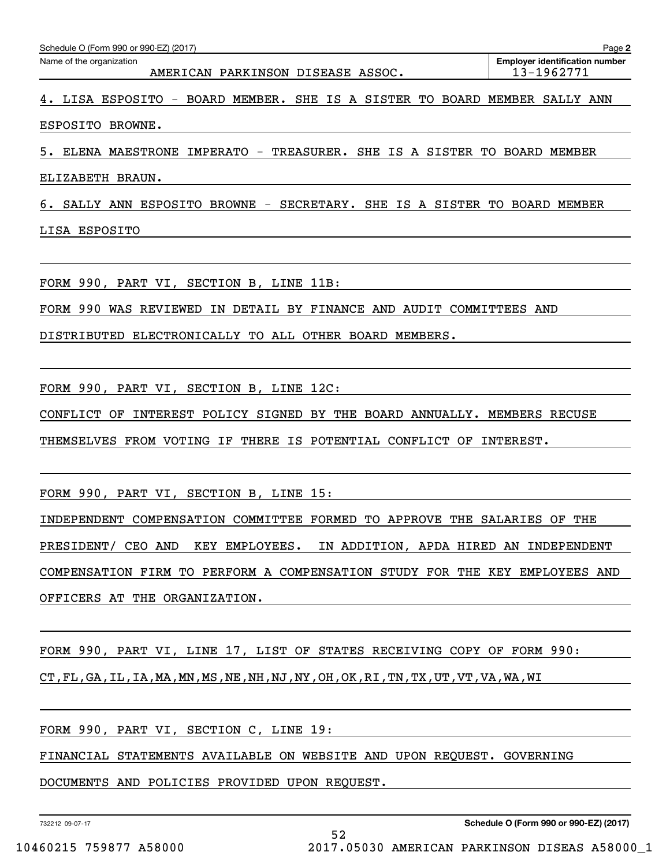| Schedule O (Form 990 or 990-EZ) (2017)<br>Page 2                           |                                                     |  |  |  |  |  |  |
|----------------------------------------------------------------------------|-----------------------------------------------------|--|--|--|--|--|--|
| Name of the organization<br>AMERICAN PARKINSON DISEASE ASSOC.              | <b>Employer identification number</b><br>13-1962771 |  |  |  |  |  |  |
| 4. LISA ESPOSITO - BOARD MEMBER. SHE IS A SISTER TO BOARD MEMBER SALLY ANN |                                                     |  |  |  |  |  |  |
| ESPOSITO BROWNE.                                                           |                                                     |  |  |  |  |  |  |

5. ELENA MAESTRONE IMPERATO - TREASURER. SHE IS A SISTER TO BOARD MEMBER

ELIZABETH BRAUN.

6. SALLY ANN ESPOSITO BROWNE - SECRETARY. SHE IS A SISTER TO BOARD MEMBER

LISA ESPOSITO

FORM 990, PART VI, SECTION B, LINE 11B:

FORM 990 WAS REVIEWED IN DETAIL BY FINANCE AND AUDIT COMMITTEES AND

DISTRIBUTED ELECTRONICALLY TO ALL OTHER BOARD MEMBERS.

FORM 990, PART VI, SECTION B, LINE 12C:

CONFLICT OF INTEREST POLICY SIGNED BY THE BOARD ANNUALLY. MEMBERS RECUSE

THEMSELVES FROM VOTING IF THERE IS POTENTIAL CONFLICT OF INTEREST.

FORM 990, PART VI, SECTION B, LINE 15:

INDEPENDENT COMPENSATION COMMITTEE FORMED TO APPROVE THE SALARIES OF THE PRESIDENT/ CEO AND KEY EMPLOYEES. IN ADDITION, APDA HIRED AN INDEPENDENT COMPENSATION FIRM TO PERFORM A COMPENSATION STUDY FOR THE KEY EMPLOYEES AND OFFICERS AT THE ORGANIZATION.

FORM 990, PART VI, LINE 17, LIST OF STATES RECEIVING COPY OF FORM 990: CT,FL,GA,IL,IA,MA,MN,MS,NE,NH,NJ,NY,OH,OK,RI,TN,TX,UT,VT,VA,WA,WI

FORM 990, PART VI, SECTION C, LINE 19:

FINANCIAL STATEMENTS AVAILABLE ON WEBSITE AND UPON REQUEST. GOVERNING

DOCUMENTS AND POLICIES PROVIDED UPON REQUEST.

732212 09-07-17